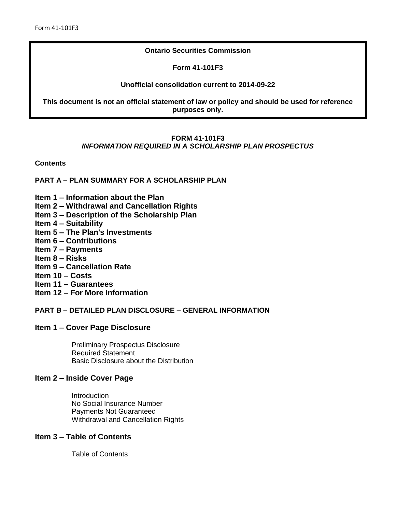# **Ontario Securities Commission**

**Form 41-101F3**

# **Unofficial consolidation current to 2014-09-22**

**This document is not an official statement of law or policy and should be used for reference purposes only.**

## **FORM 41-101F3** *INFORMATION REQUIRED IN A SCHOLARSHIP PLAN PROSPECTUS*

# **Contents**

# **PART A – [PLAN SUMMARY FOR A SCHOLARSHIP PLAN](#page-9-0)**

- **Item 1 – [Information about the Plan](#page-9-1)**
- **Item 2 – [Withdrawal and Cancellation Rights](#page-9-2)**
- **Item 3 – [Description of the Scholarship Plan](#page-10-0)**
- **Item 4 – [Suitability](#page-10-1)**
- **Item 5 – [The Plan's Investments](#page-11-0)**
- **Item 6 – [Contributions](#page-11-1)**
- **Item 7 – [Payments](#page-12-0)**
- **[Item 8 –](#page-13-0) Risks**
- **Item 9 – [Cancellation Rate](#page-15-0)**
- **[Item 10 –](#page-16-0) Costs**
- **Item 11 – [Guarantees](#page-19-0)**
- **Item 12 – [For More Information](#page-19-1)**

# **PART B – [DETAILED PLAN DISCLOSURE –](#page-19-2) GENERAL INFORMATION**

# **Item 1 – [Cover Page](#page-19-3) Disclosure**

[Preliminary Prospectus Disclosure](#page-19-4) [Required Statement](#page-20-0) [Basic Disclosure about the Distribution](#page-20-1)

# **Item 2 – [Inside Cover Page](#page-21-0)**

[Introduction](#page-21-1) [No Social Insurance Number](#page-21-2) [Payments Not Guaranteed](#page-22-0) [Withdrawal and Cancellation Rights](#page-22-1)

# **Item 3 – [Table of Contents](#page-23-0)**

[Table of Contents](#page-23-1)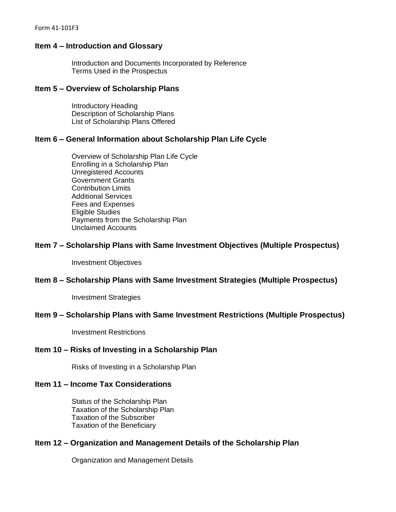# **Item 4 – [Introduction and Glossary](#page-23-2)**

[Introduction and Documents Incorporated by Reference](#page-23-3) [Terms Used in the Prospectus](#page-24-0)

## **Item 5 – [Overview of Scholarship Plans](#page-26-0)**

[Introductory Heading](#page-26-1) [Description of Scholarship Plans](#page-26-2) [List of Scholarship Plans Offered](#page-27-0)

# **Item 6 – [General Information about Scholarship Plan Life Cycle](#page-27-1)**

[Overview of Scholarship Plan Life Cycle](#page-27-2) [Enrolling in a Scholarship Plan](#page-28-0) [Unregistered Accounts](#page-28-1) [Government Grants](#page-28-2) [Contribution Limits](#page-29-0) [Additional Services](#page-29-1) [Fees and Expenses](#page-30-0) [Eligible Studies](#page-30-1) [Payments from the Scholarship Plan](#page-30-2) [Unclaimed Accounts](#page-31-0)

# **Item 7 – [Scholarship Plans with Same Investment Objectives \(Multiple Prospectus\)](#page-31-1)**

[Investment Objectives](#page-31-2)

# **Item 8 – [Scholarship Plans with Same Investment Strategies \(Multiple Prospectus\)](#page-32-0)**

[Investment Strategies](#page-32-1)

# **Item 9 – [Scholarship Plans with Same Investment Restrictions \(Multiple Prospectus\)](#page-33-0)**

[Investment Restrictions](#page-33-1)

# **Item 10 – [Risks of Investing in a Scholarship Plan](#page-33-2)**

[Risks of Investing in a Scholarship Plan](#page-33-3)

# **Item 11 – [Income Tax Considerations](#page-34-0)**

[Status of the Scholarship Plan](#page-34-1) [Taxation of the Scholarship Plan](#page-34-2) [Taxation of the Subscriber](#page-34-3) [Taxation of the Beneficiary](#page-35-0)

# **Item 12 – [Organization and Management Details of the Scholarship Plan](#page-35-1)**

[Organization and Management Details](#page-35-2)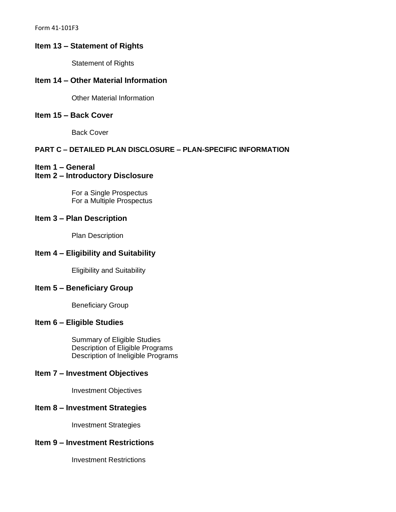Form 41-101F3

# **Item 13 – [Statement of Rights](#page-36-0)**

[Statement of Rights](#page-36-1)

## **Item 14 – [Other Material Information](#page-37-0)**

[Other Material Information](#page-37-1)

## **Item 15 – [Back Cover](#page-37-2)**

[Back Cover](#page-37-3)

# **PART C – [DETAILED PLAN DISCLOSURE –](#page-38-0) PLAN-SPECIFIC INFORMATION**

# **Item 1 – [General](#page-38-1)**

# **Item 2 – [Introductory Disclosure](#page-38-2)**

[For a Single Prospectus](#page-38-3) [For a Multiple Prospectus](#page-38-4)

# **Item 3 – [Plan Description](#page-38-5)**

[Plan Description](#page-38-6)

# **Item 4 – [Eligibility and Suitability](#page-39-0)**

[Eligibility and Suitability](#page-39-1)

# **Item 5 – [Beneficiary Group](#page-39-2)**

[Beneficiary Group](#page-39-3)

# **Item 6 – [Eligible Studies](#page-40-0)**

[Summary of Eligible Studies](#page-40-1) [Description of Eligible Programs](#page-41-0) [Description of Ineligible Programs](#page-41-1)

# **Item 7 – [Investment Objectives](#page-42-0)**

[Investment Objectives](#page-42-1)

# **Item 8 – [Investment Strategies](#page-42-2)**

[Investment Strategies](#page-42-3)

# **Item 9 – [Investment Restrictions](#page-43-0)**

[Investment Restrictions](#page-43-1)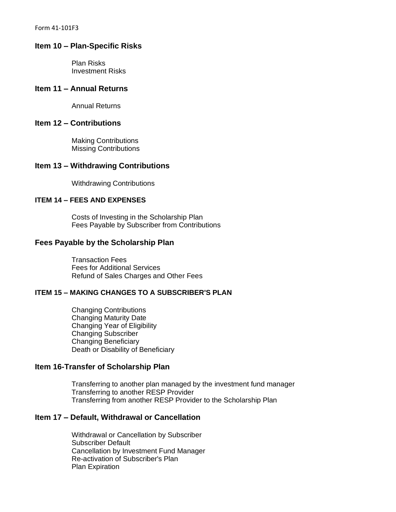## **Item 10 – [Plan-Specific Risks](#page-43-2)**

[Plan Risks](#page-43-3) [Investment Risks](#page-44-0)

## **Item 11 – [Annual Returns](#page-45-0)**

[Annual Returns](#page-45-1)

## **Item 12 – [Contributions](#page-46-0)**

[Making Contributions](#page-46-1) [Missing Contributions](#page-48-0)

#### **Item 13 – [Withdrawing Contributions](#page-49-0)**

[Withdrawing Contributions](#page-49-1)

## **ITEM 14 – [FEES AND EXPENSES](#page-49-2)**

[Costs of Investing in the Scholarship Plan](#page-49-3) [Fees Payable by Subscriber from Contributions](#page-49-4)

## **[Fees Payable by the Scholarship Plan](#page-52-0)**

[Transaction Fees](#page-53-0) [Fees for Additional Services](#page-53-1) [Refund of Sales Charges and Other Fees](#page-54-0)

# **ITEM 15 – [MAKING CHANGES TO A SUBSCRIBER'S PLAN](#page-55-0)**

[Changing Contributions](#page-55-1) [Changing Maturity Date](#page-55-2) [Changing Year of Eligibility](#page-56-0) [Changing Subscriber](#page-56-1) [Changing Beneficiary](#page-56-2) [Death or Disability of Beneficiary](#page-57-0)

## **[Item 16-Transfer of Scholarship Plan](#page-57-1)**

[Transferring to another plan managed by the investment fund manager](#page-57-2) [Transferring to another RESP Provider](#page-58-0) [Transferring from another RESP Provider to the Scholarship Plan](#page-58-1)

# **Item 17 – [Default, Withdrawal or Cancellation](#page-59-0)**

[Withdrawal or Cancellation by Subscriber](#page-59-1) [Subscriber Default](#page-59-2) [Cancellation by Investment Fund Manager](#page-60-0) [Re-activation of Subscriber's Plan](#page-60-1) [Plan Expiration](#page-60-2)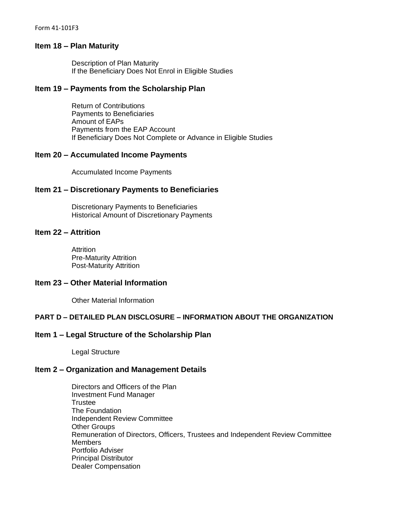# **Item 18 – [Plan Maturity](#page-61-0)**

[Description of Plan Maturity](#page-61-1) [If the Beneficiary Does Not Enrol in Eligible Studies](#page-61-2)

## **Item 19 – [Payments from the Scholarship Plan](#page-61-3)**

[Return of Contributions](#page-61-4) [Payments to Beneficiaries](#page-62-0) [Amount of EAPs](#page-63-0) [Payments from the EAP Account](#page-63-1) [If Beneficiary Does Not Complete or Advance in Eligible Studies](#page-66-0)

## **Item 20 – [Accumulated Income Payments](#page-67-0)**

[Accumulated Income Payments](#page-67-1)

# **Item 21 – [Discretionary Payments to Beneficiaries](#page-67-2)**

[Discretionary Payments to Beneficiaries](#page-67-3) [Historical Amount of Discretionary Payments](#page-68-0)

## **[Item 22 –](#page-69-0) Attrition**

**[Attrition](#page-69-1)** [Pre-Maturity Attrition](#page-70-0) [Post-Maturity Attrition](#page-72-0)

# **Item 23 – [Other Material Information](#page-75-0)**

[Other Material Information](#page-75-1)

## **PART D – DETAILED PLAN DISCLOSURE – [INFORMATION ABOUT THE ORGANIZATION](#page-75-2)**

# **Item 1 – [Legal Structure of the Scholarship Plan](#page-75-3)**

[Legal Structure](#page-75-4)

# **Item 2 – [Organization and Management Details](#page-76-0)**

[Directors and Officers of the Plan](#page-76-1) [Investment Fund Manager](#page-76-2) [Trustee](#page-78-0) [The Foundation](#page-78-1) [Independent Review Committee](#page-79-0) Other [Groups](#page-79-1) [Remuneration of Directors, Officers, Trustees and Independent Review Committee](#page-79-2)  [Members](#page-79-2) [Portfolio Adviser](#page-80-0) [Principal Distributor](#page-80-1) [Dealer Compensation](#page-81-0)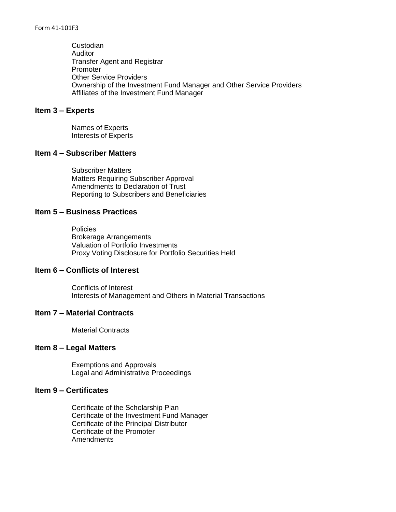**[Custodian](#page-82-0)** [Auditor](#page-82-1) [Transfer Agent and Registrar](#page-82-2) [Promoter](#page-82-3) [Other Service Providers](#page-84-0) [Ownership of the Investment Fund Manager and Other Service Providers](#page-84-1) [Affiliates of the Investment Fund Manager](#page-86-0)

# **[Item 3 –](#page-86-1) Experts**

[Names of Experts](#page-86-2) [Interests of Experts](#page-86-3)

## **Item 4 – [Subscriber Matters](#page-87-0)**

[Subscriber Matters](#page-87-1) [Matters Requiring Subscriber Approval](#page-87-2) [Amendments to Declaration of Trust](#page-87-3) [Reporting to Subscribers and Beneficiaries](#page-87-4)

# **Item 5 – [Business Practices](#page-88-0)**

[Policies](#page-88-1) [Brokerage Arrangements](#page-88-2) [Valuation of Portfolio Investments](#page-89-0) [Proxy Voting Disclosure for Portfolio Securities Held](#page-89-1)

# **Item 6 – [Conflicts of Interest](#page-90-0)**

[Conflicts of Interest](#page-90-1) [Interests of Management and Others in Material Transactions](#page-90-2)

## **Item 7 – [Material Contracts](#page-90-3)**

[Material Contracts](#page-90-4)

#### **Item 8 – [Legal Matters](#page-91-0)**

[Exemptions and Approvals](#page-91-1) [Legal and Administrative Proceedings](#page-91-2)

## **Item 9 – [Certificates](#page-92-0)**

[Certificate of the Scholarship Plan](#page-92-1) [Certificate of the Investment Fund Manager](#page-92-2) [Certificate of the Principal Distributor](#page-92-3) [Certificate of the Promoter](#page-92-4) [Amendments](#page-93-0)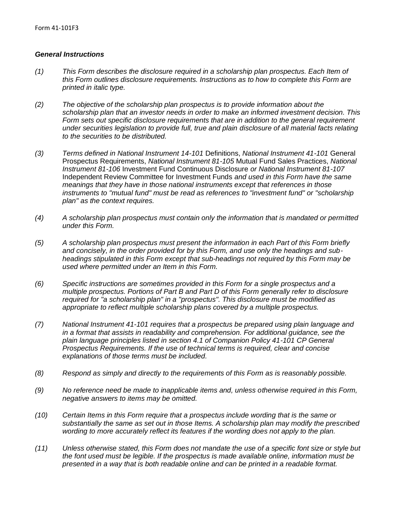## *General Instructions*

- *(1) This Form describes the disclosure required in a scholarship plan prospectus. Each Item of this Form outlines disclosure requirements. Instructions as to how to complete this Form are printed in italic type.*
- *(2) The objective of the scholarship plan prospectus is to provide information about the scholarship plan that an investor needs in order to make an informed investment decision. This Form sets out specific disclosure requirements that are in addition to the general requirement under securities legislation to provide full, true and plain disclosure of all material facts relating to the securities to be distributed.*
- *(3) Terms defined in National Instrument 14-101* Definitions, *National Instrument 41-101* General Prospectus Requirements, *National Instrument 81-105* Mutual Fund Sales Practices, *National Instrument 81-106* Investment Fund Continuous Disclosure *or National Instrument 81-107*  Independent Review Committee for Investment Funds *and used in this Form have the same meanings that they have in those national instruments except that references in those instruments to "mutual fund" must be read as references to "investment fund" or "scholarship plan" as the context requires.*
- *(4) A scholarship plan prospectus must contain only the information that is mandated or permitted under this Form.*
- *(5) A scholarship plan prospectus must present the information in each Part of this Form briefly and concisely, in the order provided for by this Form, and use only the headings and subheadings stipulated in this Form except that sub-headings not required by this Form may be used where permitted under an Item in this Form.*
- *(6) Specific instructions are sometimes provided in this Form for a single prospectus and a multiple prospectus. Portions of Part B and Part D of this Form generally refer to disclosure required for "a scholarship plan" in a "prospectus". This disclosure must be modified as appropriate to reflect multiple scholarship plans covered by a multiple prospectus.*
- *(7) National Instrument 41-101 requires that a prospectus be prepared using plain language and in a format that assists in readability and comprehension. For additional guidance, see the plain language principles listed in section 4.1 of Companion Policy 41-101 CP General Prospectus Requirements. If the use of technical terms is required, clear and concise explanations of those terms must be included.*
- *(8) Respond as simply and directly to the requirements of this Form as is reasonably possible.*
- *(9) No reference need be made to inapplicable items and, unless otherwise required in this Form, negative answers to items may be omitted.*
- *(10) Certain Items in this Form require that a prospectus include wording that is the same or substantially the same as set out in those Items. A scholarship plan may modify the prescribed wording to more accurately reflect its features if the wording does not apply to the plan.*
- *(11) Unless otherwise stated, this Form does not mandate the use of a specific font size or style but the font used must be legible. If the prospectus is made available online, information must be presented in a way that is both readable online and can be printed in a readable format.*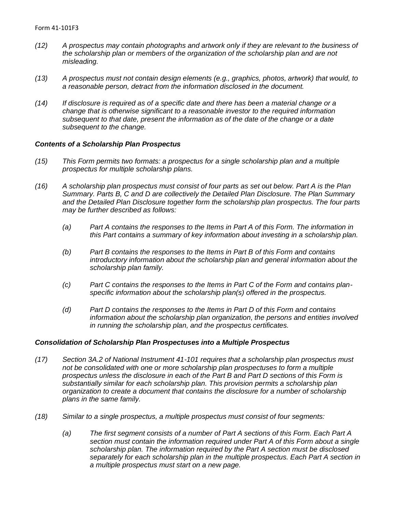- *(12) A prospectus may contain photographs and artwork only if they are relevant to the business of the scholarship plan or members of the organization of the scholarship plan and are not misleading.*
- *(13) A prospectus must not contain design elements (e.g., graphics, photos, artwork) that would, to a reasonable person, detract from the information disclosed in the document.*
- *(14) If disclosure is required as of a specific date and there has been a material change or a change that is otherwise significant to a reasonable investor to the required information subsequent to that date, present the information as of the date of the change or a date subsequent to the change.*

#### *Contents of a Scholarship Plan Prospectus*

- *(15) This Form permits two formats: a prospectus for a single scholarship plan and a multiple prospectus for multiple scholarship plans.*
- *(16) A scholarship plan prospectus must consist of four parts as set out below. Part A is the Plan Summary. Parts B, C and D are collectively the Detailed Plan Disclosure. The Plan Summary and the Detailed Plan Disclosure together form the scholarship plan prospectus. The four parts may be further described as follows:*
	- *(a) Part A contains the responses to the Items in Part A of this Form. The information in this Part contains a summary of key information about investing in a scholarship plan.*
	- *(b) Part B contains the responses to the Items in Part B of this Form and contains introductory information about the scholarship plan and general information about the scholarship plan family.*
	- *(c) Part C contains the responses to the Items in Part C of the Form and contains planspecific information about the scholarship plan(s) offered in the prospectus.*
	- *(d) Part D contains the responses to the Items in Part D of this Form and contains information about the scholarship plan organization, the persons and entities involved in running the scholarship plan, and the prospectus certificates.*

#### *Consolidation of Scholarship Plan Prospectuses into a Multiple Prospectus*

- *(17) Section 3A.2 of National Instrument 41-101 requires that a scholarship plan prospectus must not be consolidated with one or more scholarship plan prospectuses to form a multiple prospectus unless the disclosure in each of the Part B and Part D sections of this Form is substantially similar for each scholarship plan. This provision permits a scholarship plan organization to create a document that contains the disclosure for a number of scholarship plans in the same family.*
- *(18) Similar to a single prospectus, a multiple prospectus must consist of four segments:*
	- *(a) The first segment consists of a number of Part A sections of this Form. Each Part A section must contain the information required under Part A of this Form about a single scholarship plan. The information required by the Part A section must be disclosed separately for each scholarship plan in the multiple prospectus. Each Part A section in a multiple prospectus must start on a new page.*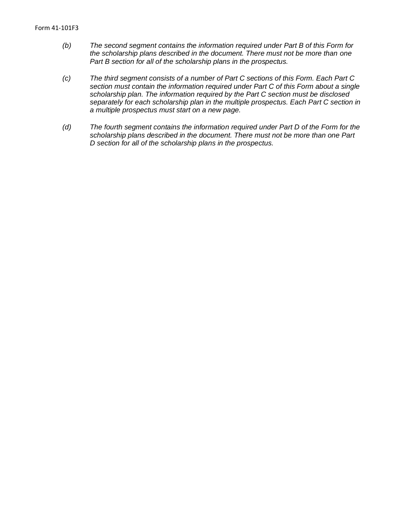#### Form 41-101F3

- *(b) The second segment contains the information required under Part B of this Form for the scholarship plans described in the document. There must not be more than one Part B section for all of the scholarship plans in the prospectus.*
- *(c) The third segment consists of a number of Part C sections of this Form. Each Part C section must contain the information required under Part C of this Form about a single scholarship plan. The information required by the Part C section must be disclosed separately for each scholarship plan in the multiple prospectus. Each Part C section in a multiple prospectus must start on a new page.*
- *(d) The fourth segment contains the information required under Part D of the Form for the scholarship plans described in the document. There must not be more than one Part D section for all of the scholarship plans in the prospectus.*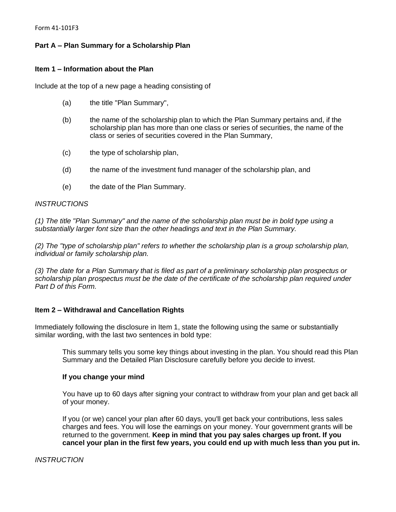# <span id="page-9-0"></span>**Part A – Plan Summary for a Scholarship Plan**

# <span id="page-9-1"></span>**Item 1 – Information about the Plan**

Include at the top of a new page a heading consisting of

- (a) the title "Plan Summary",
- (b) the name of the scholarship plan to which the Plan Summary pertains and, if the scholarship plan has more than one class or series of securities, the name of the class or series of securities covered in the Plan Summary,
- (c) the type of scholarship plan,
- (d) the name of the investment fund manager of the scholarship plan, and
- (e) the date of the Plan Summary.

# *INSTRUCTIONS*

*(1) The title "Plan Summary" and the name of the scholarship plan must be in bold type using a substantially larger font size than the other headings and text in the Plan Summary.*

*(2) The "type of scholarship plan" refers to whether the scholarship plan is a group scholarship plan, individual or family scholarship plan.*

*(3) The date for a Plan Summary that is filed as part of a preliminary scholarship plan prospectus or scholarship plan prospectus must be the date of the certificate of the scholarship plan required under Part D of this Form.*

# <span id="page-9-2"></span>**Item 2 – Withdrawal and Cancellation Rights**

Immediately following the disclosure in Item 1, state the following using the same or substantially similar wording, with the last two sentences in bold type:

This summary tells you some key things about investing in the plan. You should read this Plan Summary and the Detailed Plan Disclosure carefully before you decide to invest.

# **If you change your mind**

You have up to 60 days after signing your contract to withdraw from your plan and get back all of your money.

If you (or we) cancel your plan after 60 days, you'll get back your contributions, less sales charges and fees. You will lose the earnings on your money. Your government grants will be returned to the government. **Keep in mind that you pay sales charges up front. If you cancel your plan in the first few years, you could end up with much less than you put in.**

# *INSTRUCTION*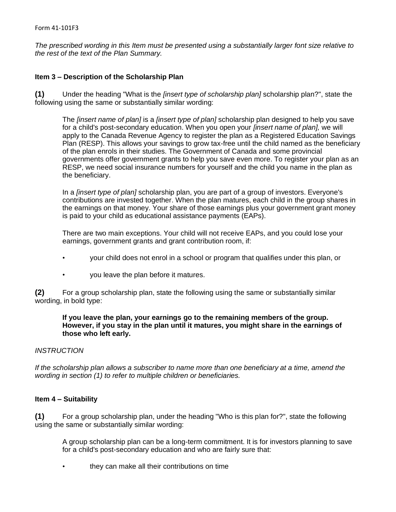<span id="page-10-0"></span>*The prescribed wording in this Item must be presented using a substantially larger font size relative to the rest of the text of the Plan Summary.*

## **Item 3 – Description of the Scholarship Plan**

**(1)** Under the heading "What is the *[insert type of scholarship plan]* scholarship plan?", state the following using the same or substantially similar wording:

The *[insert name of plan]* is a *[insert type of plan]* scholarship plan designed to help you save for a child's post-secondary education. When you open your *[insert name of plan],* we will apply to the Canada Revenue Agency to register the plan as a Registered Education Savings Plan (RESP). This allows your savings to grow tax-free until the child named as the beneficiary of the plan enrols in their studies. The Government of Canada and some provincial governments offer government grants to help you save even more. To register your plan as an RESP, we need social insurance numbers for yourself and the child you name in the plan as the beneficiary.

In a *[insert type of plan]* scholarship plan, you are part of a group of investors. Everyone's contributions are invested together. When the plan matures, each child in the group shares in the earnings on that money. Your share of those earnings plus your government grant money is paid to your child as educational assistance payments (EAPs).

There are two main exceptions. Your child will not receive EAPs, and you could lose your earnings, government grants and grant contribution room, if:

- your child does not enrol in a school or program that qualifies under this plan, or
- you leave the plan before it matures.

**(2)** For a group scholarship plan, state the following using the same or substantially similar wording, in bold type:

**If you leave the plan, your earnings go to the remaining members of the group. However, if you stay in the plan until it matures, you might share in the earnings of those who left early.**

#### *INSTRUCTION*

<span id="page-10-1"></span>*If the scholarship plan allows a subscriber to name more than one beneficiary at a time, amend the wording in section (1) to refer to multiple children or beneficiaries.*

### **Item 4 – Suitability**

**(1)** For a group scholarship plan, under the heading "Who is this plan for?", state the following using the same or substantially similar wording:

A group scholarship plan can be a long-term commitment. It is for investors planning to save for a child's post-secondary education and who are fairly sure that:

• they can make all their contributions on time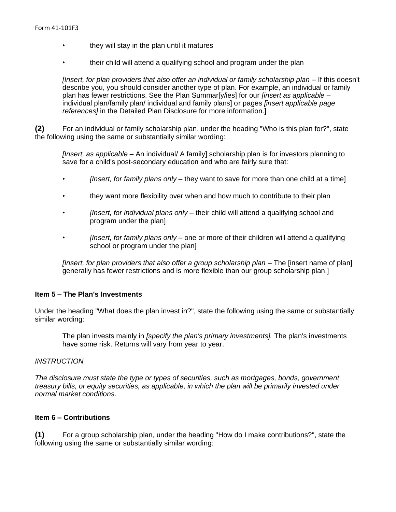- they will stay in the plan until it matures
- their child will attend a qualifying school and program under the plan

*[Insert, for plan providers that also offer an individual or family scholarship plan –* If this doesn't describe you, you should consider another type of plan. For example, an individual or family plan has fewer restrictions. See the Plan Summar[y/ies] for our *[insert as applicable –* individual plan/family plan/ individual and family plans] or pages *[insert applicable page references]* in the Detailed Plan Disclosure for more information.]

**(2)** For an individual or family scholarship plan, under the heading "Who is this plan for?", state the following using the same or substantially similar wording:

*[Insert, as applicable –* An individual/ A family] scholarship plan is for investors planning to save for a child's post-secondary education and who are fairly sure that:

- *[Insert, for family plans only –* they want to save for more than one child at a time]
- they want more flexibility over when and how much to contribute to their plan
- *[Insert, for individual plans only –* their child will attend a qualifying school and program under the plan]
- *[Insert, for family plans only –* one or more of their children will attend a qualifying school or program under the plan]

*[Insert, for plan providers that also offer a group scholarship plan –* The [insert name of plan] generally has fewer restrictions and is more flexible than our group scholarship plan.]

#### <span id="page-11-0"></span>**Item 5 – The Plan's Investments**

Under the heading "What does the plan invest in?", state the following using the same or substantially similar wording:

The plan invests mainly in *[specify the plan's primary investments].* The plan's investments have some risk. Returns will vary from year to year.

#### *INSTRUCTION*

*The disclosure must state the type or types of securities, such as mortgages, bonds, government treasury bills, or equity securities, as applicable, in which the plan will be primarily invested under normal market conditions.*

#### <span id="page-11-1"></span>**Item 6 – Contributions**

**(1)** For a group scholarship plan, under the heading "How do I make contributions?", state the following using the same or substantially similar wording: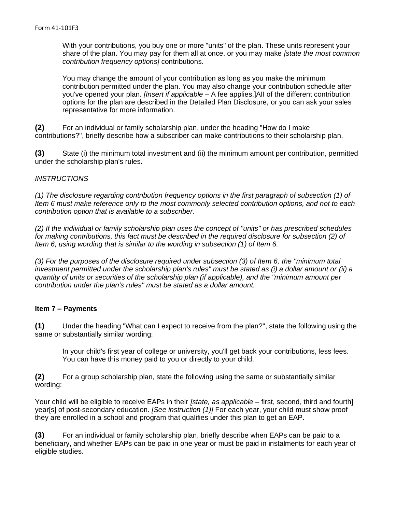With your contributions, you buy one or more "units" of the plan. These units represent your share of the plan. You may pay for them all at once, or you may make *[state the most common contribution frequency options]* contributions.

You may change the amount of your contribution as long as you make the minimum contribution permitted under the plan. You may also change your contribution schedule after you've opened your plan. *[Insert if applicable –* A fee applies.]AII of the different contribution options for the plan are described in the Detailed Plan Disclosure, or you can ask your sales representative for more information.

**(2)** For an individual or family scholarship plan, under the heading "How do I make contributions?", briefly describe how a subscriber can make contributions to their scholarship plan.

**(3)** State (i) the minimum total investment and (ii) the minimum amount per contribution, permitted under the scholarship plan's rules.

# *INSTRUCTIONS*

*(1) The disclosure regarding contribution frequency options in the first paragraph of subsection (1) of Item 6 must make reference only to the most commonly selected contribution options, and not to each contribution option that is available to a subscriber.*

*(2) If the individual or family scholarship plan uses the concept of "units" or has prescribed schedules for making contributions, this fact must be described in the required disclosure for subsection (2) of Item 6, using wording that is similar to the wording in subsection (1) of Item 6.*

*(3) For the purposes of the disclosure required under subsection (3) of Item 6, the "minimum total investment permitted under the scholarship plan's rules" must be stated as (i) a dollar amount or (ii) a quantity of units or securities of the scholarship plan (if applicable), and the "minimum amount per contribution under the plan's rules" must be stated as a dollar amount.*

# <span id="page-12-0"></span>**Item 7 – Payments**

**(1)** Under the heading "What can I expect to receive from the plan?", state the following using the same or substantially similar wording:

In your child's first year of college or university, you'll get back your contributions, less fees. You can have this money paid to you or directly to your child.

**(2)** For a group scholarship plan, state the following using the same or substantially similar wording:

Your child will be eligible to receive EAPs in their *[state, as applicable –* first, second, third and fourth] year[s] of post-secondary education. *[See instruction (1)]* For each year, your child must show proof they are enrolled in a school and program that qualifies under this plan to get an EAP.

**(3)** For an individual or family scholarship plan, briefly describe when EAPs can be paid to a beneficiary, and whether EAPs can be paid in one year or must be paid in instalments for each year of eligible studies.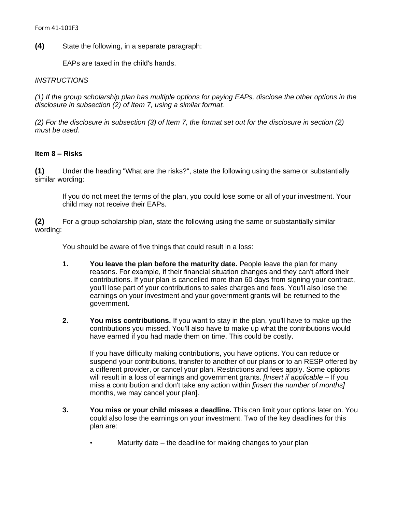**(4)** State the following, in a separate paragraph:

EAPs are taxed in the child's hands.

### *INSTRUCTIONS*

*(1) If the group scholarship plan has multiple options for paying EAPs, disclose the other options in the disclosure in subsection (2) of Item 7, using a similar format.*

*(2) For the disclosure in subsection (3) of Item 7, the format set out for the disclosure in section (2) must be used.*

# <span id="page-13-0"></span>**Item 8 – Risks**

**(1)** Under the heading "What are the risks?", state the following using the same or substantially similar wording:

If you do not meet the terms of the plan, you could lose some or all of your investment. Your child may not receive their EAPs.

**(2)** For a group scholarship plan, state the following using the same or substantially similar wording:

You should be aware of five things that could result in a loss:

- **1. You leave the plan before the maturity date.** People leave the plan for many reasons. For example, if their financial situation changes and they can't afford their contributions. If your plan is cancelled more than 60 days from signing your contract, you'll lose part of your contributions to sales charges and fees. You'll also lose the earnings on your investment and your government grants will be returned to the government.
- **2. You miss contributions.** If you want to stay in the plan, you'll have to make up the contributions you missed. You'll also have to make up what the contributions would have earned if you had made them on time. This could be costly.

If you have difficulty making contributions, you have options. You can reduce or suspend your contributions, transfer to another of our plans or to an RESP offered by a different provider, or cancel your plan. Restrictions and fees apply. Some options will result in a loss of earnings and government grants. *[Insert if applicable –* If you miss a contribution and don't take any action within *[insert the number of months]*  months, we may cancel your plan].

- **3. You miss or your child misses a deadline.** This can limit your options later on. You could also lose the earnings on your investment. Two of the key deadlines for this plan are:
	- Maturity date *–* the deadline for making changes to your plan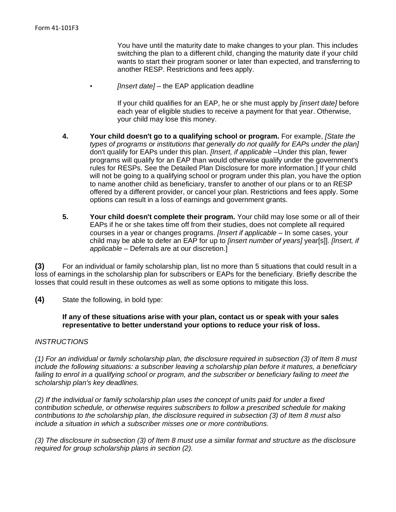You have until the maturity date to make changes to your plan. This includes switching the plan to a different child, changing the maturity date if your child wants to start their program sooner or later than expected, and transferring to another RESP. Restrictions and fees apply.

• *[Insert date] –* the EAP application deadline

If your child qualifies for an EAP, he or she must apply by *[insert date]* before each year of eligible studies to receive a payment for that year. Otherwise, your child may lose this money.

- **4. Your child doesn't go to a qualifying school or program.** For example, *[State the types of programs or institutions that generally do not qualify for EAPs under the plan]*  don't qualify for EAPs under this plan. *[Insert, if applicable –*Under this plan, fewer programs will qualify for an EAP than would otherwise qualify under the government's rules for RESPs. See the Detailed Plan Disclosure for more information.] If your child will not be going to a qualifying school or program under this plan, you have the option to name another child as beneficiary, transfer to another of our plans or to an RESP offered by a different provider, or cancel your plan. Restrictions and fees apply. Some options can result in a loss of earnings and government grants.
- **5. Your child doesn't complete their program.** Your child may lose some or all of their EAPs if he or she takes time off from their studies, does not complete all required courses in a year or changes programs. *[Insert if applicable –* In some cases, your child may be able to defer an EAP for up to *[insert number of years]* year[s]]. *[Insert, if applicable –* Deferrals are at our discretion.]

**(3)** For an individual or family scholarship plan, list no more than 5 situations that could result in a loss of earnings in the scholarship plan for subscribers or EAPs for the beneficiary. Briefly describe the losses that could result in these outcomes as well as some options to mitigate this loss.

**(4)** State the following, in bold type:

**If any of these situations arise with your plan, contact us or speak with your sales representative to better understand your options to reduce your risk of loss.**

#### *INSTRUCTIONS*

*(1) For an individual or family scholarship plan, the disclosure required in subsection (3) of Item 8 must include the following situations: a subscriber leaving a scholarship plan before it matures, a beneficiary*  failing to enrol in a qualifying school or program, and the subscriber or beneficiary failing to meet the *scholarship plan's key deadlines.*

*(2) If the individual or family scholarship plan uses the concept of units paid for under a fixed contribution schedule, or otherwise requires subscribers to follow a prescribed schedule for making contributions to the scholarship plan, the disclosure required in subsection (3) of Item 8 must also include a situation in which a subscriber misses one or more contributions.*

*(3) The disclosure in subsection (3) of Item 8 must use a similar format and structure as the disclosure required for group scholarship plans in section (2).*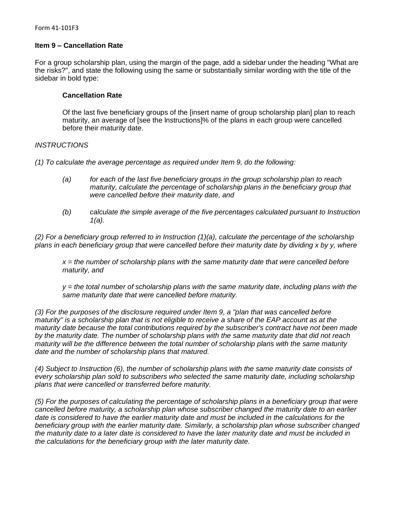### <span id="page-15-0"></span>**Item 9 – Cancellation Rate**

For a group scholarship plan, using the margin of the page, add a sidebar under the heading "What are the risks?", and state the following using the same or substantially similar wording with the title of the sidebar in bold type:

## **Cancellation Rate**

Of the last five beneficiary groups of the [insert name of group scholarship plan] plan to reach maturity, an average of [see the lnstructions]% of the plans in each group were cancelled before their maturity date.

## *INSTRUCTIONS*

*(1) To calculate the average percentage as required under Item 9, do the following:*

- *(a) for each of the last five beneficiary groups in the group scholarship plan to reach maturity, calculate the percentage of scholarship plans in the beneficiary group that were cancelled before their maturity date, and*
- *(b) calculate the simple average of the five percentages calculated pursuant to Instruction 1(a).*

*(2) For a beneficiary group referred to in Instruction (1)(a), calculate the percentage of the scholarship plans in each beneficiary group that were cancelled before their maturity date by dividing x by y, where*

*x = the number of scholarship plans with the same maturity date that were cancelled before maturity, and*

*y = the total number of scholarship plans with the same maturity date, including plans with the same maturity date that were cancelled before maturity.*

*(3) For the purposes of the disclosure required under Item 9, a "plan that was cancelled before maturity" is a scholarship plan that is not eligible to receive a share of the EAP account as at the maturity date because the total contributions required by the subscriber's contract have not been made by the maturity date. The number of scholarship plans with the same maturity date that did not reach maturity will be the difference between the total number of scholarship plans with the same maturity date and the number of scholarship plans that matured.*

*(4) Subject to Instruction (6), the number of scholarship plans with the same maturity date consists of*  every scholarship plan sold to subscribers who selected the same maturity date, including scholarship *plans that were cancelled or transferred before maturity.*

*(5) For the purposes of calculating the percentage of scholarship plans in a beneficiary group that were cancelled before maturity, a scholarship plan whose subscriber changed the maturity date to an earlier*  date is considered to have the earlier maturity date and must be included in the calculations for the *beneficiary group with the earlier maturity date. Similarly, a scholarship plan whose subscriber changed the maturity date to a later date is considered to have the later maturity date and must be included in the calculations for the beneficiary group with the later maturity date.*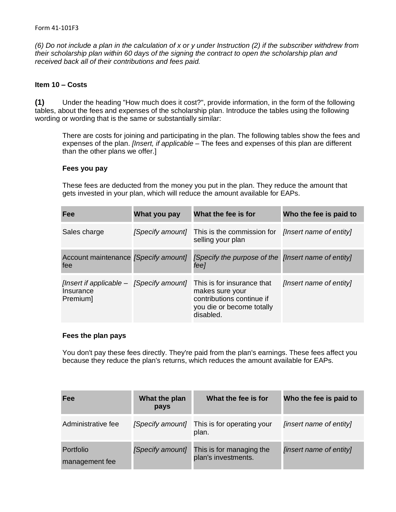*(6) Do not include a plan in the calculation of x or y under Instruction (2) if the subscriber withdrew from their scholarship plan within 60 days of the signing the contract to open the scholarship plan and received back all of their contributions and fees paid.*

### <span id="page-16-0"></span>**Item 10 – Costs**

**(1)** Under the heading "How much does it cost?", provide information, in the form of the following tables, about the fees and expenses of the scholarship plan. Introduce the tables using the following wording or wording that is the same or substantially similar:

There are costs for joining and participating in the plan. The following tables show the fees and expenses of the plan. *[Insert, if applicable –* The fees and expenses of this plan are different than the other plans we offer.]

#### **Fees you pay**

These fees are deducted from the money you put in the plan. They reduce the amount that gets invested in your plan, which will reduce the amount available for EAPs.

| Fee                                                               | What you pay | What the fee is for                                                                                                  | Who the fee is paid to  |
|-------------------------------------------------------------------|--------------|----------------------------------------------------------------------------------------------------------------------|-------------------------|
| Sales charge                                                      |              | [Specify amount] This is the commission for [Insert name of entity]<br>selling your plan                             |                         |
| Account maintenance <i>[Specify amount]</i><br>fee                |              | [Specify the purpose of the [Insert name of entity]<br>fee <sub>l</sub>                                              |                         |
| [Insert if applicable - [Specify amount]<br>Insurance<br>Premium] |              | This is for insurance that<br>makes sure your<br>contributions continue if<br>you die or become totally<br>disabled. | [Insert name of entity] |

#### **Fees the plan pays**

You don't pay these fees directly. They're paid from the plan's earnings. These fees affect you because they reduce the plan's returns, which reduces the amount available for EAPs.

| Fee                         | What the plan<br>pays | What the fee is for                                  | Who the fee is paid to         |
|-----------------------------|-----------------------|------------------------------------------------------|--------------------------------|
| Administrative fee          |                       | [Specify amount] This is for operating your<br>plan. | [insert name of entity]        |
| Portfolio<br>management fee | [Specify amount]      | This is for managing the<br>plan's investments.      | <i>[insert name of entity]</i> |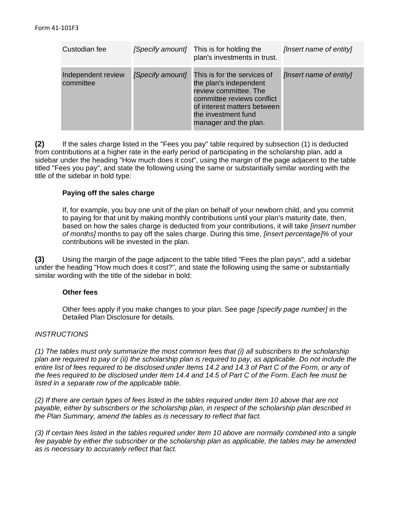| Custodian fee                   |                  | [Specify amount] This is for holding the<br>plan's investments in trust.                                                                                                                    | [Insert name of entity] |
|---------------------------------|------------------|---------------------------------------------------------------------------------------------------------------------------------------------------------------------------------------------|-------------------------|
| Independent review<br>committee | [Specify amount] | This is for the services of<br>the plan's independent<br>review committee. The<br>committee reviews conflict<br>of interest matters between<br>the investment fund<br>manager and the plan. | [Insert name of entity] |

**(2)** If the sales charge listed in the "Fees you pay" table required by subsection (1) is deducted from contributions at a higher rate in the early period of participating in the scholarship plan, add a sidebar under the heading "How much does it cost", using the margin of the page adjacent to the table titled "Fees you pay", and state the following using the same or substantially similar wording with the title of the sidebar in bold type:

#### **Paying off the sales charge**

If, for example, you buy one unit of the plan on behalf of your newborn child, and you commit to paying for that unit by making monthly contributions until your plan's maturity date, then, based on how the sales charge is deducted from your contributions, it will take *[insert number of months]* months to pay off the sales charge. During this time, *[insert percentage]%* of your contributions will be invested in the plan.

**(3)** Using the margin of the page adjacent to the table titled "Fees the plan pays", add a sidebar under the heading "How much does it cost?", and state the following using the same or substantially similar wording with the title of the sidebar in bold:

#### **Other fees**

Other fees apply if you make changes to your plan. See page *[specify page number]* in the Detailed Plan Disclosure for details.

# *INSTRUCTIONS*

*(1) The tables must only summarize the most common fees that (i) all subscribers to the scholarship plan are required to pay or (ii) the scholarship plan is required to pay, as applicable. Do not include the entire list of fees required to be disclosed under Items 14.2 and 14.3 of Part C of the Form, or any of the fees required to be disclosed under Item 14.4 and 14.5 of Part C of the Form. Each fee must be listed in a separate row of the applicable table.*

*(2) If there are certain types of fees listed in the tables required under Item 10 above that are not payable, either by subscribers or the scholarship plan, in respect of the scholarship plan described in the Plan Summary, amend the tables as is necessary to reflect that fact.*

*(3) If certain fees listed in the tables required under Item 10 above are normally combined into a single fee payable by either the subscriber or the scholarship plan as applicable, the tables may be amended as is necessary to accurately reflect that fact.*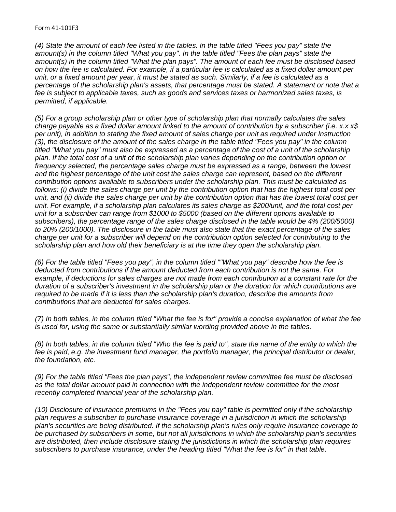*(4) State the amount of each fee listed in the tables. In the table titled "Fees you pay" state the amount(s) in the column titled "What you pay". In the table titled "Fees the plan pays" state the amount(s) in the column titled "What the plan pays". The amount of each fee must be disclosed based on how the fee is calculated. For example, if a particular fee is calculated as a fixed dollar amount per unit, or a fixed amount per year, it must be stated as such. Similarly, if a fee is calculated as a percentage of the scholarship plan's assets, that percentage must be stated. A statement or note that a fee is subject to applicable taxes, such as goods and services taxes or harmonized sales taxes, is permitted, if applicable.*

*(5) For a group scholarship plan or other type of scholarship plan that normally calculates the sales charge payable as a fixed dollar amount linked to the amount of contribution by a subscriber (i.e. x.x x\$ per unit), in addition to stating the fixed amount of sales charge per unit as required under Instruction (3), the disclosure of the amount of the sales charge in the table titled "Fees you pay" in the column titled "What you pay" must also be expressed as a percentage of the cost of a unit of the scholarship plan. If the total cost of a unit of the scholarship plan varies depending on the contribution option or frequency selected, the percentage sales charge must be expressed as a range, between the lowest and the highest percentage of the unit cost the sales charge can represent, based on the different contribution options available to subscribers under the scholarship plan. This must be calculated as follows: (i) divide the sales charge per unit by the contribution option that has the highest total cost per unit, and (ii) divide the sales charge per unit by the contribution option that has the lowest total cost per unit. For example, if a scholarship plan calculates its sales charge as \$200/unit, and the total cost per unit for a subscriber can range from \$1000 to \$5000 (based on the different options available to subscribers), the percentage range of the sales charge disclosed in the table would be 4% (200/5000) to 20% (200/1000). The disclosure in the table must also state that the exact percentage of the sales charge per unit for a subscriber will depend on the contribution option selected for contributing to the scholarship plan and how old their beneficiary is at the time they open the scholarship plan.*

*(6) For the table titled "Fees you pay", in the column titled ""What you pay" describe how the fee is deducted from contributions if the amount deducted from each contribution is not the same. For example, if deductions for sales charges are not made from each contribution at a constant rate for the duration of a subscriber's investment in the scholarship plan or the duration for which contributions are required to be made if it is less than the scholarship plan's duration, describe the amounts from contributions that are deducted for sales charges.*

*(7) In both tables, in the column titled "What the fee is for" provide a concise explanation of what the fee is used for, using the same or substantially similar wording provided above in the tables.*

*(8) In both tables, in the column titled "Who the fee is paid to", state the name of the entity to which the fee is paid, e.g. the investment fund manager, the portfolio manager, the principal distributor or dealer, the foundation, etc.*

*(9) For the table titled "Fees the plan pays", the independent review committee fee must be disclosed as the total dollar amount paid in connection with the independent review committee for the most recently completed financial year of the scholarship plan.*

*(10) Disclosure of insurance premiums in the "Fees you pay" table is permitted only if the scholarship plan requires a subscriber to purchase insurance coverage in a jurisdiction in which the scholarship plan's securities are being distributed. If the scholarship plan's rules only require insurance coverage to be purchased by subscribers in some, but not all jurisdictions in which the scholarship plan's securities are distributed, then include disclosure stating the jurisdictions in which the scholarship plan requires subscribers to purchase insurance, under the heading titled "What the fee is for" in that table.*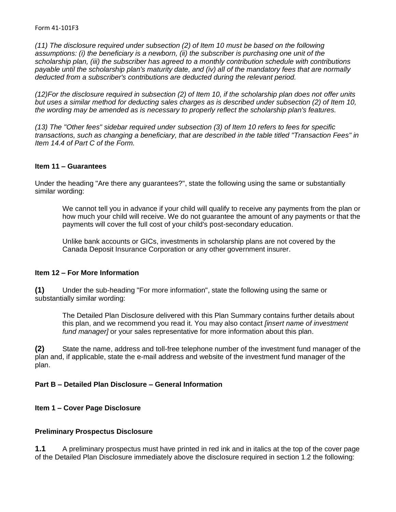*(11) The disclosure required under subsection (2) of Item 10 must be based on the following assumptions: (i) the beneficiary is a newborn, (ii) the subscriber is purchasing one unit of the scholarship plan, (iii) the subscriber has agreed to a monthly contribution schedule with contributions payable until the scholarship plan's maturity date, and (iv) all of the mandatory fees that are normally deducted from a subscriber's contributions are deducted during the relevant period.*

*(12)For the disclosure required in subsection (2) of Item 10, if the scholarship plan does not offer units but uses a similar method for deducting sales charges as is described under subsection (2) of Item 10, the wording may be amended as is necessary to properly reflect the scholarship plan's features.*

*(13) The "Other fees" sidebar required under subsection (3) of Item 10 refers to fees for specific transactions, such as changing a beneficiary, that are described in the table titled "Transaction Fees" in Item 14.4 of Part C of the Form.*

#### <span id="page-19-0"></span>**Item 11 – Guarantees**

Under the heading "Are there any guarantees?", state the following using the same or substantially similar wording:

We cannot tell you in advance if your child will qualify to receive any payments from the plan or how much your child will receive. We do not guarantee the amount of any payments or that the payments will cover the full cost of your child's post-secondary education.

Unlike bank accounts or GICs, investments in scholarship plans are not covered by the Canada Deposit Insurance Corporation or any other government insurer.

#### <span id="page-19-1"></span>**Item 12 – For More Information**

**(1)** Under the sub-heading "For more information", state the following using the same or substantially similar wording:

The Detailed Plan Disclosure delivered with this Plan Summary contains further details about this plan, and we recommend you read it. You may also contact *[insert name of investment fund manager]* or your sales representative for more information about this plan.

**(2)** State the name, address and toll-free telephone number of the investment fund manager of the plan and, if applicable, state the e-mail address and website of the investment fund manager of the plan.

# <span id="page-19-2"></span>**Part B – Detailed Plan Disclosure – General Information**

# <span id="page-19-3"></span>**Item 1 – Cover Page Disclosure**

#### <span id="page-19-4"></span>**Preliminary Prospectus Disclosure**

**1.1** A preliminary prospectus must have printed in red ink and in italics at the top of the cover page of the Detailed Plan Disclosure immediately above the disclosure required in section 1.2 the following: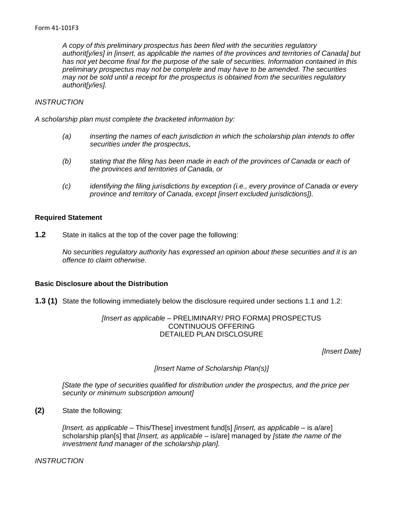*A copy of this preliminary prospectus has been filed with the securities regulatory authorit[y/ies] in [insert, as applicable the names of the provinces and territories of Canada] but has not yet become final for the purpose of the sale of securities. Information contained in this preliminary prospectus may not be complete and may have to be amended. The securities may not be sold until a receipt for the prospectus is obtained from the securities regulatory authorit[y/ies].*

## *INSTRUCTION*

*A scholarship plan must complete the bracketed information by:*

- *(a) inserting the names of each jurisdiction in which the scholarship plan intends to offer securities under the prospectus,*
- *(b) stating that the filing has been made in each of the provinces of Canada or each of the provinces and territories of Canada, or*
- *(c) identifying the filing jurisdictions by exception (i.e., every province of Canada or every province and territory of Canada, except [insert excluded jurisdictions]).*

#### <span id="page-20-0"></span>**Required Statement**

**1.2** State in italics at the top of the cover page the following:

*No securities regulatory authority has expressed an opinion about these securities and it is an offence to claim otherwise.*

#### <span id="page-20-1"></span>**Basic Disclosure about the Distribution**

**1.3 (1)** State the following immediately below the disclosure required under sections 1.1 and 1.2:

#### *[Insert as applicable –* PRELIMINARY/ PRO FORMA] PROSPECTUS CONTINUOUS OFFERING DETAILED PLAN DISCLOSURE

*[Insert Date]*

*[Insert Name of Scholarship Plan(s)]*

*[State the type of securities qualified for distribution under the prospectus, and the price per security or minimum subscription amount]*

**(2)** State the following:

*[Insert, as applicable –* This/These] investment fund[s] *[insert, as applicable –* is a/are] scholarship plan[s] that *[Insert, as applicable –* is/are] managed by *[state the name of the investment fund manager of the scholarship plan].*

*INSTRUCTION*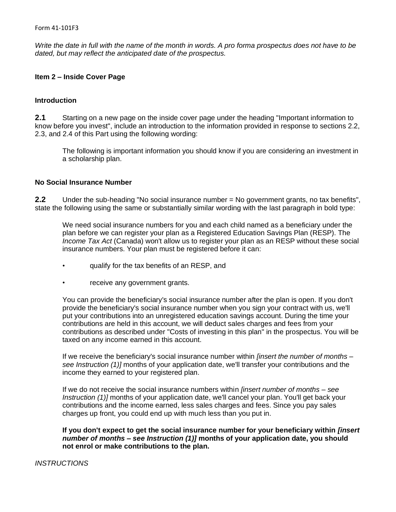#### Form 41-101F3

<span id="page-21-0"></span>*Write the date in full with the name of the month in words. A pro forma prospectus does not have to be dated, but may reflect the anticipated date of the prospectus.*

### **Item 2 – Inside Cover Page**

### <span id="page-21-1"></span>**Introduction**

**2.1** Starting on a new page on the inside cover page under the heading "Important information to know before you invest", include an introduction to the information provided in response to sections 2.2, 2.3, and 2.4 of this Part using the following wording:

The following is important information you should know if you are considering an investment in a scholarship plan.

#### <span id="page-21-2"></span>**No Social Insurance Number**

**2.2** Under the sub-heading "No social insurance number = No government grants, no tax benefits", state the following using the same or substantially similar wording with the last paragraph in bold type:

We need social insurance numbers for you and each child named as a beneficiary under the plan before we can register your plan as a Registered Education Savings Plan (RESP). The *Income Tax Act* (Canada) won't allow us to register your plan as an RESP without these social insurance numbers. Your plan must be registered before it can:

- qualify for the tax benefits of an RESP, and
- receive any government grants.

You can provide the beneficiary's social insurance number after the plan is open. If you don't provide the beneficiary's social insurance number when you sign your contract with us, we'll put your contributions into an unregistered education savings account. During the time your contributions are held in this account, we will deduct sales charges and fees from your contributions as described under "Costs of investing in this plan" in the prospectus. You will be taxed on any income earned in this account.

If we receive the beneficiary's social insurance number within *[insert the number of months – see Instruction (1)]* months of your application date, we'll transfer your contributions and the income they earned to your registered plan.

If we do not receive the social insurance numbers within *[insert number of months – see Instruction (1)]* months of your application date, we'll cancel your plan. You'll get back your contributions and the income earned, less sales charges and fees. Since you pay sales charges up front, you could end up with much less than you put in.

If you don't expect to get the social insurance number for your beneficiary within *[insert number of months – see Instruction (1)]* **months of your application date, you should not enrol or make contributions to the plan.**

## *INSTRUCTIONS*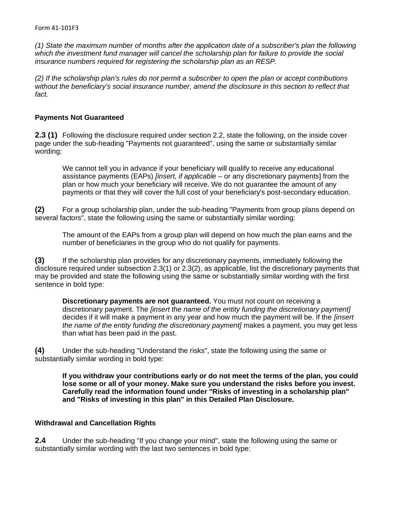*(1) State the maximum number of months after the application date of a subscriber's plan the following which the investment fund manager will cancel the scholarship plan for failure to provide the social insurance numbers required for registering the scholarship plan as an RESP.*

*(2) If the scholarship plan's rules do not permit a subscriber to open the plan or accept contributions*  without the beneficiary's social insurance number, amend the disclosure in this section to reflect that *fact.*

## <span id="page-22-0"></span>**Payments Not Guaranteed**

**2.3 (1)** Following the disclosure required under section 2.2, state the following, on the inside cover page under the sub-heading "Payments not guaranteed", using the same or substantially similar wording:

We cannot tell you in advance if your beneficiary will qualify to receive any educational assistance payments (EAPs) *[insert, if applicable –* or any discretionary payments] from the plan or how much your beneficiary will receive. We do not guarantee the amount of any payments or that they will cover the full cost of your beneficiary's post-secondary education.

**(2)** For a group scholarship plan, under the sub-heading "Payments from group plans depend on several factors", state the following using the same or substantially similar wording:

The amount of the EAPs from a group plan will depend on how much the plan earns and the number of beneficiaries in the group who do not qualify for payments.

**(3)** If the scholarship plan provides for any discretionary payments, immediately following the disclosure required under subsection 2.3(1) or 2.3(2), as applicable, list the discretionary payments that may be provided and state the following using the same or substantially similar wording with the first sentence in bold type:

**Discretionary payments are not guaranteed.** You must not count on receiving a discretionary payment. The *[insert the name of the entity funding the discretionary payment]*  decides if it will make a payment in any year and how much the payment will be. If the *[insert the name of the entity funding the discretionary payment]* makes a payment, you may get less than what has been paid in the past.

**(4)** Under the sub-heading "Understand the risks", state the following using the same or substantially similar wording in bold type:

**If you withdraw your contributions early or do not meet the terms of the plan, you could lose some or all of your money. Make sure you understand the risks before you invest. Carefully read the information found under "Risks of investing in a scholarship plan" and "Risks of investing in this plan" in this Detailed Plan Disclosure.**

#### <span id="page-22-1"></span>**Withdrawal and Cancellation Rights**

**2.4** Under the sub-heading "If you change your mind", state the following using the same or substantially similar wording with the last two sentences in bold type: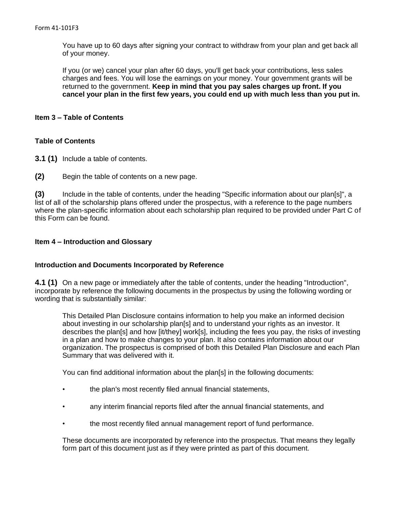You have up to 60 days after signing your contract to withdraw from your plan and get back all of your money.

If you (or we) cancel your plan after 60 days, you'll get back your contributions, less sales charges and fees. You will lose the earnings on your money. Your government grants will be returned to the government. **Keep in mind that you pay sales charges up front. If you cancel your plan in the first few years, you could end up with much less than you put in.**

# <span id="page-23-0"></span>**Item 3 – Table of Contents**

## <span id="page-23-1"></span>**Table of Contents**

**3.1 (1)** Include a table of contents.

**(2)** Begin the table of contents on a new page.

**(3)** Include in the table of contents, under the heading "Specific information about our plan[s]", a list of all of the scholarship plans offered under the prospectus, with a reference to the page numbers where the plan-specific information about each scholarship plan required to be provided under Part C of this Form can be found.

## <span id="page-23-2"></span>**Item 4 – Introduction and Glossary**

#### <span id="page-23-3"></span>**Introduction and Documents Incorporated by Reference**

**4.1 (1)** On a new page or immediately after the table of contents, under the heading "Introduction", incorporate by reference the following documents in the prospectus by using the following wording or wording that is substantially similar:

This Detailed Plan Disclosure contains information to help you make an informed decision about investing in our scholarship plan[s] and to understand your rights as an investor. It describes the plan[s] and how [it/they] work[s], including the fees you pay, the risks of investing in a plan and how to make changes to your plan. It also contains information about our organization. The prospectus is comprised of both this Detailed Plan Disclosure and each Plan Summary that was delivered with it.

You can find additional information about the plan[s] in the following documents:

- the plan's most recently filed annual financial statements,
- any interim financial reports filed after the annual financial statements, and
- the most recently filed annual management report of fund performance.

These documents are incorporated by reference into the prospectus. That means they legally form part of this document just as if they were printed as part of this document.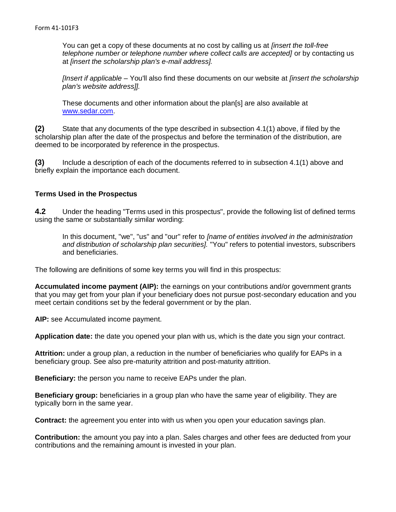You can get a copy of these documents at no cost by calling us at *[insert the toll-free telephone number or telephone number where collect calls are accepted]* or by contacting us at *[insert the scholarship plan's e-mail address].*

*[Insert if applicable –* You'll also find these documents on our website at *[insert the scholarship plan's website address]].*

These documents and other information about the plan[s] are also available at [www.sedar.com.](http://www.sedar.com/)

**(2)** State that any documents of the type described in subsection 4.1(1) above, if filed by the scholarship plan after the date of the prospectus and before the termination of the distribution, are deemed to be incorporated by reference in the prospectus.

<span id="page-24-0"></span>**(3)** Include a description of each of the documents referred to in subsection 4.1(1) above and briefly explain the importance each document.

#### **Terms Used in the Prospectus**

**4.2** Under the heading "Terms used in this prospectus", provide the following list of defined terms using the same or substantially similar wording:

In this document, "we", "us" and "our" refer to *[name of entities involved in the administration and distribution of scholarship plan securities].* "You" refers to potential investors, subscribers and beneficiaries.

The following are definitions of some key terms you will find in this prospectus:

**Accumulated income payment (AIP):** the earnings on your contributions and/or government grants that you may get from your plan if your beneficiary does not pursue post-secondary education and you meet certain conditions set by the federal government or by the plan.

**AIP:** see Accumulated income payment.

**Application date:** the date you opened your plan with us, which is the date you sign your contract.

**Attrition:** under a group plan, a reduction in the number of beneficiaries who qualify for EAPs in a beneficiary group. See also pre-maturity attrition and post-maturity attrition.

**Beneficiary:** the person you name to receive EAPs under the plan.

**Beneficiary group:** beneficiaries in a group plan who have the same year of eligibility. They are typically born in the same year.

**Contract:** the agreement you enter into with us when you open your education savings plan.

**Contribution:** the amount you pay into a plan. Sales charges and other fees are deducted from your contributions and the remaining amount is invested in your plan.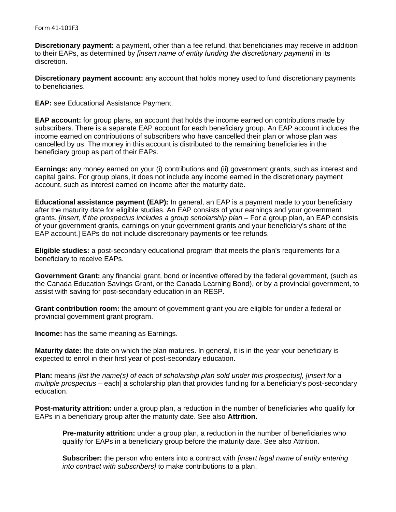**Discretionary payment:** a payment, other than a fee refund, that beneficiaries may receive in addition to their EAPs, as determined by *[insert name of entity funding the discretionary payment]* in its discretion.

**Discretionary payment account:** any account that holds money used to fund discretionary payments to beneficiaries.

**EAP:** see Educational Assistance Payment.

**EAP account:** for group plans, an account that holds the income earned on contributions made by subscribers. There is a separate EAP account for each beneficiary group. An EAP account includes the income earned on contributions of subscribers who have cancelled their plan or whose plan was cancelled by us. The money in this account is distributed to the remaining beneficiaries in the beneficiary group as part of their EAPs.

**Earnings:** any money earned on your (i) contributions and (ii) government grants, such as interest and capital gains. For group plans, it does not include any income earned in the discretionary payment account, such as interest earned on income after the maturity date.

**Educational assistance payment (EAP):** In general, an EAP is a payment made to your beneficiary after the maturity date for eligible studies. An EAP consists of your earnings and your government grants. *[Insert, if the prospectus includes a group scholarship plan –* For a group plan, an EAP consists of your government grants, earnings on your government grants and your beneficiary's share of the EAP account.] EAPs do not include discretionary payments or fee refunds.

**Eligible studies:** a post-secondary educational program that meets the plan's requirements for a beneficiary to receive EAPs.

**Government Grant:** any financial grant, bond or incentive offered by the federal government, (such as the Canada Education Savings Grant, or the Canada Learning Bond), or by a provincial government, to assist with saving for post-secondary education in an RESP.

**Grant contribution room:** the amount of government grant you are eligible for under a federal or provincial government grant program.

**Income:** has the same meaning as Earnings.

**Maturity date:** the date on which the plan matures. In general, it is in the year your beneficiary is expected to enrol in their first year of post-secondary education.

**Plan:** means *[list the name(s) of each of scholarship plan sold under this prospectus], [insert for a multiple prospectus –* each] a scholarship plan that provides funding for a beneficiary's post-secondary education.

**Post-maturity attrition:** under a group plan, a reduction in the number of beneficiaries who qualify for EAPs in a beneficiary group after the maturity date. See also **Attrition.**

**Pre-maturity attrition:** under a group plan, a reduction in the number of beneficiaries who qualify for EAPs in a beneficiary group before the maturity date. See also Attrition.

**Subscriber:** the person who enters into a contract with *[insert legal name of entity entering into contract with subscribers]* to make contributions to a plan.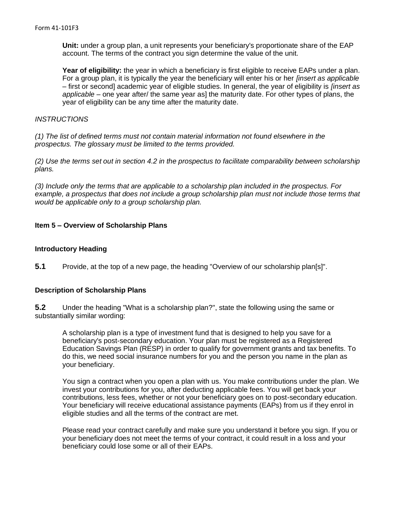**Unit:** under a group plan, a unit represents your beneficiary's proportionate share of the EAP account. The terms of the contract you sign determine the value of the unit.

**Year of eligibility:** the year in which a beneficiary is first eligible to receive EAPs under a plan. For a group plan, it is typically the year the beneficiary will enter his or her *[insert as applicable –* first or second] academic year of eligible studies. In general, the year of eligibility is *[insert as applicable –* one year after/ the same year as] the maturity date. For other types of plans, the year of eligibility can be any time after the maturity date.

### *INSTRUCTIONS*

*(1) The list of defined terms must not contain material information not found elsewhere in the prospectus. The glossary must be limited to the terms provided.*

*(2) Use the terms set out in section 4.2 in the prospectus to facilitate comparability between scholarship plans.*

*(3) Include only the terms that are applicable to a scholarship plan included in the prospectus. For example, a prospectus that does not include a group scholarship plan must not include those terms that would be applicable only to a group scholarship plan.*

## <span id="page-26-0"></span>**Item 5 – Overview of Scholarship Plans**

#### <span id="page-26-1"></span>**Introductory Heading**

<span id="page-26-2"></span>**5.1** Provide, at the top of a new page, the heading "Overview of our scholarship plan[s]".

#### **Description of Scholarship Plans**

**5.2** Under the heading "What is a scholarship plan?", state the following using the same or substantially similar wording:

A scholarship plan is a type of investment fund that is designed to help you save for a beneficiary's post-secondary education. Your plan must be registered as a Registered Education Savings Plan (RESP) in order to qualify for government grants and tax benefits. To do this, we need social insurance numbers for you and the person you name in the plan as your beneficiary.

You sign a contract when you open a plan with us. You make contributions under the plan. We invest your contributions for you, after deducting applicable fees. You will get back your contributions, less fees, whether or not your beneficiary goes on to post-secondary education. Your beneficiary will receive educational assistance payments (EAPs) from us if they enrol in eligible studies and all the terms of the contract are met.

Please read your contract carefully and make sure you understand it before you sign. If you or your beneficiary does not meet the terms of your contract, it could result in a loss and your beneficiary could lose some or all of their EAPs.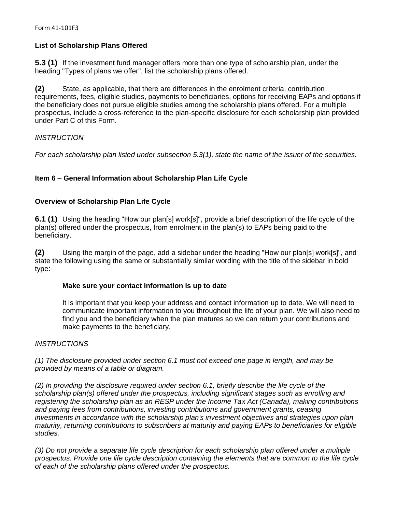# <span id="page-27-0"></span>**List of Scholarship Plans Offered**

**5.3 (1)** If the investment fund manager offers more than one type of scholarship plan, under the heading "Types of plans we offer", list the scholarship plans offered.

**(2)** State, as applicable, that there are differences in the enrolment criteria, contribution requirements, fees, eligible studies, payments to beneficiaries, options for receiving EAPs and options if the beneficiary does not pursue eligible studies among the scholarship plans offered. For a multiple prospectus, include a cross-reference to the plan-specific disclosure for each scholarship plan provided under Part C of this Form.

# *INSTRUCTION*

<span id="page-27-1"></span>*For each scholarship plan listed under subsection 5.3(1), state the name of the issuer of the securities.*

# **Item 6 – General Information about Scholarship Plan Life Cycle**

# <span id="page-27-2"></span>**Overview of Scholarship Plan Life Cycle**

**6.1 (1)** Using the heading "How our plan[s] work[s]", provide a brief description of the life cycle of the plan(s) offered under the prospectus, from enrolment in the plan(s) to EAPs being paid to the beneficiary.

**(2)** Using the margin of the page, add a sidebar under the heading "How our plan[s] work[s]", and state the following using the same or substantially similar wording with the title of the sidebar in bold type:

# **Make sure your contact information is up to date**

It is important that you keep your address and contact information up to date. We will need to communicate important information to you throughout the life of your plan. We will also need to find you and the beneficiary when the plan matures so we can return your contributions and make payments to the beneficiary.

# *INSTRUCTIONS*

*(1) The disclosure provided under section 6.1 must not exceed one page in length, and may be provided by means of a table or diagram.*

*(2) In providing the disclosure required under section 6.1, briefly describe the life cycle of the scholarship plan(s) offered under the prospectus, including significant stages such as enrolling and registering the scholarship plan as an RESP under the Income Tax Act (Canada), making contributions and paying fees from contributions, investing contributions and government grants, ceasing investments in accordance with the scholarship plan's investment objectives and strategies upon plan maturity, returning contributions to subscribers at maturity and paying EAPs to beneficiaries for eligible studies.*

*(3) Do not provide a separate life cycle description for each scholarship plan offered under a multiple prospectus. Provide one life cycle description containing the elements that are common to the life cycle of each of the scholarship plans offered under the prospectus.*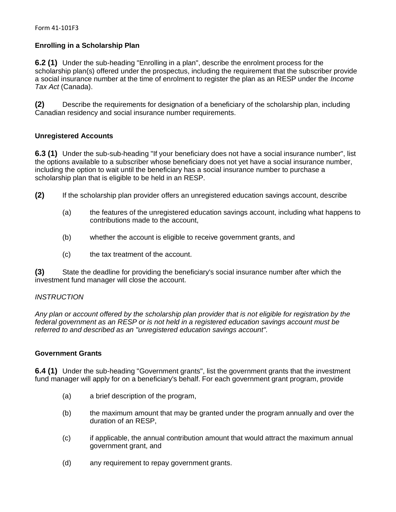# <span id="page-28-0"></span>**Enrolling in a Scholarship Plan**

**6.2 (1)** Under the sub-heading "Enrolling in a plan", describe the enrolment process for the scholarship plan(s) offered under the prospectus, including the requirement that the subscriber provide a social insurance number at the time of enrolment to register the plan as an RESP under the *Income Tax Act* (Canada).

**(2)** Describe the requirements for designation of a beneficiary of the scholarship plan, including Canadian residency and social insurance number requirements.

# <span id="page-28-1"></span>**Unregistered Accounts**

**6.3 (1)** Under the sub-sub-heading "If your beneficiary does not have a social insurance number", list the options available to a subscriber whose beneficiary does not yet have a social insurance number, including the option to wait until the beneficiary has a social insurance number to purchase a scholarship plan that is eligible to be held in an RESP.

- **(2)** If the scholarship plan provider offers an unregistered education savings account, describe
	- (a) the features of the unregistered education savings account, including what happens to contributions made to the account,
	- (b) whether the account is eligible to receive government grants, and
	- (c) the tax treatment of the account.

**(3)** State the deadline for providing the beneficiary's social insurance number after which the investment fund manager will close the account.

#### *INSTRUCTION*

*Any plan or account offered by the scholarship plan provider that is not eligible for registration by the federal government as an RESP or is not held in a registered education savings account must be referred to and described as an "unregistered education savings account".*

# <span id="page-28-2"></span>**Government Grants**

**6.4 (1)** Under the sub-heading "Government grants", list the government grants that the investment fund manager will apply for on a beneficiary's behalf. For each government grant program, provide

- (a) a brief description of the program,
- (b) the maximum amount that may be granted under the program annually and over the duration of an RESP,
- (c) if applicable, the annual contribution amount that would attract the maximum annual government grant, and
- (d) any requirement to repay government grants.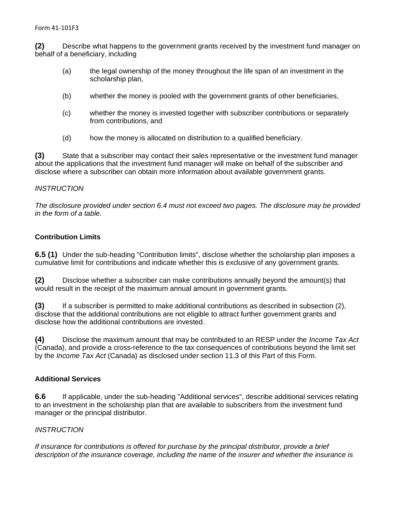**(2)** Describe what happens to the government grants received by the investment fund manager on behalf of a beneficiary, including

- (a) the legal ownership of the money throughout the life span of an investment in the scholarship plan,
- (b) whether the money is pooled with the government grants of other beneficiaries,
- (c) whether the money is invested together with subscriber contributions or separately from contributions, and
- (d) how the money is allocated on distribution to a qualified beneficiary.

**(3)** State that a subscriber may contact their sales representative or the investment fund manager about the applications that the investment fund manager will make on behalf of the subscriber and disclose where a subscriber can obtain more information about available government grants.

## *INSTRUCTION*

*The disclosure provided under section 6.4 must not exceed two pages. The disclosure may be provided in the form of a table.*

## <span id="page-29-0"></span>**Contribution Limits**

**6.5 (1)** Under the sub-heading "Contribution limits", disclose whether the scholarship plan imposes a cumulative limit for contributions and indicate whether this is exclusive of any government grants.

**(2)** Disclose whether a subscriber can make contributions annually beyond the amount(s) that would result in the receipt of the maximum annual amount in government grants.

**(3)** If a subscriber is permitted to make additional contributions as described in subsection (2), disclose that the additional contributions are not eligible to attract further government grants and disclose how the additional contributions are invested.

**(4)** Disclose the maximum amount that may be contributed to an RESP under the *Income Tax Act*  (Canada), and provide a cross-reference to the tax consequences of contributions beyond the limit set by the *Income Tax Act* (Canada) as disclosed under section 11.3 of this Part of this Form.

#### <span id="page-29-1"></span>**Additional Services**

**6.6** If applicable, under the sub-heading "Additional services", describe additional services relating to an investment in the scholarship plan that are available to subscribers from the investment fund manager or the principal distributor.

#### *INSTRUCTION*

*If insurance for contributions is offered for purchase by the principal distributor, provide a brief description of the insurance coverage, including the name of the insurer and whether the insurance is*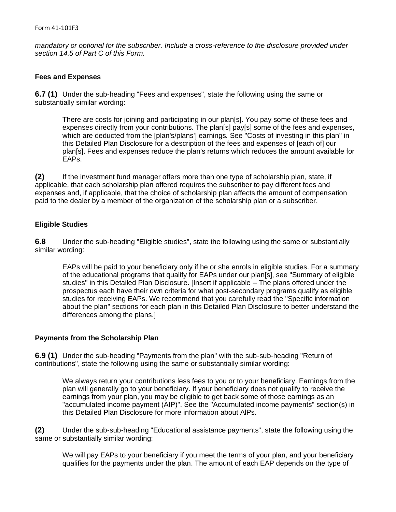<span id="page-30-0"></span>*mandatory or optional for the subscriber. Include a cross-reference to the disclosure provided under section 14.5 of Part C of this Form.*

## **Fees and Expenses**

**6.7 (1)** Under the sub-heading "Fees and expenses", state the following using the same or substantially similar wording:

There are costs for joining and participating in our plan[s]. You pay some of these fees and expenses directly from your contributions. The plan[s] pay[s] some of the fees and expenses, which are deducted from the [plan's/plans'] earnings. See "Costs of investing in this plan" in this Detailed Plan Disclosure for a description of the fees and expenses of [each of] our plan[s]. Fees and expenses reduce the plan's returns which reduces the amount available for EAPs.

**(2)** If the investment fund manager offers more than one type of scholarship plan, state, if applicable, that each scholarship plan offered requires the subscriber to pay different fees and expenses and, if applicable, that the choice of scholarship plan affects the amount of compensation paid to the dealer by a member of the organization of the scholarship plan or a subscriber.

## <span id="page-30-1"></span>**Eligible Studies**

**6.8** Under the sub-heading "Eligible studies", state the following using the same or substantially similar wording:

EAPs will be paid to your beneficiary only if he or she enrols in eligible studies. For a summary of the educational programs that qualify for EAPs under our plan[s], see "Summary of eligible studies" in this Detailed Plan Disclosure. [Insert if applicable *–* The plans offered under the prospectus each have their own criteria for what post-secondary programs qualify as eligible studies for receiving EAPs. We recommend that you carefully read the "Specific information about the plan" sections for each plan in this Detailed Plan Disclosure to better understand the differences among the plans.]

#### <span id="page-30-2"></span>**Payments from the Scholarship Plan**

**6.9 (1)** Under the sub-heading "Payments from the plan" with the sub-sub-heading "Return of contributions", state the following using the same or substantially similar wording:

We always return your contributions less fees to you or to your beneficiary. Earnings from the plan will generally go to your beneficiary. If your beneficiary does not qualify to receive the earnings from your plan, you may be eligible to get back some of those earnings as an "accumulated income payment (AIP)". See the "Accumulated income payments" section(s) in this Detailed Plan Disclosure for more information about AlPs.

**(2)** Under the sub-sub-heading "Educational assistance payments", state the following using the same or substantially similar wording:

We will pay EAPs to your beneficiary if you meet the terms of your plan, and your beneficiary qualifies for the payments under the plan. The amount of each EAP depends on the type of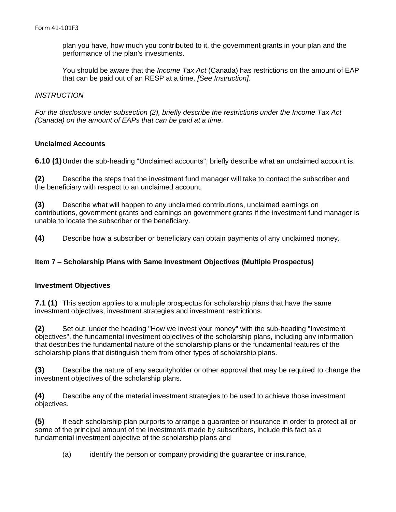plan you have, how much you contributed to it, the government grants in your plan and the performance of the plan's investments.

You should be aware that the *Income Tax Act* (Canada) has restrictions on the amount of EAP that can be paid out of an RESP at a time. *[See Instruction].*

## *INSTRUCTION*

*For the disclosure under subsection (2), briefly describe the restrictions under the Income Tax Act (Canada) on the amount of EAPs that can be paid at a time.*

# <span id="page-31-0"></span>**Unclaimed Accounts**

**6.10 (1)**Under the sub-heading "Unclaimed accounts", briefly describe what an unclaimed account is.

**(2)** Describe the steps that the investment fund manager will take to contact the subscriber and the beneficiary with respect to an unclaimed account.

**(3)** Describe what will happen to any unclaimed contributions, unclaimed earnings on contributions, government grants and earnings on government grants if the investment fund manager is unable to locate the subscriber or the beneficiary.

<span id="page-31-1"></span>**(4)** Describe how a subscriber or beneficiary can obtain payments of any unclaimed money.

# **Item 7 – Scholarship Plans with Same Investment Objectives (Multiple Prospectus)**

#### <span id="page-31-2"></span>**Investment Objectives**

**7.1 (1)** This section applies to a multiple prospectus for scholarship plans that have the same investment objectives, investment strategies and investment restrictions.

**(2)** Set out, under the heading "How we invest your money" with the sub-heading "Investment objectives", the fundamental investment objectives of the scholarship plans, including any information that describes the fundamental nature of the scholarship plans or the fundamental features of the scholarship plans that distinguish them from other types of scholarship plans.

**(3)** Describe the nature of any securityholder or other approval that may be required to change the investment objectives of the scholarship plans.

**(4)** Describe any of the material investment strategies to be used to achieve those investment objectives.

**(5)** If each scholarship plan purports to arrange a guarantee or insurance in order to protect all or some of the principal amount of the investments made by subscribers, include this fact as a fundamental investment objective of the scholarship plans and

(a) identify the person or company providing the guarantee or insurance,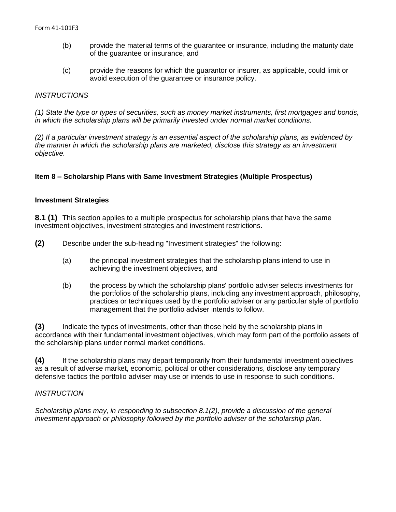- (b) provide the material terms of the guarantee or insurance, including the maturity date of the guarantee or insurance, and
- (c) provide the reasons for which the guarantor or insurer, as applicable, could limit or avoid execution of the guarantee or insurance policy.

### *INSTRUCTIONS*

*(1) State the type or types of securities, such as money market instruments, first mortgages and bonds, in which the scholarship plans will be primarily invested under normal market conditions.*

*(2) If a particular investment strategy is an essential aspect of the scholarship plans, as evidenced by the manner in which the scholarship plans are marketed, disclose this strategy as an investment objective.*

## <span id="page-32-0"></span>**Item 8 – Scholarship Plans with Same Investment Strategies (Multiple Prospectus)**

#### <span id="page-32-1"></span>**Investment Strategies**

**8.1 (1)** This section applies to a multiple prospectus for scholarship plans that have the same investment objectives, investment strategies and investment restrictions.

- **(2)** Describe under the sub-heading "Investment strategies" the following:
	- (a) the principal investment strategies that the scholarship plans intend to use in achieving the investment objectives, and
	- (b) the process by which the scholarship plans' portfolio adviser selects investments for the portfolios of the scholarship plans, including any investment approach, philosophy, practices or techniques used by the portfolio adviser or any particular style of portfolio management that the portfolio adviser intends to follow.

**(3)** Indicate the types of investments, other than those held by the scholarship plans in accordance with their fundamental investment objectives, which may form part of the portfolio assets of the scholarship plans under normal market conditions.

**(4)** If the scholarship plans may depart temporarily from their fundamental investment objectives as a result of adverse market, economic, political or other considerations, disclose any temporary defensive tactics the portfolio adviser may use or intends to use in response to such conditions.

#### *INSTRUCTION*

*Scholarship plans may, in responding to subsection 8.1(2), provide a discussion of the general investment approach or philosophy followed by the portfolio adviser of the scholarship plan.*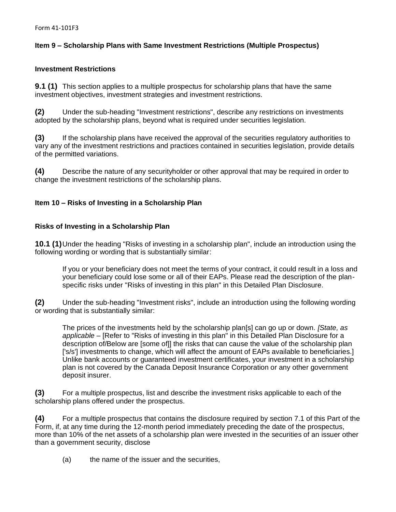# <span id="page-33-0"></span>**Item 9 – Scholarship Plans with Same Investment Restrictions (Multiple Prospectus)**

## <span id="page-33-1"></span>**Investment Restrictions**

**9.1 (1)** This section applies to a multiple prospectus for scholarship plans that have the same investment objectives, investment strategies and investment restrictions.

**(2)** Under the sub-heading "Investment restrictions", describe any restrictions on investments adopted by the scholarship plans, beyond what is required under securities legislation.

**(3)** If the scholarship plans have received the approval of the securities regulatory authorities to vary any of the investment restrictions and practices contained in securities legislation, provide details of the permitted variations.

**(4)** Describe the nature of any securityholder or other approval that may be required in order to change the investment restrictions of the scholarship plans.

# <span id="page-33-2"></span>**Item 10 – Risks of Investing in a Scholarship Plan**

## <span id="page-33-3"></span>**Risks of Investing in a Scholarship Plan**

**10.1 (1)**Under the heading "Risks of investing in a scholarship plan", include an introduction using the following wording or wording that is substantially similar:

If you or your beneficiary does not meet the terms of your contract, it could result in a loss and your beneficiary could lose some or all of their EAPs. Please read the description of the planspecific risks under "Risks of investing in this plan" in this Detailed Plan Disclosure.

**(2)** Under the sub-heading "Investment risks", include an introduction using the following wording or wording that is substantially similar:

The prices of the investments held by the scholarship plan[s] can go up or down. *[State, as applicable –* [Refer to "Risks of investing in this plan" in this Detailed Plan Disclosure for a description of/Below are [some of]] the risks that can cause the value of the scholarship plan ['s/s'] investments to change, which will affect the amount of EAPs available to beneficiaries.] Unlike bank accounts or guaranteed investment certificates, your investment in a scholarship plan is not covered by the Canada Deposit Insurance Corporation or any other government deposit insurer.

**(3)** For a multiple prospectus, list and describe the investment risks applicable to each of the scholarship plans offered under the prospectus.

**(4)** For a multiple prospectus that contains the disclosure required by section 7.1 of this Part of the Form, if, at any time during the 12-month period immediately preceding the date of the prospectus, more than 10% of the net assets of a scholarship plan were invested in the securities of an issuer other than a government security, disclose

(a) the name of the issuer and the securities,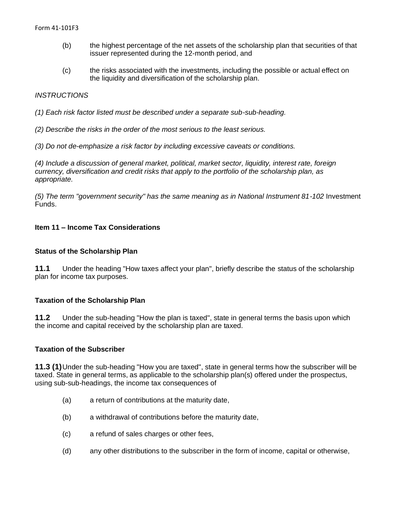- (b) the highest percentage of the net assets of the scholarship plan that securities of that issuer represented during the 12-month period, and
- (c) the risks associated with the investments, including the possible or actual effect on the liquidity and diversification of the scholarship plan.

## *INSTRUCTIONS*

*(1) Each risk factor listed must be described under a separate sub-sub-heading.*

*(2) Describe the risks in the order of the most serious to the least serious.*

*(3) Do not de-emphasize a risk factor by including excessive caveats or conditions.*

*(4) Include a discussion of general market, political, market sector, liquidity, interest rate, foreign currency, diversification and credit risks that apply to the portfolio of the scholarship plan, as appropriate.*

<span id="page-34-0"></span>*(5) The term "government security" has the same meaning as in National Instrument 81-102* Investment Funds.

#### **Item 11 – Income Tax Considerations**

#### <span id="page-34-1"></span>**Status of the Scholarship Plan**

**11.1** Under the heading "How taxes affect your plan", briefly describe the status of the scholarship plan for income tax purposes.

#### <span id="page-34-2"></span>**Taxation of the Scholarship Plan**

**11.2** Under the sub-heading "How the plan is taxed", state in general terms the basis upon which the income and capital received by the scholarship plan are taxed.

#### <span id="page-34-3"></span>**Taxation of the Subscriber**

**11.3 (1)**Under the sub-heading "How you are taxed", state in general terms how the subscriber will be taxed. State in general terms, as applicable to the scholarship plan(s) offered under the prospectus, using sub-sub-headings, the income tax consequences of

- (a) a return of contributions at the maturity date,
- (b) a withdrawal of contributions before the maturity date,
- (c) a refund of sales charges or other fees,
- (d) any other distributions to the subscriber in the form of income, capital or otherwise,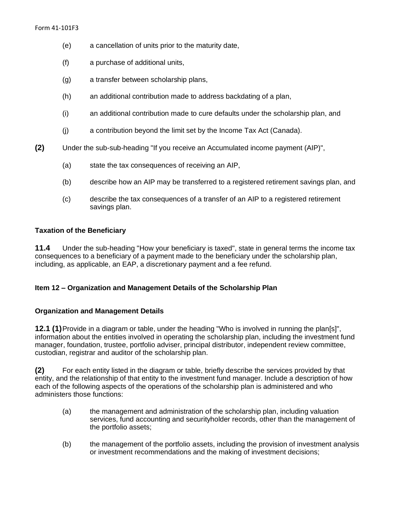- (e) a cancellation of units prior to the maturity date,
- (f) a purchase of additional units,
- (g) a transfer between scholarship plans,
- (h) an additional contribution made to address backdating of a plan,
- (i) an additional contribution made to cure defaults under the scholarship plan, and
- (j) a contribution beyond the limit set by the Income Tax Act (Canada).
- **(2)** Under the sub-sub-heading "If you receive an Accumulated income payment (AIP)",
	- (a) state the tax consequences of receiving an AIP,
	- (b) describe how an AIP may be transferred to a registered retirement savings plan, and
	- (c) describe the tax consequences of a transfer of an AIP to a registered retirement savings plan.

#### <span id="page-35-0"></span>**Taxation of the Beneficiary**

**11.4** Under the sub-heading "How your beneficiary is taxed", state in general terms the income tax consequences to a beneficiary of a payment made to the beneficiary under the scholarship plan, including, as applicable, an EAP, a discretionary payment and a fee refund.

# <span id="page-35-1"></span>**Item 12 – Organization and Management Details of the Scholarship Plan**

#### <span id="page-35-2"></span>**Organization and Management Details**

**12.1 (1)**Provide in a diagram or table, under the heading "Who is involved in running the plan[s]", information about the entities involved in operating the scholarship plan, including the investment fund manager, foundation, trustee, portfolio adviser, principal distributor, independent review committee, custodian, registrar and auditor of the scholarship plan.

**(2)** For each entity listed in the diagram or table, briefly describe the services provided by that entity, and the relationship of that entity to the investment fund manager. Include a description of how each of the following aspects of the operations of the scholarship plan is administered and who administers those functions:

- (a) the management and administration of the scholarship plan, including valuation services, fund accounting and securityholder records, other than the management of the portfolio assets;
- (b) the management of the portfolio assets, including the provision of investment analysis or investment recommendations and the making of investment decisions;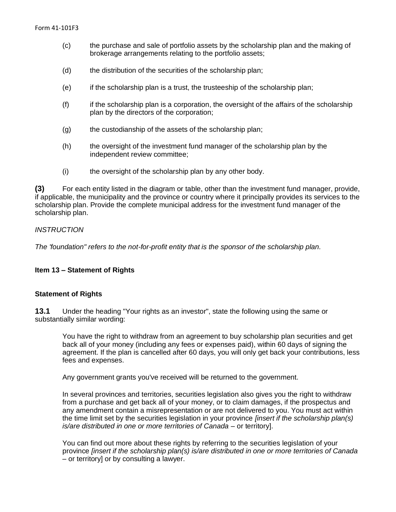- (c) the purchase and sale of portfolio assets by the scholarship plan and the making of brokerage arrangements relating to the portfolio assets;
- (d) the distribution of the securities of the scholarship plan;
- (e) if the scholarship plan is a trust, the trusteeship of the scholarship plan;
- (f) if the scholarship plan is a corporation, the oversight of the affairs of the scholarship plan by the directors of the corporation;
- (g) the custodianship of the assets of the scholarship plan;
- (h) the oversight of the investment fund manager of the scholarship plan by the independent review committee;
- (i) the oversight of the scholarship plan by any other body.

**(3)** For each entity listed in the diagram or table, other than the investment fund manager, provide, if applicable, the municipality and the province or country where it principally provides its services to the scholarship plan. Provide the complete municipal address for the investment fund manager of the scholarship plan.

# *INSTRUCTION*

*The 'foundation" refers to the not-for-profit entity that is the sponsor of the scholarship plan.*

# **Item 13 – Statement of Rights**

### **Statement of Rights**

**13.1** Under the heading "Your rights as an investor", state the following using the same or substantially similar wording:

You have the right to withdraw from an agreement to buy scholarship plan securities and get back all of your money (including any fees or expenses paid), within 60 days of signing the agreement. If the plan is cancelled after 60 days, you will only get back your contributions, less fees and expenses.

Any government grants you've received will be returned to the government.

In several provinces and territories, securities legislation also gives you the right to withdraw from a purchase and get back all of your money, or to claim damages, if the prospectus and any amendment contain a misrepresentation or are not delivered to you. You must act within the time limit set by the securities legislation in your province *[insert if the scholarship plan(s) is/are distributed in one or more territories of Canada –* or territory].

You can find out more about these rights by referring to the securities legislation of your province *[insert if the scholarship plan(s) is/are distributed in one or more territories of Canada –* or territory] or by consulting a lawyer.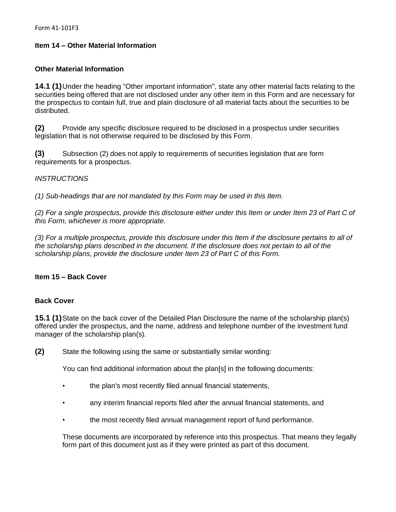# **Item 14 – Other Material Information**

### **Other Material Information**

**14.1 (1)**Under the heading "Other important information", state any other material facts relating to the securities being offered that are not disclosed under any other item in this Form and are necessary for the prospectus to contain full, true and plain disclosure of all material facts about the securities to be distributed.

**(2)** Provide any specific disclosure required to be disclosed in a prospectus under securities legislation that is not otherwise required to be disclosed by this Form.

**(3)** Subsection (2) does not apply to requirements of securities legislation that are form requirements for a prospectus.

### *INSTRUCTIONS*

*(1) Sub-headings that are not mandated by this Form may be used in this Item.*

*(2) For a single prospectus, provide this disclosure either under this Item or under Item 23 of Part C of this Form, whichever is more appropriate.*

*(3) For a multiple prospectus, provide this disclosure under this Item if the disclosure pertains to all of the scholarship plans described in the document. If the disclosure does not pertain to all of the scholarship plans, provide the disclosure under Item 23 of Part C of this Form.*

# **Item 15 – Back Cover**

### **Back Cover**

**15.1 (1)**State on the back cover of the Detailed Plan Disclosure the name of the scholarship plan(s) offered under the prospectus, and the name, address and telephone number of the investment fund manager of the scholarship plan(s).

**(2)** State the following using the same or substantially similar wording:

You can find additional information about the plan[s] in the following documents:

- the plan's most recently filed annual financial statements,
- any interim financial reports filed after the annual financial statements, and
- the most recently filed annual management report of fund performance.

These documents are incorporated by reference into this prospectus. That means they legally form part of this document just as if they were printed as part of this document.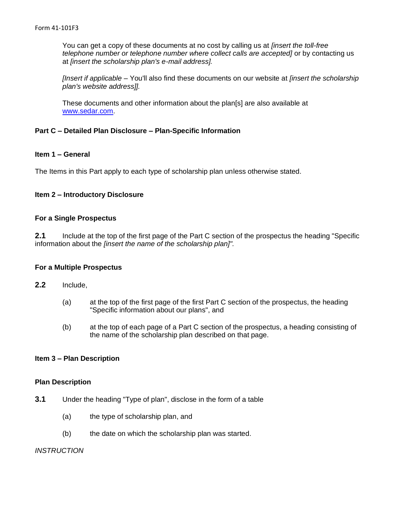You can get a copy of these documents at no cost by calling us at *[insert the toll-free telephone number or telephone number where collect calls are accepted]* or by contacting us at *[insert the scholarship plan's e-mail address].*

*[Insert if applicable –* You'll also find these documents on our website at *[insert the scholarship plan's website address]].*

These documents and other information about the plan[s] are also available at [www.sedar.com.](http://www.sedar.com/)

### **Part C – Detailed Plan Disclosure – Plan-Specific Information**

### **Item 1 – General**

The Items in this Part apply to each type of scholarship plan unless otherwise stated.

### **Item 2 – Introductory Disclosure**

### **For a Single Prospectus**

**2.1** Include at the top of the first page of the Part C section of the prospectus the heading "Specific information about the *[insert the name of the scholarship plan]".*

### **For a Multiple Prospectus**

- **2.2** Include,
	- (a) at the top of the first page of the first Part C section of the prospectus, the heading "Specific information about our plans", and
	- (b) at the top of each page of a Part C section of the prospectus, a heading consisting of the name of the scholarship plan described on that page.

### **Item 3 – Plan Description**

### **Plan Description**

- **3.1** Under the heading "Type of plan", disclose in the form of a table
	- (a) the type of scholarship plan, and
	- (b) the date on which the scholarship plan was started.

### *INSTRUCTION*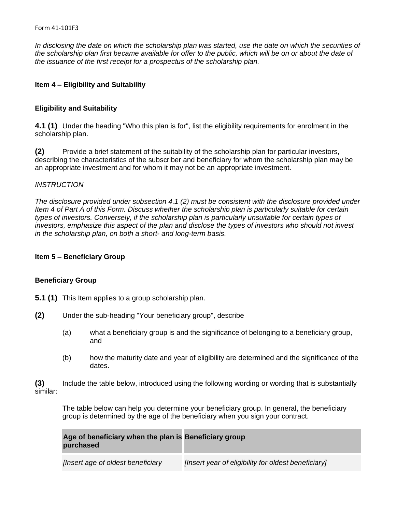*In disclosing the date on which the scholarship plan was started, use the date on which the securities of the scholarship plan first became available for offer to the public, which will be on or about the date of the issuance of the first receipt for a prospectus of the scholarship plan.*

### **Item 4 – Eligibility and Suitability**

### **Eligibility and Suitability**

**4.1 (1)** Under the heading "Who this plan is for", list the eligibility requirements for enrolment in the scholarship plan.

**(2)** Provide a brief statement of the suitability of the scholarship plan for particular investors, describing the characteristics of the subscriber and beneficiary for whom the scholarship plan may be an appropriate investment and for whom it may not be an appropriate investment.

### *INSTRUCTION*

*The disclosure provided under subsection 4.1 (2) must be consistent with the disclosure provided under Item 4 of Part A of this Form. Discuss whether the scholarship plan is particularly suitable for certain types of investors. Conversely, if the scholarship plan is particularly unsuitable for certain types of investors, emphasize this aspect of the plan and disclose the types of investors who should not invest in the scholarship plan, on both a short- and long-term basis.*

### **Item 5 – Beneficiary Group**

### **Beneficiary Group**

- **5.1 (1)** This Item applies to a group scholarship plan.
- **(2)** Under the sub-heading "Your beneficiary group", describe
	- (a) what a beneficiary group is and the significance of belonging to a beneficiary group, and
	- (b) how the maturity date and year of eligibility are determined and the significance of the dates.

**(3)** Include the table below, introduced using the following wording or wording that is substantially similar:

The table below can help you determine your beneficiary group. In general, the beneficiary group is determined by the age of the beneficiary when you sign your contract.

| Age of beneficiary when the plan is Beneficiary group<br>purchased |                                                     |
|--------------------------------------------------------------------|-----------------------------------------------------|
| [Insert age of oldest beneficiary]                                 | [Insert year of eligibility for oldest beneficiary] |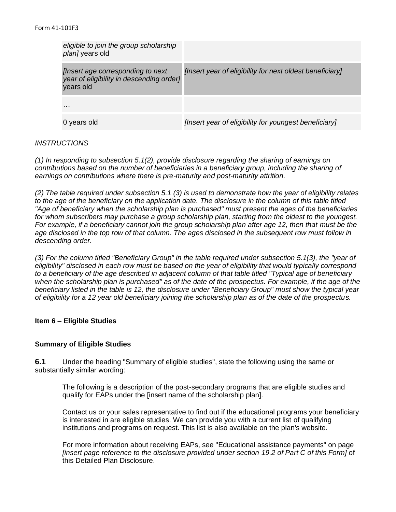| eligible to join the group scholarship<br>plan] years old                                         |                                                          |
|---------------------------------------------------------------------------------------------------|----------------------------------------------------------|
| <i>finsert age corresponding to next</i><br>year of eligibility in descending order]<br>years old | [Insert year of eligibility for next oldest beneficiary] |
| .                                                                                                 |                                                          |
| 0 years old                                                                                       | [Insert year of eligibility for youngest beneficiary]    |

### *INSTRUCTIONS*

*(1) In responding to subsection 5.1(2), provide disclosure regarding the sharing of earnings on contributions based on the number of beneficiaries in a beneficiary group, including the sharing of earnings on contributions where there is pre-maturity and post-maturity attrition.*

*(2) The table required under subsection 5.1 (3) is used to demonstrate how the year of eligibility relates*  to the age of the beneficiary on the application date. The disclosure in the column of this table titled *"Age of beneficiary when the scholarship plan is purchased" must present the ages of the beneficiaries for whom subscribers may purchase a group scholarship plan, starting from the oldest to the youngest. For example, if a beneficiary cannot join the group scholarship plan after age 12, then that must be the age disclosed in the top row of that column. The ages disclosed in the subsequent row must follow in descending order.*

*(3) For the column titled "Beneficiary Group" in the table required under subsection 5.1(3), the "year of eligibility" disclosed in each row must be based on the year of eligibility that would typically correspond to a beneficiary of the age described in adjacent column of that table titled "Typical age of beneficiary when the scholarship plan is purchased" as of the date of the prospectus. For example, if the age of the beneficiary listed in the table is 12, the disclosure under "Beneficiary Group" must show the typical year of eligibility for a 12 year old beneficiary joining the scholarship plan as of the date of the prospectus.*

### **Item 6 – Eligible Studies**

### **Summary of Eligible Studies**

**6.1** Under the heading "Summary of eligible studies", state the following using the same or substantially similar wording:

The following is a description of the post-secondary programs that are eligible studies and qualify for EAPs under the [insert name of the scholarship plan].

Contact us or your sales representative to find out if the educational programs your beneficiary is interested in are eligible studies. We can provide you with a current list of qualifying institutions and programs on request. This list is also available on the plan's website.

For more information about receiving EAPs, see "Educational assistance payments" on page *[insert page reference to the disclosure provided under section 19.2 of Part C of this Form]* of this Detailed Plan Disclosure.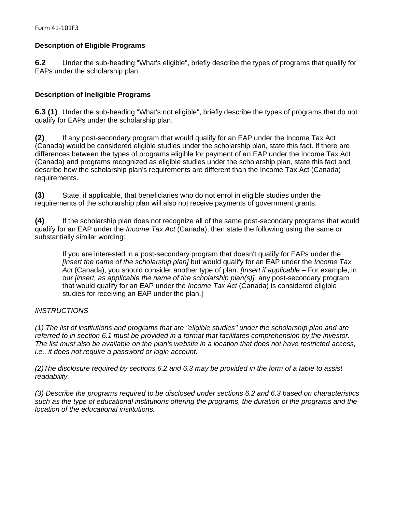# **Description of Eligible Programs**

**6.2** Under the sub-heading "What's eligible", briefly describe the types of programs that qualify for EAPs under the scholarship plan.

# **Description of Ineligible Programs**

**6.3 (1)** Under the sub-heading "What's not eligible", briefly describe the types of programs that do not qualify for EAPs under the scholarship plan.

**(2)** If any post-secondary program that would qualify for an EAP under the Income Tax Act (Canada) would be considered eligible studies under the scholarship plan, state this fact. If there are differences between the types of programs eligible for payment of an EAP under the Income Tax Act (Canada) and programs recognized as eligible studies under the scholarship plan, state this fact and describe how the scholarship plan's requirements are different than the Income Tax Act (Canada) requirements.

**(3)** State, if applicable, that beneficiaries who do not enrol in eligible studies under the requirements of the scholarship plan will also not receive payments of government grants.

**(4)** If the scholarship plan does not recognize all of the same post-secondary programs that would qualify for an EAP under the *Income Tax Act* (Canada), then state the following using the same or substantially similar wording:

If you are interested in a post-secondary program that doesn't qualify for EAPs under the *[insert the name of the scholarship plan]* but would qualify for an EAP under the *Income Tax Act* (Canada), you should consider another type of plan. *[Insert if applicable –* For example, in our *linsert, as applicable the name of the scholarship plan(s)]*, any post-secondary program that would qualify for an EAP under the *Income Tax Act* (Canada) is considered eligible studies for receiving an EAP under the plan.]

# *INSTRUCTIONS*

*(1) The list of institutions and programs that are "eligible studies" under the scholarship plan and are referred to in section 6.1 must be provided in a format that facilitates comprehension by the investor. The list must also be available on the plan's website in a location that does not have restricted access, i.e., it does not require a password or login account.*

*(2)The disclosure required by sections 6.2 and 6.3 may be provided in the form of a table to assist readability.*

*(3) Describe the programs required to be disclosed under sections 6.2 and 6.3 based on characteristics such as the type of educational institutions offering the programs, the duration of the programs and the location of the educational institutions.*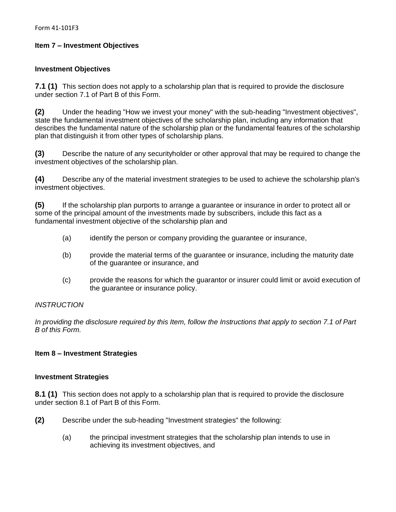# **Item 7 – Investment Objectives**

### **Investment Objectives**

**7.1 (1)** This section does not apply to a scholarship plan that is required to provide the disclosure under section 7.1 of Part B of this Form.

**(2)** Under the heading "How we invest your money" with the sub-heading "Investment objectives", state the fundamental investment objectives of the scholarship plan, including any information that describes the fundamental nature of the scholarship plan or the fundamental features of the scholarship plan that distinguish it from other types of scholarship plans.

**(3)** Describe the nature of any securityholder or other approval that may be required to change the investment objectives of the scholarship plan.

**(4)** Describe any of the material investment strategies to be used to achieve the scholarship plan's investment objectives.

**(5)** If the scholarship plan purports to arrange a guarantee or insurance in order to protect all or some of the principal amount of the investments made by subscribers, include this fact as a fundamental investment objective of the scholarship plan and

- (a) identify the person or company providing the guarantee or insurance,
- (b) provide the material terms of the guarantee or insurance, including the maturity date of the guarantee or insurance, and
- (c) provide the reasons for which the guarantor or insurer could limit or avoid execution of the guarantee or insurance policy.

# *INSTRUCTION*

*In providing the disclosure required by this Item, follow the Instructions that apply to section 7.1 of Part B of this Form.*

# **Item 8 – Investment Strategies**

### **Investment Strategies**

**8.1 (1)** This section does not apply to a scholarship plan that is required to provide the disclosure under section 8.1 of Part B of this Form.

- **(2)** Describe under the sub-heading "Investment strategies" the following:
	- (a) the principal investment strategies that the scholarship plan intends to use in achieving its investment objectives, and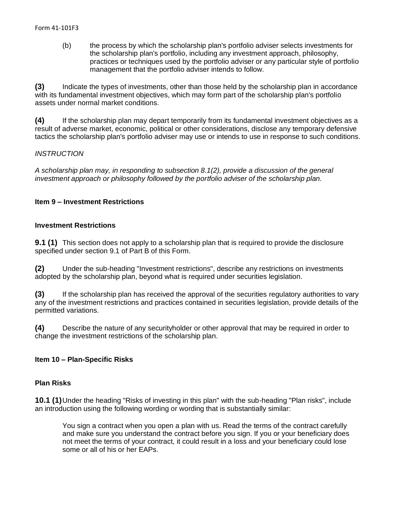(b) the process by which the scholarship plan's portfolio adviser selects investments for the scholarship plan's portfolio, including any investment approach, philosophy, practices or techniques used by the portfolio adviser or any particular style of portfolio management that the portfolio adviser intends to follow.

**(3)** Indicate the types of investments, other than those held by the scholarship plan in accordance with its fundamental investment objectives, which may form part of the scholarship plan's portfolio assets under normal market conditions.

**(4)** If the scholarship plan may depart temporarily from its fundamental investment objectives as a result of adverse market, economic, political or other considerations, disclose any temporary defensive tactics the scholarship plan's portfolio adviser may use or intends to use in response to such conditions.

# *INSTRUCTION*

*A scholarship plan may, in responding to subsection 8.1(2), provide a discussion of the general investment approach or philosophy followed by the portfolio adviser of the scholarship plan.*

# **Item 9 – Investment Restrictions**

# **Investment Restrictions**

**9.1 (1)** This section does not apply to a scholarship plan that is required to provide the disclosure specified under section 9.1 of Part B of this Form.

**(2)** Under the sub-heading "Investment restrictions", describe any restrictions on investments adopted by the scholarship plan, beyond what is required under securities legislation.

**(3)** If the scholarship plan has received the approval of the securities regulatory authorities to vary any of the investment restrictions and practices contained in securities legislation, provide details of the permitted variations.

**(4)** Describe the nature of any securityholder or other approval that may be required in order to change the investment restrictions of the scholarship plan.

# **Item 10 – Plan-Specific Risks**

# **Plan Risks**

**10.1 (1)**Under the heading "Risks of investing in this plan" with the sub-heading "Plan risks", include an introduction using the following wording or wording that is substantially similar:

You sign a contract when you open a plan with us. Read the terms of the contract carefully and make sure you understand the contract before you sign. If you or your beneficiary does not meet the terms of your contract, it could result in a loss and your beneficiary could lose some or all of his or her EAPs.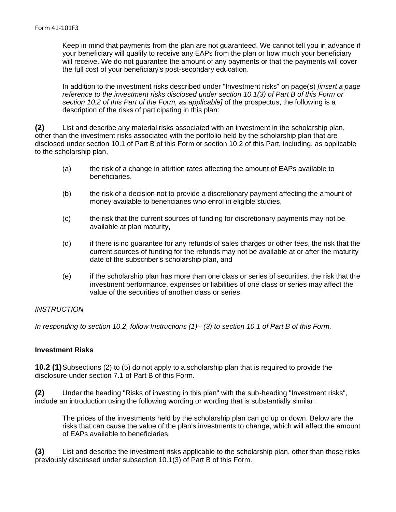Keep in mind that payments from the plan are not guaranteed. We cannot tell you in advance if your beneficiary will qualify to receive any EAPs from the plan or how much your beneficiary will receive. We do not guarantee the amount of any payments or that the payments will cover the full cost of your beneficiary's post-secondary education.

In addition to the investment risks described under "Investment risks" on page(s) *[insert a page reference to the investment risks disclosed under section 10.1(3) of Part B of this Form or section 10.2 of this Part of the Form, as applicable]* of the prospectus, the following is a description of the risks of participating in this plan:

**(2)** List and describe any material risks associated with an investment in the scholarship plan, other than the investment risks associated with the portfolio held by the scholarship plan that are disclosed under section 10.1 of Part B of this Form or section 10.2 of this Part, including, as applicable to the scholarship plan,

- (a) the risk of a change in attrition rates affecting the amount of EAPs available to beneficiaries,
- (b) the risk of a decision not to provide a discretionary payment affecting the amount of money available to beneficiaries who enrol in eligible studies,
- (c) the risk that the current sources of funding for discretionary payments may not be available at plan maturity,
- (d) if there is no guarantee for any refunds of sales charges or other fees, the risk that the current sources of funding for the refunds may not be available at or after the maturity date of the subscriber's scholarship plan, and
- (e) if the scholarship plan has more than one class or series of securities, the risk that the investment performance, expenses or liabilities of one class or series may affect the value of the securities of another class or series.

# *INSTRUCTION*

*In responding to section 10.2, follow Instructions (1)– (3) to section 10.1 of Part B of this Form.*

### **Investment Risks**

**10.2 (1)**Subsections (2) to (5) do not apply to a scholarship plan that is required to provide the disclosure under section 7.1 of Part B of this Form.

**(2)** Under the heading "Risks of investing in this plan" with the sub-heading "Investment risks", include an introduction using the following wording or wording that is substantially similar:

The prices of the investments held by the scholarship plan can go up or down. Below are the risks that can cause the value of the plan's investments to change, which will affect the amount of EAPs available to beneficiaries.

**(3)** List and describe the investment risks applicable to the scholarship plan, other than those risks previously discussed under subsection 10.1(3) of Part B of this Form.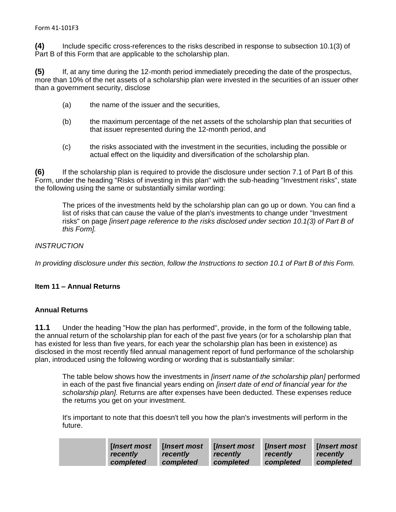**(4)** Include specific cross-references to the risks described in response to subsection 10.1(3) of Part B of this Form that are applicable to the scholarship plan.

**(5)** If, at any time during the 12-month period immediately preceding the date of the prospectus, more than 10% of the net assets of a scholarship plan were invested in the securities of an issuer other than a government security, disclose

- (a) the name of the issuer and the securities,
- (b) the maximum percentage of the net assets of the scholarship plan that securities of that issuer represented during the 12-month period, and
- (c) the risks associated with the investment in the securities, including the possible or actual effect on the liquidity and diversification of the scholarship plan.

**(6)** If the scholarship plan is required to provide the disclosure under section 7.1 of Part B of this Form, under the heading "Risks of investing in this plan" with the sub-heading "Investment risks", state the following using the same or substantially similar wording:

The prices of the investments held by the scholarship plan can go up or down. You can find a list of risks that can cause the value of the plan's investments to change under "Investment risks" on page *[insert page reference to the risks disclosed under section 10.1(3) of Part B of this Form].*

### *INSTRUCTION*

*In providing disclosure under this section, follow the Instructions to section 10.1 of Part B of this Form.*

# **Item 11 – Annual Returns**

### **Annual Returns**

**11.1** Under the heading "How the plan has performed", provide, in the form of the following table, the annual return of the scholarship plan for each of the past five years (or for a scholarship plan that has existed for less than five years, for each year the scholarship plan has been in existence) as disclosed in the most recently filed annual management report of fund performance of the scholarship plan, introduced using the following wording or wording that is substantially similar:

The table below shows how the investments in *[insert name of the scholarship plan]* performed in each of the past five financial years ending on *[insert date of end of financial year for the scholarship plan].* Returns are after expenses have been deducted. These expenses reduce the returns you get on your investment.

It's important to note that this doesn't tell you how the plan's investments will perform in the future.

| <b>Insert most</b> | <b>Insert most</b> | <b>Insert most</b> | <b>Insert most</b> | [Insert most |
|--------------------|--------------------|--------------------|--------------------|--------------|
| recently           | recently           | recently           | recently           | recently     |
| completed          | completed          | completed          | completed          | completed    |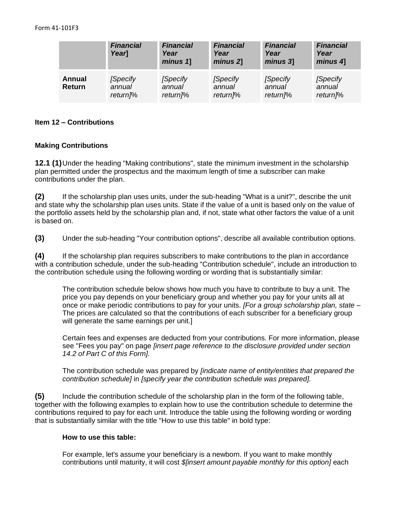|                                | <b>Financial</b><br><b>Yearl</b>            | <b>Financial</b><br>Year<br>minus 1]       | <b>Financial</b><br>Year<br>minus 2]              | <b>Financial</b><br>Year<br>$minus 3$ ]     | <b>Financial</b><br>Year<br>minus 4         |
|--------------------------------|---------------------------------------------|--------------------------------------------|---------------------------------------------------|---------------------------------------------|---------------------------------------------|
| <b>Annual</b><br><b>Return</b> | [Specify<br>annual<br>return <sub>/</sub> % | [Specify<br>annual<br>return <sub>/%</sub> | <b>Specify</b><br>annual<br>return <sub>/</sub> % | [Specify<br>annual<br>return <sub>/</sub> % | [Specify<br>annual<br>return <sub>/</sub> % |

# **Item 12 – Contributions**

# **Making Contributions**

**12.1 (1)**Under the heading "Making contributions", state the minimum investment in the scholarship plan permitted under the prospectus and the maximum length of time a subscriber can make contributions under the plan.

**(2)** If the scholarship plan uses units, under the sub-heading "What is a unit?", describe the unit and state why the scholarship plan uses units. State if the value of a unit is based only on the value of the portfolio assets held by the scholarship plan and, if not, state what other factors the value of a unit is based on.

**(3)** Under the sub-heading "Your contribution options", describe all available contribution options.

**(4)** If the scholarship plan requires subscribers to make contributions to the plan in accordance with a contribution schedule, under the sub-heading "Contribution schedule", include an introduction to the contribution schedule using the following wording or wording that is substantially similar:

The contribution schedule below shows how much you have to contribute to buy a unit. The price you pay depends on your beneficiary group and whether you pay for your units all at once or make periodic contributions to pay for your units. *[For a group scholarship plan, state –* The prices are calculated so that the contributions of each subscriber for a beneficiary group will generate the same earnings per unit.]

Certain fees and expenses are deducted from your contributions. For more information, please see "Fees you pay" on page *[insert page reference to the disclosure provided under section 14.2 of Part C of this Form].*

The contribution schedule was prepared by *[indicate name of entity/entities that prepared the contribution schedule]* in *[specify year the contribution schedule was prepared].*

**(5)** Include the contribution schedule of the scholarship plan in the form of the following table, together with the following examples to explain how to use the contribution schedule to determine the contributions required to pay for each unit. Introduce the table using the following wording or wording that is substantially similar with the title "How to use this table" in bold type:

### **How to use this table:**

For example, let's assume your beneficiary is a newborn. If you want to make monthly contributions until maturity, it will cost *\$[insert amount payable monthly for this option]* each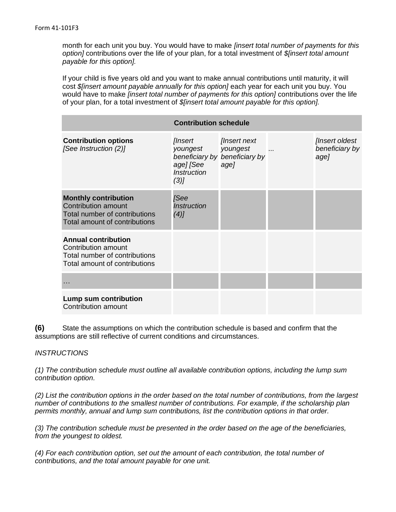month for each unit you buy. You would have to make *[insert total number of payments for this option]* contributions over the life of your plan, for a total investment of *\$[insert total amount payable for this option].*

If your child is five years old and you want to make annual contributions until maturity, it will cost *\$[insert amount payable annually for this option]* each year for each unit you buy. You would have to make *[insert total number of payments for this option]* contributions over the life of your plan, for a total investment of *\$[insert total amount payable for this option].*

|                                                                                                                      | <b>Contribution schedule</b>                                         |                                                                   |                                          |
|----------------------------------------------------------------------------------------------------------------------|----------------------------------------------------------------------|-------------------------------------------------------------------|------------------------------------------|
| <b>Contribution options</b><br>[See Instruction (2)]                                                                 | <i>[Insert</i><br>youngest<br>age] [See<br><b>Instruction</b><br>(3) | [Insert next<br>youngest<br>beneficiary by beneficiary by<br>age] | [Insert oldest<br>beneficiary by<br>age] |
| <b>Monthly contribution</b><br>Contribution amount<br>Total number of contributions<br>Total amount of contributions | <b>See</b><br><i><b>Instruction</b></i><br>(4)]                      |                                                                   |                                          |
| <b>Annual contribution</b><br>Contribution amount<br>Total number of contributions<br>Total amount of contributions  |                                                                      |                                                                   |                                          |
|                                                                                                                      |                                                                      |                                                                   |                                          |
| Lump sum contribution<br>Contribution amount                                                                         |                                                                      |                                                                   |                                          |

**(6)** State the assumptions on which the contribution schedule is based and confirm that the assumptions are still reflective of current conditions and circumstances.

### *INSTRUCTIONS*

*(1) The contribution schedule must outline all available contribution options, including the lump sum contribution option.*

*(2) List the contribution options in the order based on the total number of contributions, from the largest number of contributions to the smallest number of contributions. For example, if the scholarship plan permits monthly, annual and lump sum contributions, list the contribution options in that order.*

*(3) The contribution schedule must be presented in the order based on the age of the beneficiaries, from the youngest to oldest.*

*(4) For each contribution option, set out the amount of each contribution, the total number of contributions, and the total amount payable for one unit.*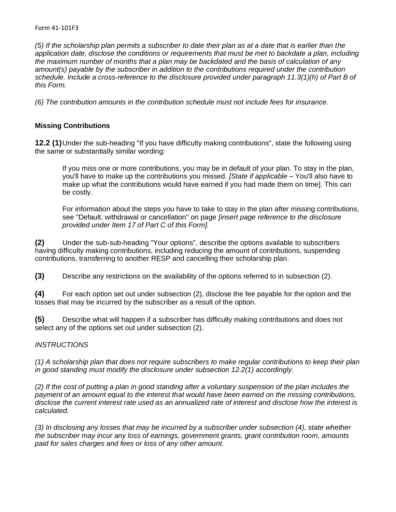*(5) If the scholarship plan permits a subscriber to date their plan as at a date that is earlier than the application date, disclose the conditions or requirements that must be met to backdate a plan, including the maximum number of months that a plan may be backdated and the basis of calculation of any amount(s) payable by the subscriber in addition to the contributions required under the contribution schedule. Include a cross-reference to the disclosure provided under paragraph 11.3(1)(h) of Part B of this Form.*

*(6) The contribution amounts in the contribution schedule must not include fees for insurance.*

### **Missing Contributions**

**12.2 (1)**Under the sub-heading "If you have difficulty making contributions", state the following using the same or substantially similar wording:

If you miss one or more contributions, you may be in default of your plan. To stay in the plan, you'll have to make up the contributions you missed. *[State if applicable –* You'll also have to make up what the contributions would have earned if you had made them on time]. This can be costly.

For information about the steps you have to take to stay in the plan after missing contributions, see "Default, withdrawal or cancellation" on page *[insert page reference to the disclosure provided under Item 17 of Part C of this Form].*

**(2)** Under the sub-sub-heading "Your options", describe the options available to subscribers having difficulty making contributions, including reducing the amount of contributions, suspending contributions, transferring to another RESP and cancelling their scholarship plan.

**(3)** Describe any restrictions on the availability of the options referred to in subsection (2).

**(4)** For each option set out under subsection (2), disclose the fee payable for the option and the losses that may be incurred by the subscriber as a result of the option.

**(5)** Describe what will happen if a subscriber has difficulty making contributions and does not select any of the options set out under subsection (2).

# *INSTRUCTIONS*

*(1) A scholarship plan that does not require subscribers to make regular contributions to keep their plan in good standing must modify the disclosure under subsection 12.2(1) accordingly.*

*(2) If the cost of putting a plan in good standing after a voluntary suspension of the plan includes the payment of an amount equal to the interest that would have been earned on the missing contributions, disclose the current interest rate used as an annualized rate of interest and disclose how the interest is calculated.*

*(3) In disclosing any losses that may be incurred by a subscriber under subsection (4), state whether the subscriber may incur any loss of earnings, government grants, grant contribution room, amounts paid for sales charges and fees or loss of any other amount.*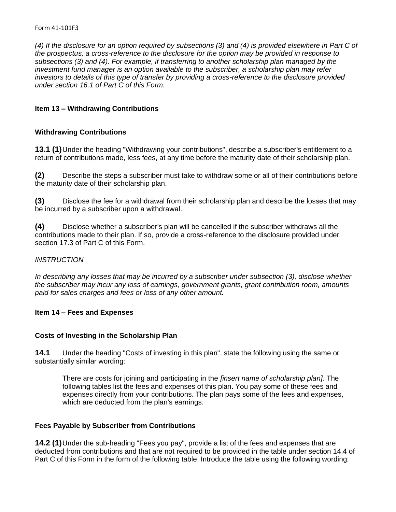### Form 41-101F3

*(4) If the disclosure for an option required by subsections (3) and (4) is provided elsewhere in Part C of the prospectus, a cross-reference to the disclosure for the option may be provided in response to subsections (3) and (4). For example, if transferring to another scholarship plan managed by the investment fund manager is an option available to the subscriber, a scholarship plan may refer investors to details of this type of transfer by providing a cross-reference to the disclosure provided under section 16.1 of Part C of this Form.*

### **Item 13 – Withdrawing Contributions**

### **Withdrawing Contributions**

**13.1 (1)**Under the heading "Withdrawing your contributions", describe a subscriber's entitlement to a return of contributions made, less fees, at any time before the maturity date of their scholarship plan.

**(2)** Describe the steps a subscriber must take to withdraw some or all of their contributions before the maturity date of their scholarship plan.

**(3)** Disclose the fee for a withdrawal from their scholarship plan and describe the losses that may be incurred by a subscriber upon a withdrawal.

**(4)** Disclose whether a subscriber's plan will be cancelled if the subscriber withdraws all the contributions made to their plan. If so, provide a cross-reference to the disclosure provided under section 17.3 of Part C of this Form.

### *INSTRUCTION*

*In describing any losses that may be incurred by a subscriber under subsection (3), disclose whether the subscriber may incur any loss of earnings, government grants, grant contribution room, amounts paid for sales charges and fees or loss of any other amount.*

### **Item 14 – Fees and Expenses**

### **Costs of Investing in the Scholarship Plan**

**14.1** Under the heading "Costs of investing in this plan", state the following using the same or substantially similar wording:

There are costs for joining and participating in the *[insert name of scholarship plan].* The following tables list the fees and expenses of this plan. You pay some of these fees and expenses directly from your contributions. The plan pays some of the fees and expenses, which are deducted from the plan's earnings.

### **Fees Payable by Subscriber from Contributions**

**14.2 (1)**Under the sub-heading "Fees you pay", provide a list of the fees and expenses that are deducted from contributions and that are not required to be provided in the table under section 14.4 of Part C of this Form in the form of the following table. Introduce the table using the following wording: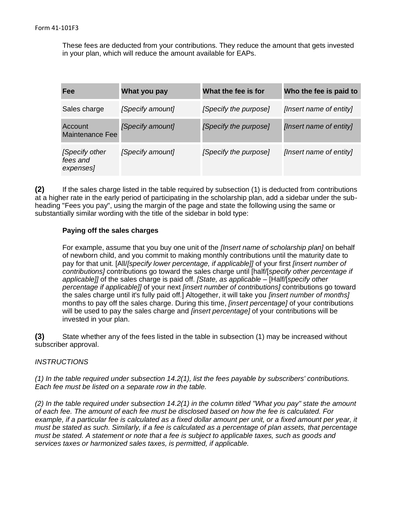These fees are deducted from your contributions. They reduce the amount that gets invested in your plan, which will reduce the amount available for EAPs.

| Fee                                     | What you pay     | What the fee is for   | Who the fee is paid to  |
|-----------------------------------------|------------------|-----------------------|-------------------------|
| Sales charge                            | [Specify amount] | [Specify the purpose] | [Insert name of entity] |
| Account<br><b>Maintenance Fee</b>       | [Specify amount] | [Specify the purpose] | [Insert name of entity] |
| [Specify other<br>fees and<br>expenses] | [Specify amount] | [Specify the purpose] | [Insert name of entity] |

**(2)** If the sales charge listed in the table required by subsection (1) is deducted from contributions at a higher rate in the early period of participating in the scholarship plan, add a sidebar under the subheading "Fees you pay", using the margin of the page and state the following using the same or substantially similar wording with the title of the sidebar in bold type:

### **Paying off the sales charges**

For example, assume that you buy one unit of the *[Insert name of scholarship plan]* on behalf of newborn child, and you commit to making monthly contributions until the maturity date to pay for that unit. [All/*[specify lower percentage, if applicable]]* of your first *[insert number of contributions]* contributions go toward the sales charge until [half/[*specify other percentage if applicable]]* of the sales charge is paid off. *[State, as applicable –* [Half/[*specify other percentage if applicable]]* of your next *[insert number of contributions]* contributions go toward the sales charge until it's fully paid off.] Altogether, it will take you *[insert number of months]*  months to pay off the sales charge. During this time, *[insert percentage]* of your contributions will be used to pay the sales charge and *[insert percentage]* of your contributions will be invested in your plan.

**(3)** State whether any of the fees listed in the table in subsection (1) may be increased without subscriber approval.

### *INSTRUCTIONS*

*(1) In the table required under subsection 14.2(1), list the fees payable by subscribers' contributions. Each fee must be listed on a separate row in the table.*

*(2) In the table required under subsection 14.2(1) in the column titled "What you pay" state the amount of each fee. The amount of each fee must be disclosed based on how the fee is calculated. For example, if a particular fee is calculated as a fixed dollar amount per unit, or a fixed amount per year, it must be stated as such. Similarly, if a fee is calculated as a percentage of plan assets, that percentage must be stated. A statement or note that a fee is subject to applicable taxes, such as goods and services taxes or harmonized sales taxes, is permitted, if applicable.*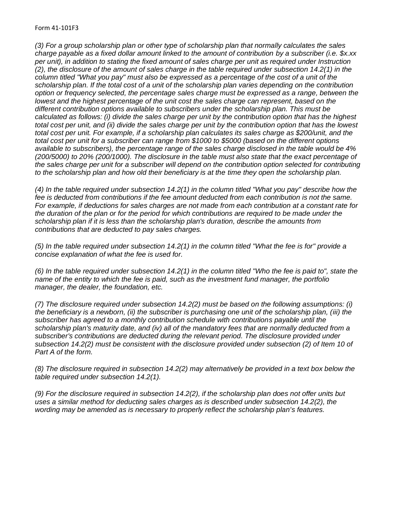*(3) For a group scholarship plan or other type of scholarship plan that normally calculates the sales charge payable as a fixed dollar amount linked to the amount of contribution by a subscriber (i.e. \$x.xx per unit), in addition to stating the fixed amount of sales charge per unit as required under Instruction (2), the disclosure of the amount of sales charge in the table required under subsection 14.2(1) in the column titled "What you pay" must also be expressed as a percentage of the cost of a unit of the scholarship plan. If the total cost of a unit of the scholarship plan varies depending on the contribution option or frequency selected, the percentage sales charge must be expressed as a range, between the lowest and the highest percentage of the unit cost the sales charge can represent, based on the different contribution options available to subscribers under the scholarship plan. This must be calculated as follows: (i) divide the sales charge per unit by the contribution option that has the highest total cost per unit, and (ii) divide the sales charge per unit by the contribution option that has the lowest total cost per unit. For example, if a scholarship plan calculates its sales charge as \$200/unit, and the total cost per unit for a subscriber can range from \$1000 to \$5000 (based on the different options available to subscribers), the percentage range of the sales charge disclosed in the table would be 4% (200/5000) to 20% (200/1000). The disclosure in the table must also state that the exact percentage of the sales charge per unit for a subscriber will depend on the contribution option selected for contributing to the scholarship plan and how old their beneficiary is at the time they open the scholarship plan.*

*(4) In the table required under subsection 14.2(1) in the column titled "What you pay" describe how the fee is deducted from contributions if the fee amount deducted from each contribution is not the same. For example, if deductions for sales charges are not made from each contribution at a constant rate for the duration of the plan or for the period for which contributions are required to be made under the scholarship plan if it is less than the scholarship plan's duration, describe the amounts from contributions that are deducted to pay sales charges.*

*(5) In the table required under subsection 14.2(1) in the column titled "What the fee is for" provide a concise explanation of what the fee is used for.*

*(6) In the table required under subsection 14.2(1) in the column titled "Who the fee is paid to", state the name of the entity to which the fee is paid, such as the investment fund manager, the portfolio manager, the dealer, the foundation, etc.*

*(7) The disclosure required under subsection 14.2(2) must be based on the following assumptions: (i) the beneficiary is a newborn, (ii) the subscriber is purchasing one unit of the scholarship plan, (iii) the subscriber has agreed to a monthly contribution schedule with contributions payable until the scholarship plan's maturity date, and (iv) all of the mandatory fees that are normally deducted from a subscriber's contributions are deducted during the relevant period. The disclosure provided under subsection 14.2(2) must be consistent with the disclosure provided under subsection (2) of Item 10 of Part A of the form.*

*(8) The disclosure required in subsection 14.2(2) may alternatively be provided in a text box below the table required under subsection 14.2(1).*

*(9) For the disclosure required in subsection 14.2(2), if the scholarship plan does not offer units but uses a similar method for deducting sales charges as is described under subsection 14.2(2), the wording may be amended as is necessary to properly reflect the scholarship plan's features.*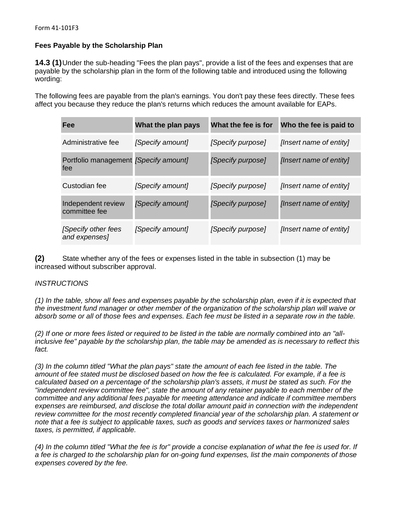# **Fees Payable by the Scholarship Plan**

**14.3 (1)**Under the sub-heading "Fees the plan pays", provide a list of the fees and expenses that are payable by the scholarship plan in the form of the following table and introduced using the following wording:

The following fees are payable from the plan's earnings. You don't pay these fees directly. These fees affect you because they reduce the plan's returns which reduces the amount available for EAPs.

| Fee                                          | What the plan pays | What the fee is for | Who the fee is paid to  |
|----------------------------------------------|--------------------|---------------------|-------------------------|
| Administrative fee                           | [Specify amount]   | [Specify purpose]   | [Insert name of entity] |
| Portfolio management [Specify amount]<br>fee |                    | [Specify purpose]   | [Insert name of entity] |
| Custodian fee                                | [Specify amount]   | [Specify purpose]   | [Insert name of entity] |
| Independent review<br>committee fee          | [Specify amount]   | [Specify purpose]   | [Insert name of entity] |
| [Specify other fees<br>and expenses]         | [Specify amount]   | [Specify purpose]   | [Insert name of entity] |

**(2)** State whether any of the fees or expenses listed in the table in subsection (1) may be increased without subscriber approval.

# *INSTRUCTIONS*

*(1) In the table, show all fees and expenses payable by the scholarship plan, even if it is expected that the investment fund manager or other member of the organization of the scholarship plan will waive or absorb some or all of those fees and expenses. Each fee must be listed in a separate row in the table.*

(2) If one or more fees listed or required to be listed in the table are normally combined into an "all*inclusive fee" payable by the scholarship plan, the table may be amended as is necessary to reflect this fact.*

*(3) In the column titled "What the plan pays" state the amount of each fee listed in the table. The amount of fee stated must be disclosed based on how the fee is calculated. For example, if a fee is calculated based on a percentage of the scholarship plan's assets, it must be stated as such. For the "independent review committee fee", state the amount of any retainer payable to each member of the committee and any additional fees payable for meeting attendance and indicate if committee members expenses are reimbursed, and disclose the total dollar amount paid in connection with the independent review committee for the most recently completed financial year of the scholarship plan. A statement or note that a fee is subject to applicable taxes, such as goods and services taxes or harmonized sales taxes, is permitted, if applicable.*

*(4) In the column titled "What the fee is for" provide a concise explanation of what the fee is used for. If a fee is charged to the scholarship plan for on-going fund expenses, list the main components of those expenses covered by the fee.*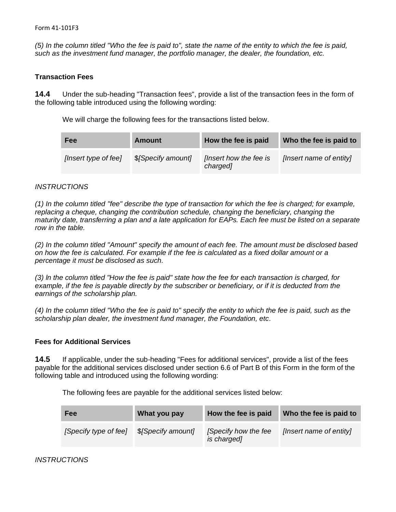*(5) In the column titled "Who the fee is paid to", state the name of the entity to which the fee is paid, such as the investment fund manager, the portfolio manager, the dealer, the foundation, etc.*

### **Transaction Fees**

**14.4** Under the sub-heading "Transaction fees", provide a list of the transaction fees in the form of the following table introduced using the following wording:

We will charge the following fees for the transactions listed below.

| Fee                  | Amount             | How the fee is paid                       | Who the fee is paid to  |
|----------------------|--------------------|-------------------------------------------|-------------------------|
| [Insert type of fee] | \$[Specify amount] | <i>finsert how the fee is</i><br>charged] | [Insert name of entity] |

### *INSTRUCTIONS*

*(1) In the column titled "fee" describe the type of transaction for which the fee is charged; for example, replacing a cheque, changing the contribution schedule, changing the beneficiary, changing the maturity date, transferring a plan and a late application for EAPs. Each fee must be listed on a separate row in the table.*

*(2) In the column titled "Amount" specify the amount of each fee. The amount must be disclosed based on how the fee is calculated. For example if the fee is calculated as a fixed dollar amount or a percentage it must be disclosed as such.*

*(3) ln the column titled "How the fee is paid" state how the fee for each transaction is charged, for*  example, if the fee is payable directly by the subscriber or beneficiary, or if it is deducted from the *earnings of the scholarship plan.*

*(4) In the column titled "Who the fee is paid to" specify the entity to which the fee is paid, such as the scholarship plan dealer, the investment fund manager, the Foundation, etc.*

### **Fees for Additional Services**

**14.5** If applicable, under the sub-heading "Fees for additional services", provide a list of the fees payable for the additional services disclosed under section 6.6 of Part B of this Form in the form of the following table and introduced using the following wording:

The following fees are payable for the additional services listed below:

| Fee                   | What you pay       | How the fee is paid                 | Who the fee is paid to  |
|-----------------------|--------------------|-------------------------------------|-------------------------|
| [Specify type of fee] | \$/Specify amount] | [Specify how the fee<br>is charged] | [Insert name of entity] |

*INSTRUCTIONS*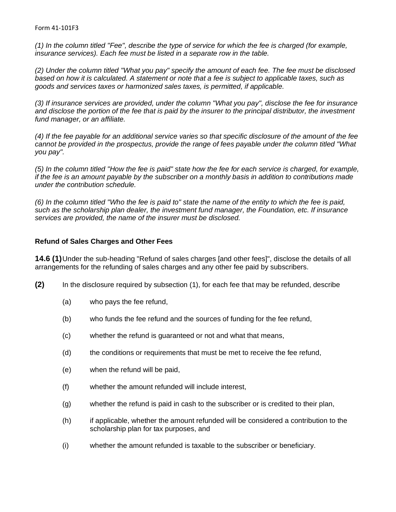*(1) In the column titled "Fee", describe the type of service for which the fee is charged (for example, insurance services). Each fee must be listed in a separate row in the table.*

*(2) Under the column titled "What you pay" specify the amount of each fee. The fee must be disclosed based on how it is calculated. A statement or note that a fee is subject to applicable taxes, such as goods and services taxes or harmonized sales taxes, is permitted, if applicable.*

*(3) If insurance services are provided, under the column "What you pay", disclose the fee for insurance and disclose the portion of the fee that is paid by the insurer to the principal distributor, the investment fund manager, or an affiliate.*

*(4) If the fee payable for an additional service varies so that specific disclosure of the amount of the fee cannot be provided in the prospectus, provide the range of fees payable under the column titled "What you pay".*

*(5) In the column titled "How the fee is paid" state how the fee for each service is charged, for example, if the fee is an amount payable by the subscriber on a monthly basis in addition to contributions made under the contribution schedule.*

*(6) In the column titled "Who the fee is paid to" state the name of the entity to which the fee is paid, such as the scholarship plan dealer, the investment fund manager, the Foundation, etc. If insurance services are provided, the name of the insurer must be disclosed.*

# **Refund of Sales Charges and Other Fees**

**14.6 (1)**Under the sub-heading "Refund of sales charges [and other fees]", disclose the details of all arrangements for the refunding of sales charges and any other fee paid by subscribers.

- **(2)** In the disclosure required by subsection (1), for each fee that may be refunded, describe
	- (a) who pays the fee refund,
	- (b) who funds the fee refund and the sources of funding for the fee refund,
	- (c) whether the refund is guaranteed or not and what that means,
	- (d) the conditions or requirements that must be met to receive the fee refund,
	- (e) when the refund will be paid,
	- (f) whether the amount refunded will include interest,
	- (g) whether the refund is paid in cash to the subscriber or is credited to their plan,
	- (h) if applicable, whether the amount refunded will be considered a contribution to the scholarship plan for tax purposes, and
	- (i) whether the amount refunded is taxable to the subscriber or beneficiary.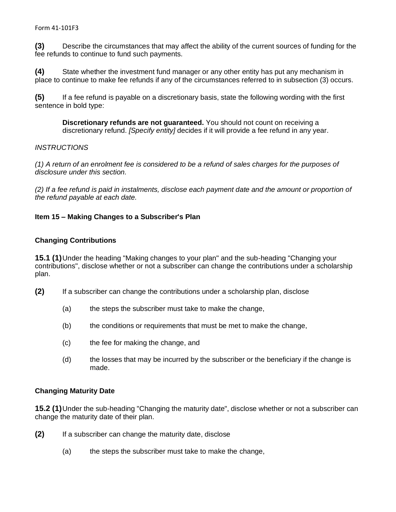**(3)** Describe the circumstances that may affect the ability of the current sources of funding for the fee refunds to continue to fund such payments.

**(4)** State whether the investment fund manager or any other entity has put any mechanism in place to continue to make fee refunds if any of the circumstances referred to in subsection (3) occurs.

**(5)** If a fee refund is payable on a discretionary basis, state the following wording with the first sentence in bold type:

**Discretionary refunds are not guaranteed.** You should not count on receiving a discretionary refund. *[Specify entity]* decides if it will provide a fee refund in any year.

# *INSTRUCTIONS*

*(1) A return of an enrolment fee is considered to be a refund of sales charges for the purposes of disclosure under this section.*

*(2) If a fee refund is paid in instalments, disclose each payment date and the amount or proportion of the refund payable at each date.*

### **Item 15 – Making Changes to a Subscriber's Plan**

### **Changing Contributions**

**15.1 (1)**Under the heading "Making changes to your plan" and the sub-heading "Changing your contributions", disclose whether or not a subscriber can change the contributions under a scholarship plan.

- **(2)** If a subscriber can change the contributions under a scholarship plan, disclose
	- (a) the steps the subscriber must take to make the change,
	- (b) the conditions or requirements that must be met to make the change,
	- (c) the fee for making the change, and
	- (d) the losses that may be incurred by the subscriber or the beneficiary if the change is made.

# **Changing Maturity Date**

**15.2 (1)**Under the sub-heading "Changing the maturity date", disclose whether or not a subscriber can change the maturity date of their plan.

- **(2)** If a subscriber can change the maturity date, disclose
	- (a) the steps the subscriber must take to make the change,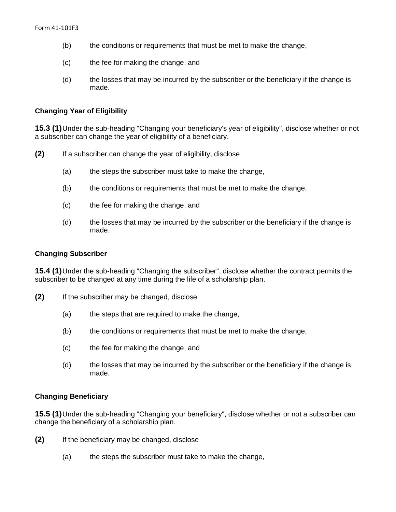- (b) the conditions or requirements that must be met to make the change,
- (c) the fee for making the change, and
- (d) the losses that may be incurred by the subscriber or the beneficiary if the change is made.

### **Changing Year of Eligibility**

**15.3 (1)**Under the sub-heading "Changing your beneficiary's year of eligibility", disclose whether or not a subscriber can change the year of eligibility of a beneficiary.

- **(2)** If a subscriber can change the year of eligibility, disclose
	- (a) the steps the subscriber must take to make the change,
	- (b) the conditions or requirements that must be met to make the change,
	- (c) the fee for making the change, and
	- (d) the losses that may be incurred by the subscriber or the beneficiary if the change is made.

### **Changing Subscriber**

**15.4 (1)**Under the sub-heading "Changing the subscriber", disclose whether the contract permits the subscriber to be changed at any time during the life of a scholarship plan.

- **(2)** If the subscriber may be changed, disclose
	- (a) the steps that are required to make the change,
	- (b) the conditions or requirements that must be met to make the change,
	- (c) the fee for making the change, and
	- (d) the losses that may be incurred by the subscriber or the beneficiary if the change is made.

### **Changing Beneficiary**

**15.5 (1)**Under the sub-heading "Changing your beneficiary", disclose whether or not a subscriber can change the beneficiary of a scholarship plan.

- **(2)** If the beneficiary may be changed, disclose
	- (a) the steps the subscriber must take to make the change,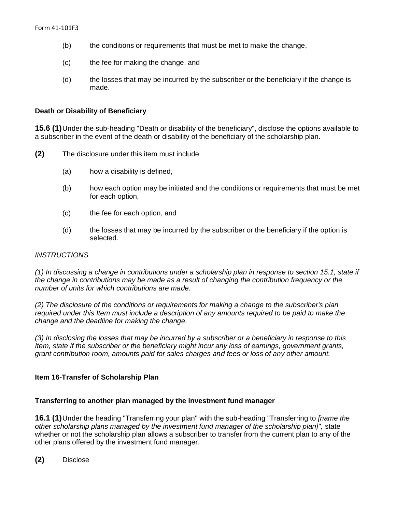- (b) the conditions or requirements that must be met to make the change,
- (c) the fee for making the change, and
- (d) the losses that may be incurred by the subscriber or the beneficiary if the change is made.

#### **Death or Disability of Beneficiary**

**15.6 (1)**Under the sub-heading "Death or disability of the beneficiary", disclose the options available to a subscriber in the event of the death or disability of the beneficiary of the scholarship plan.

- **(2)** The disclosure under this item must include
	- (a) how a disability is defined,
	- (b) how each option may be initiated and the conditions or requirements that must be met for each option,
	- (c) the fee for each option, and
	- (d) the losses that may be incurred by the subscriber or the beneficiary if the option is selected.

#### *INSTRUCTIONS*

*(1) In discussing a change in contributions under a scholarship plan in response to section 15.1, state if the change in contributions may be made as a result of changing the contribution frequency or the number of units for which contributions are made.*

*(2) The disclosure of the conditions or requirements for making a change to the subscriber's plan required under this Item must include a description of any amounts required to be paid to make the change and the deadline for making the change.*

*(3) In disclosing the losses that may be incurred by a subscriber or a beneficiary in response to this Item, state if the subscriber or the beneficiary might incur any loss of earnings, government grants, grant contribution room, amounts paid for sales charges and fees or loss of any other amount.*

### **Item 16-Transfer of Scholarship Plan**

### **Transferring to another plan managed by the investment fund manager**

**16.1 (1)**Under the heading "Transferring your plan" with the sub-heading "Transferring to *[name the other scholarship plans managed by the investment fund manager of the scholarship plan]",* state whether or not the scholarship plan allows a subscriber to transfer from the current plan to any of the other plans offered by the investment fund manager.

**(2)** Disclose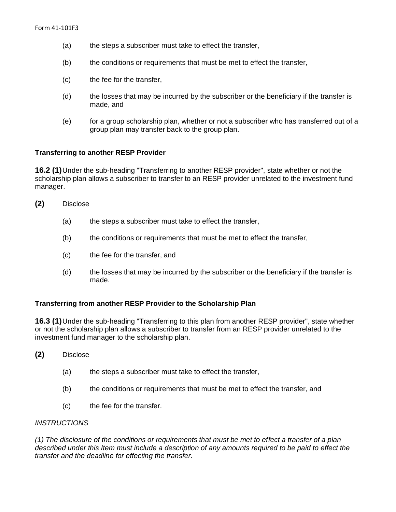- (a) the steps a subscriber must take to effect the transfer,
- (b) the conditions or requirements that must be met to effect the transfer,
- (c) the fee for the transfer,
- (d) the losses that may be incurred by the subscriber or the beneficiary if the transfer is made, and
- (e) for a group scholarship plan, whether or not a subscriber who has transferred out of a group plan may transfer back to the group plan.

### **Transferring to another RESP Provider**

**16.2 (1)**Under the sub-heading "Transferring to another RESP provider", state whether or not the scholarship plan allows a subscriber to transfer to an RESP provider unrelated to the investment fund manager.

- **(2)** Disclose
	- (a) the steps a subscriber must take to effect the transfer,
	- (b) the conditions or requirements that must be met to effect the transfer,
	- (c) the fee for the transfer, and
	- (d) the losses that may be incurred by the subscriber or the beneficiary if the transfer is made.

### **Transferring from another RESP Provider to the Scholarship Plan**

**16.3 (1)**Under the sub-heading "Transferring to this plan from another RESP provider", state whether or not the scholarship plan allows a subscriber to transfer from an RESP provider unrelated to the investment fund manager to the scholarship plan.

- **(2)** Disclose
	- (a) the steps a subscriber must take to effect the transfer,
	- (b) the conditions or requirements that must be met to effect the transfer, and
	- (c) the fee for the transfer.

### *INSTRUCTIONS*

*(1) The disclosure of the conditions or requirements that must be met to effect a transfer of a plan*  described under this Item must include a description of any amounts required to be paid to effect the *transfer and the deadline for effecting the transfer.*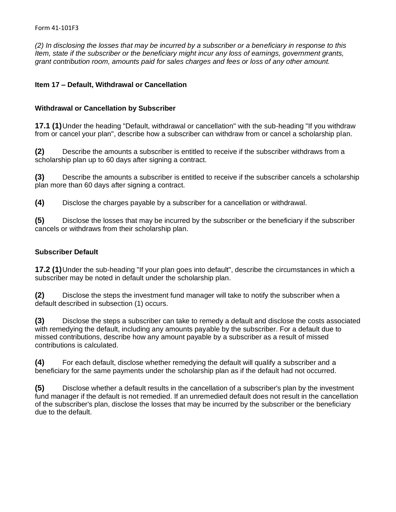*(2) In disclosing the losses that may be incurred by a subscriber or a beneficiary in response to this Item, state if the subscriber or the beneficiary might incur any loss of earnings, government grants, grant contribution room, amounts paid for sales charges and fees or loss of any other amount.*

# **Item 17 – Default, Withdrawal or Cancellation**

# **Withdrawal or Cancellation by Subscriber**

**17.1 (1)**Under the heading "Default, withdrawal or cancellation" with the sub-heading "If you withdraw from or cancel your plan", describe how a subscriber can withdraw from or cancel a scholarship plan.

**(2)** Describe the amounts a subscriber is entitled to receive if the subscriber withdraws from a scholarship plan up to 60 days after signing a contract.

**(3)** Describe the amounts a subscriber is entitled to receive if the subscriber cancels a scholarship plan more than 60 days after signing a contract.

**(4)** Disclose the charges payable by a subscriber for a cancellation or withdrawal.

**(5)** Disclose the losses that may be incurred by the subscriber or the beneficiary if the subscriber cancels or withdraws from their scholarship plan.

# **Subscriber Default**

**17.2 (1)**Under the sub-heading "If your plan goes into default", describe the circumstances in which a subscriber may be noted in default under the scholarship plan.

**(2)** Disclose the steps the investment fund manager will take to notify the subscriber when a default described in subsection (1) occurs.

**(3)** Disclose the steps a subscriber can take to remedy a default and disclose the costs associated with remedying the default, including any amounts payable by the subscriber. For a default due to missed contributions, describe how any amount payable by a subscriber as a result of missed contributions is calculated.

**(4)** For each default, disclose whether remedying the default will qualify a subscriber and a beneficiary for the same payments under the scholarship plan as if the default had not occurred.

**(5)** Disclose whether a default results in the cancellation of a subscriber's plan by the investment fund manager if the default is not remedied. If an unremedied default does not result in the cancellation of the subscriber's plan, disclose the losses that may be incurred by the subscriber or the beneficiary due to the default.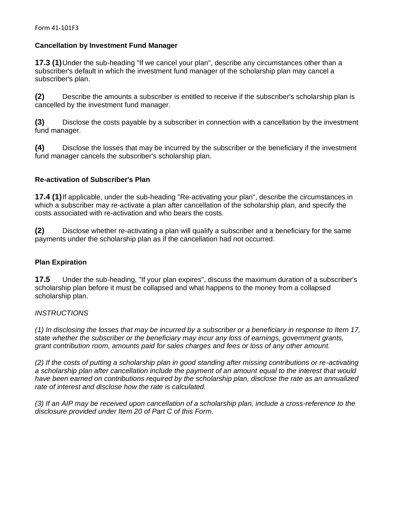### **Cancellation by Investment Fund Manager**

**17.3 (1)**Under the sub-heading "If we cancel your plan", describe any circumstances other than a subscriber's default in which the investment fund manager of the scholarship plan may cancel a subscriber's plan.

**(2)** Describe the amounts a subscriber is entitled to receive if the subscriber's scholarship plan is cancelled by the investment fund manager.

**(3)** Disclose the costs payable by a subscriber in connection with a cancellation by the investment fund manager.

**(4)** Disclose the losses that may be incurred by the subscriber or the beneficiary if the investment fund manager cancels the subscriber's scholarship plan.

# **Re-activation of Subscriber's Plan**

**17.4 (1)**If applicable, under the sub-heading "Re-activating your plan", describe the circumstances in which a subscriber may re-activate a plan after cancellation of the scholarship plan, and specify the costs associated with re-activation and who bears the costs.

**(2)** Disclose whether re-activating a plan will qualify a subscriber and a beneficiary for the same payments under the scholarship plan as if the cancellation had not occurred.

# **Plan Expiration**

**17.5** Under the sub-heading, "If your plan expires", discuss the maximum duration of a subscriber's scholarship plan before it must be collapsed and what happens to the money from a collapsed scholarship plan.

### *INSTRUCTIONS*

*(1) In disclosing the losses that may be incurred by a subscriber or a beneficiary in response to Item 17, state whether the subscriber or the beneficiary may incur any loss of earnings, government grants, grant contribution room, amounts paid for sales charges and fees or loss of any other amount.*

*(2) If the costs of putting a scholarship plan in good standing after missing contributions or re-activating a scholarship plan after cancellation include the payment of an amount equal to the interest that would have been earned on contributions required by the scholarship plan, disclose the rate as an annualized rate of interest and disclose how the rate is calculated.*

*(3) If an AIP may be received upon cancellation of a scholarship plan, include a cross-reference to the disclosure provided under Item 20 of Part C of this Form.*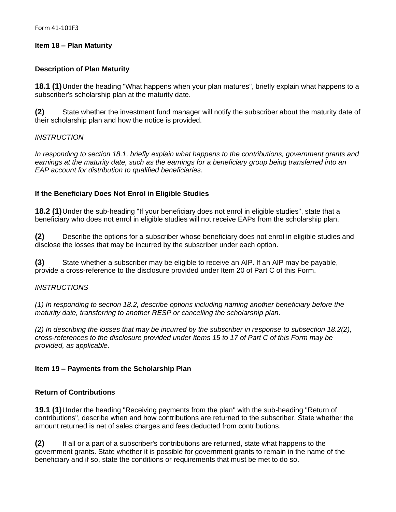# **Item 18 – Plan Maturity**

# **Description of Plan Maturity**

**18.1 (1)**Under the heading "What happens when your plan matures", briefly explain what happens to a subscriber's scholarship plan at the maturity date.

**(2)** State whether the investment fund manager will notify the subscriber about the maturity date of their scholarship plan and how the notice is provided.

# *INSTRUCTION*

*In responding to section 18.1, briefly explain what happens to the contributions, government grants and earnings at the maturity date, such as the earnings for a beneficiary group being transferred into an EAP account for distribution to qualified beneficiaries.*

# **If the Beneficiary Does Not Enrol in Eligible Studies**

**18.2 (1)**Under the sub-heading "If your beneficiary does not enrol in eligible studies", state that a beneficiary who does not enrol in eligible studies will not receive EAPs from the scholarship plan.

**(2)** Describe the options for a subscriber whose beneficiary does not enrol in eligible studies and disclose the losses that may be incurred by the subscriber under each option.

**(3)** State whether a subscriber may be eligible to receive an AIP. If an AIP may be payable, provide a cross-reference to the disclosure provided under Item 20 of Part C of this Form.

# *INSTRUCTIONS*

*(1) In responding to section 18.2, describe options including naming another beneficiary before the maturity date, transferring to another RESP or cancelling the scholarship plan.*

*(2) In describing the losses that may be incurred by the subscriber in response to subsection 18.2(2), cross-references to the disclosure provided under Items 15 to 17 of Part C of this Form may be provided, as applicable.*

# **Item 19 – Payments from the Scholarship Plan**

# **Return of Contributions**

**19.1 (1)**Under the heading "Receiving payments from the plan" with the sub-heading "Return of contributions", describe when and how contributions are returned to the subscriber. State whether the amount returned is net of sales charges and fees deducted from contributions.

**(2)** If all or a part of a subscriber's contributions are returned, state what happens to the government grants. State whether it is possible for government grants to remain in the name of the beneficiary and if so, state the conditions or requirements that must be met to do so.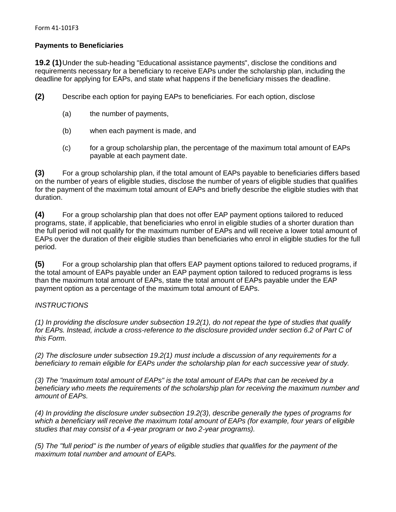# **Payments to Beneficiaries**

**19.2 (1)**Under the sub-heading "Educational assistance payments", disclose the conditions and requirements necessary for a beneficiary to receive EAPs under the scholarship plan, including the deadline for applying for EAPs, and state what happens if the beneficiary misses the deadline.

**(2)** Describe each option for paying EAPs to beneficiaries. For each option, disclose

- (a) the number of payments,
- (b) when each payment is made, and
- (c) for a group scholarship plan, the percentage of the maximum total amount of EAPs payable at each payment date.

**(3)** For a group scholarship plan, if the total amount of EAPs payable to beneficiaries differs based on the number of years of eligible studies, disclose the number of years of eligible studies that qualifies for the payment of the maximum total amount of EAPs and briefly describe the eligible studies with that duration.

**(4)** For a group scholarship plan that does not offer EAP payment options tailored to reduced programs, state, if applicable, that beneficiaries who enrol in eligible studies of a shorter duration than the full period will not qualify for the maximum number of EAPs and will receive a lower total amount of EAPs over the duration of their eligible studies than beneficiaries who enrol in eligible studies for the full period.

**(5)** For a group scholarship plan that offers EAP payment options tailored to reduced programs, if the total amount of EAPs payable under an EAP payment option tailored to reduced programs is less than the maximum total amount of EAPs, state the total amount of EAPs payable under the EAP payment option as a percentage of the maximum total amount of EAPs.

# *INSTRUCTIONS*

*(1) In providing the disclosure under subsection 19.2(1), do not repeat the type of studies that qualify*  for EAPs. Instead, include a cross-reference to the disclosure provided under section 6.2 of Part C of *this Form.*

*(2) The disclosure under subsection 19.2(1) must include a discussion of any requirements for a beneficiary to remain eligible for EAPs under the scholarship plan for each successive year of study.*

*(3) The "maximum total amount of EAPs" is the total amount of EAPs that can be received by a beneficiary who meets the requirements of the scholarship plan for receiving the maximum number and amount of EAPs.*

*(4) In providing the disclosure under subsection 19.2(3), describe generally the types of programs for which a beneficiary will receive the maximum total amount of EAPs (for example, four years of eligible studies that may consist of a 4-year program or two 2-year programs).*

*(5) The "full period" is the number of years of eligible studies that qualifies for the payment of the maximum total number and amount of EAPs.*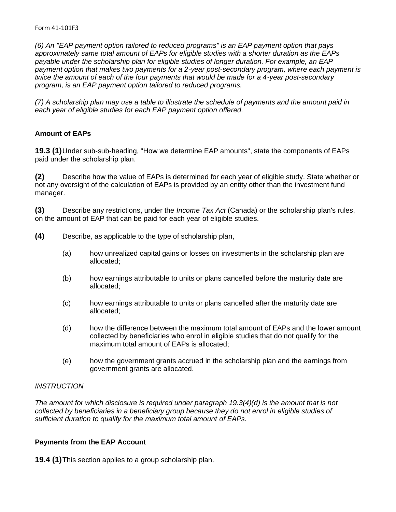*(6) An "EAP payment option tailored to reduced programs" is an EAP payment option that pays approximately same total amount of EAPs for eligible studies with a shorter duration as the EAPs payable under the scholarship plan for eligible studies of longer duration. For example, an EAP payment option that makes two payments for a 2-year post-secondary program, where each payment is twice the amount of each of the four payments that would be made for a 4-year post-secondary program, is an EAP payment option tailored to reduced programs.*

*(7) A scholarship plan may use a table to illustrate the schedule of payments and the amount paid in each year of eligible studies for each EAP payment option offered.*

# **Amount of EAPs**

**19.3 (1)**Under sub-sub-heading, "How we determine EAP amounts", state the components of EAPs paid under the scholarship plan.

**(2)** Describe how the value of EAPs is determined for each year of eligible study. State whether or not any oversight of the calculation of EAPs is provided by an entity other than the investment fund manager.

**(3)** Describe any restrictions, under the *Income Tax Act* (Canada) or the scholarship plan's rules, on the amount of EAP that can be paid for each year of eligible studies.

- **(4)** Describe, as applicable to the type of scholarship plan,
	- (a) how unrealized capital gains or losses on investments in the scholarship plan are allocated;
	- (b) how earnings attributable to units or plans cancelled before the maturity date are allocated;
	- (c) how earnings attributable to units or plans cancelled after the maturity date are allocated;
	- (d) how the difference between the maximum total amount of EAPs and the lower amount collected by beneficiaries who enrol in eligible studies that do not qualify for the maximum total amount of EAPs is allocated;
	- (e) how the government grants accrued in the scholarship plan and the earnings from government grants are allocated.

# *INSTRUCTION*

*The amount for which disclosure is required under paragraph 19.3(4)(d) is the amount that is not collected by beneficiaries in a beneficiary group because they do not enrol in eligible studies of sufficient duration to qualify for the maximum total amount of EAPs.*

# **Payments from the EAP Account**

**19.4 (1)**This section applies to a group scholarship plan.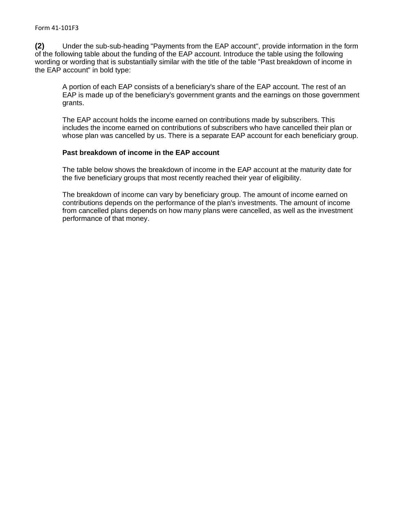#### Form 41-101F3

**(2)** Under the sub-sub-heading "Payments from the EAP account", provide information in the form of the following table about the funding of the EAP account. Introduce the table using the following wording or wording that is substantially similar with the title of the table "Past breakdown of income in the EAP account" in bold type:

A portion of each EAP consists of a beneficiary's share of the EAP account. The rest of an EAP is made up of the beneficiary's government grants and the earnings on those government grants.

The EAP account holds the income earned on contributions made by subscribers. This includes the income earned on contributions of subscribers who have cancelled their plan or whose plan was cancelled by us. There is a separate EAP account for each beneficiary group.

### **Past breakdown of income in the EAP account**

The table below shows the breakdown of income in the EAP account at the maturity date for the five beneficiary groups that most recently reached their year of eligibility.

The breakdown of income can vary by beneficiary group. The amount of income earned on contributions depends on the performance of the plan's investments. The amount of income from cancelled plans depends on how many plans were cancelled, as well as the investment performance of that money.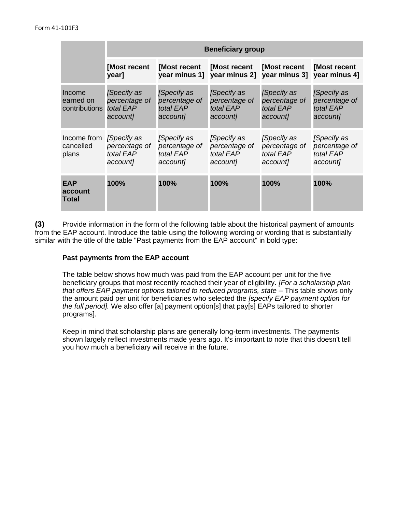|                                               | <b>Beneficiary group</b>                                    |                                                             |                                                                        |                                                             |                                                             |  |
|-----------------------------------------------|-------------------------------------------------------------|-------------------------------------------------------------|------------------------------------------------------------------------|-------------------------------------------------------------|-------------------------------------------------------------|--|
|                                               | [Most recent<br>year]                                       |                                                             | [Most recent [Most recent<br>year minus 1] year minus 2] year minus 3] | [Most recent                                                | [Most recent<br>year minus 41                               |  |
| Income<br>earned on<br>contributions          | <b>Specify as</b><br>percentage of<br>total EAP<br>account] | <b>Specify as</b><br>percentage of<br>total EAP<br>account] | <b>Specify as</b><br>percentage of<br>total EAP<br>account]            | <b>Specify as</b><br>percentage of<br>total EAP<br>account] | <b>Specify as</b><br>percentage of<br>total EAP<br>account] |  |
| Income from [Specify as<br>cancelled<br>plans | percentage of<br>total EAP<br>account]                      | [Specify as<br>percentage of<br>total EAP<br>account]       | [Specify as<br>percentage of<br>total EAP<br>account]                  | [Specify as<br>percentage of<br>total EAP<br>account]       | [Specify as<br>percentage of<br>total EAP<br>account]       |  |
| <b>EAP</b><br>account<br>Total                | 100%                                                        | 100%                                                        | 100%                                                                   | 100%                                                        | 100%                                                        |  |

**(3)** Provide information in the form of the following table about the historical payment of amounts from the EAP account. Introduce the table using the following wording or wording that is substantially similar with the title of the table "Past payments from the EAP account" in bold type:

# **Past payments from the EAP account**

The table below shows how much was paid from the EAP account per unit for the five beneficiary groups that most recently reached their year of eligibility. *[For a scholarship plan that offers EAP payment options tailored to reduced programs, state –* This table shows only the amount paid per unit for beneficiaries who selected the *[specify EAP payment option for the full period].* We also offer [a] payment option[s] that pay[s] EAPs tailored to shorter programs].

Keep in mind that scholarship plans are generally long-term investments. The payments shown largely reflect investments made years ago. It's important to note that this doesn't tell you how much a beneficiary will receive in the future.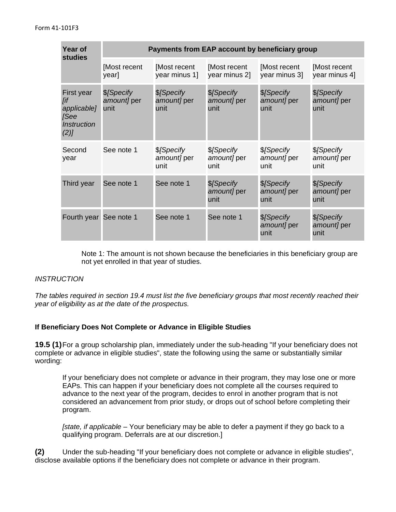| <b>Year of</b><br><b>studies</b>                                                   | Payments from EAP account by beneficiary group |                                   |                                   |                                   |                                   |
|------------------------------------------------------------------------------------|------------------------------------------------|-----------------------------------|-----------------------------------|-----------------------------------|-----------------------------------|
|                                                                                    | Most recent<br>year]                           | [Most recent<br>year minus 1]     | [Most recent<br>year minus 2]     | Most recent<br>year minus 3]      | Most recent<br>year minus 4]      |
| First year<br><b>fif</b><br>applicable]<br><b>See</b><br><b>Instruction</b><br>(2) | \$/Specify<br>amount] per<br>unit              | \$/Specify<br>amount] per<br>unit | \$/Specify<br>amount] per<br>unit | \$[Specify<br>amount] per<br>unit | \$/Specify<br>amount] per<br>unit |
| Second<br>year                                                                     | See note 1                                     | \$[Specify<br>amount] per<br>unit | \$[Specify<br>amount] per<br>unit | \$[Specify<br>amount] per<br>unit | \$[Specify<br>amount] per<br>unit |
| Third year                                                                         | See note 1                                     | See note 1                        | \$/Specify<br>amount] per<br>unit | \$/Specify<br>amount] per<br>unit | \$/Specify<br>amount] per<br>unit |
| Fourth year See note 1                                                             |                                                | See note 1                        | See note 1                        | \$/Specify<br>amount] per<br>unit | \$/Specify<br>amount] per<br>unit |

Note 1: The amount is not shown because the beneficiaries in this beneficiary group are not yet enrolled in that year of studies.

# *INSTRUCTION*

*The tables required in section 19.4 must list the five beneficiary groups that most recently reached their year of eligibility as at the date of the prospectus.*

# **If Beneficiary Does Not Complete or Advance in Eligible Studies**

**19.5 (1)**For a group scholarship plan, immediately under the sub-heading "If your beneficiary does not complete or advance in eligible studies", state the following using the same or substantially similar wording:

If your beneficiary does not complete or advance in their program, they may lose one or more EAPs. This can happen if your beneficiary does not complete all the courses required to advance to the next year of the program, decides to enrol in another program that is not considered an advancement from prior study, or drops out of school before completing their program.

*[state, if applicable –* Your beneficiary may be able to defer a payment if they go back to a qualifying program. Deferrals are at our discretion.]

**(2)** Under the sub-heading "If your beneficiary does not complete or advance in eligible studies", disclose available options if the beneficiary does not complete or advance in their program.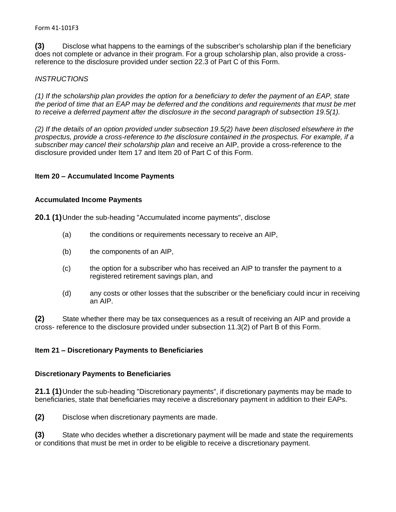**(3)** Disclose what happens to the earnings of the subscriber's scholarship plan if the beneficiary does not complete or advance in their program. For a group scholarship plan, also provide a crossreference to the disclosure provided under section 22.3 of Part C of this Form.

### *INSTRUCTIONS*

*(1) If the scholarship plan provides the option for a beneficiary to defer the payment of an EAP, state the period of time that an EAP may be deferred and the conditions and requirements that must be met to receive a deferred payment after the disclosure in the second paragraph of subsection 19.5(1).*

*(2) If the details of an option provided under subsection 19.5(2) have been disclosed elsewhere in the prospectus, provide a cross-reference to the disclosure contained in the prospectus. For example, if a subscriber may cancel their scholarship plan* and receive an AIP, provide a cross-reference to the disclosure provided under Item 17 and Item 20 of Part C of this Form.

### **Item 20 – Accumulated Income Payments**

### **Accumulated Income Payments**

**20.1 (1)**Under the sub-heading "Accumulated income payments", disclose

- (a) the conditions or requirements necessary to receive an AIP,
- (b) the components of an AIP,
- (c) the option for a subscriber who has received an AIP to transfer the payment to a registered retirement savings plan, and
- (d) any costs or other losses that the subscriber or the beneficiary could incur in receiving an AIP.

**(2)** State whether there may be tax consequences as a result of receiving an AIP and provide a cross- reference to the disclosure provided under subsection 11.3(2) of Part B of this Form.

### **Item 21 – Discretionary Payments to Beneficiaries**

### **Discretionary Payments to Beneficiaries**

**21.1 (1)**Under the sub-heading "Discretionary payments", if discretionary payments may be made to beneficiaries, state that beneficiaries may receive a discretionary payment in addition to their EAPs.

**(2)** Disclose when discretionary payments are made.

**(3)** State who decides whether a discretionary payment will be made and state the requirements or conditions that must be met in order to be eligible to receive a discretionary payment.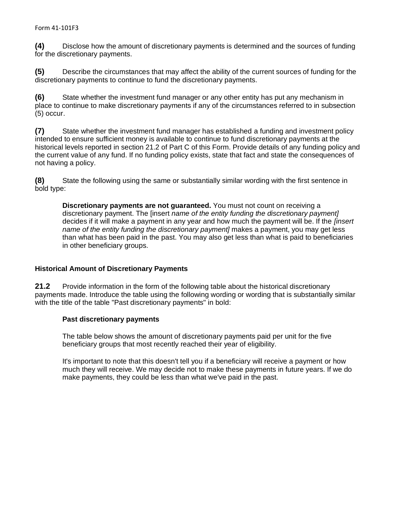### Form 41-101F3

**(4)** Disclose how the amount of discretionary payments is determined and the sources of funding for the discretionary payments.

**(5)** Describe the circumstances that may affect the ability of the current sources of funding for the discretionary payments to continue to fund the discretionary payments.

**(6)** State whether the investment fund manager or any other entity has put any mechanism in place to continue to make discretionary payments if any of the circumstances referred to in subsection (5) occur.

**(7)** State whether the investment fund manager has established a funding and investment policy intended to ensure sufficient money is available to continue to fund discretionary payments at the historical levels reported in section 21.2 of Part C of this Form. Provide details of any funding policy and the current value of any fund. If no funding policy exists, state that fact and state the consequences of not having a policy.

**(8)** State the following using the same or substantially similar wording with the first sentence in bold type:

**Discretionary payments are not guaranteed.** You must not count on receiving a discretionary payment. The [insert *name of the entity funding the discretionary payment]*  decides if it will make a payment in any year and how much the payment will be. If the *[insert name of the entity funding the discretionary payment]* makes a payment, you may get less than what has been paid in the past. You may also get less than what is paid to beneficiaries in other beneficiary groups.

# **Historical Amount of Discretionary Payments**

**21.2** Provide information in the form of the following table about the historical discretionary payments made. Introduce the table using the following wording or wording that is substantially similar with the title of the table "Past discretionary payments" in bold:

# **Past discretionary payments**

The table below shows the amount of discretionary payments paid per unit for the five beneficiary groups that most recently reached their year of eligibility.

It's important to note that this doesn't tell you if a beneficiary will receive a payment or how much they will receive. We may decide not to make these payments in future years. If we do make payments, they could be less than what we've paid in the past.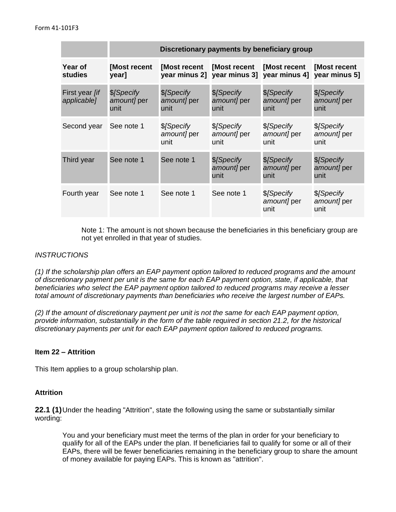|                                      | Discretionary payments by beneficiary group |                                          |                                             |                                   |                                   |  |
|--------------------------------------|---------------------------------------------|------------------------------------------|---------------------------------------------|-----------------------------------|-----------------------------------|--|
| Year of<br>studies                   | [Most recent<br>year]                       | [Most recent                             | [Most recent<br>year minus 2] year minus 3] | [Most recent<br>year minus 41     | Most recent<br>year minus 51      |  |
| First year <i>[if</i><br>applicable] | \$ <i>[Specify</i><br>amount] per<br>unit   | \$/Specify<br>amount] per<br>unit        | \$/Specify<br>amount] per<br>unit           | \$/Specify<br>amount] per<br>unit | \$/Specify<br>amount] per<br>unit |  |
| Second year                          | See note 1                                  | \$ <i>Specify</i><br>amount] per<br>unit | \$/Specify<br>amount] per<br>unit           | \$/Specify<br>amount] per<br>unit | \$/Specify<br>amount] per<br>unit |  |
| Third year                           | See note 1                                  | See note 1                               | \$/Specify<br>amount] per<br>unit           | \$/Specify<br>amount] per<br>unit | \$/Specify<br>amount] per<br>unit |  |
| Fourth year                          | See note 1                                  | See note 1                               | See note 1                                  | \$/Specify<br>amount] per<br>unit | \$/Specify<br>amount] per<br>unit |  |

Note 1: The amount is not shown because the beneficiaries in this beneficiary group are not yet enrolled in that year of studies.

### *INSTRUCTIONS*

*(1) If the scholarship plan offers an EAP payment option tailored to reduced programs and the amount of discretionary payment per unit is the same for each EAP payment option, state, if applicable, that beneficiaries who select the EAP payment option tailored to reduced programs may receive a lesser total amount of discretionary payments than beneficiaries who receive the largest number of EAPs.*

*(2) If the amount of discretionary payment per unit is not the same for each EAP payment option, provide information, substantially in the form of the table required in section 21.2, for the historical discretionary payments per unit for each EAP payment option tailored to reduced programs.*

# **Item 22 – Attrition**

This Item applies to a group scholarship plan.

### **Attrition**

**22.1 (1)**Under the heading "Attrition", state the following using the same or substantially similar wording:

You and your beneficiary must meet the terms of the plan in order for your beneficiary to qualify for all of the EAPs under the plan. If beneficiaries fail to qualify for some or all of their EAPs, there will be fewer beneficiaries remaining in the beneficiary group to share the amount of money available for paying EAPs. This is known as "attrition".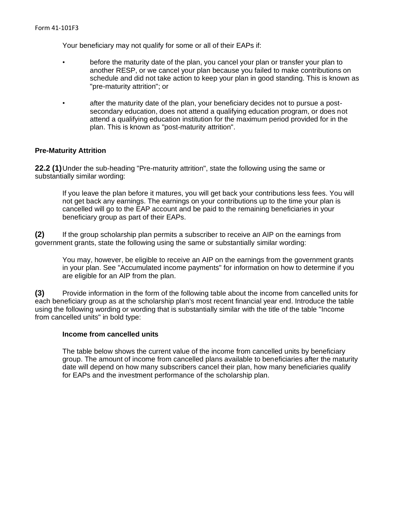Your beneficiary may not qualify for some or all of their EAPs if:

- before the maturity date of the plan, you cancel your plan or transfer your plan to another RESP, or we cancel your plan because you failed to make contributions on schedule and did not take action to keep your plan in good standing. This is known as "pre-maturity attrition"; or
- after the maturity date of the plan, your beneficiary decides not to pursue a postsecondary education, does not attend a qualifying education program, or does not attend a qualifying education institution for the maximum period provided for in the plan. This is known as "post-maturity attrition".

### **Pre-Maturity Attrition**

**22.2 (1)**Under the sub-heading "Pre-maturity attrition", state the following using the same or substantially similar wording:

If you leave the plan before it matures, you will get back your contributions less fees. You will not get back any earnings. The earnings on your contributions up to the time your plan is cancelled will go to the EAP account and be paid to the remaining beneficiaries in your beneficiary group as part of their EAPs.

**(2)** If the group scholarship plan permits a subscriber to receive an AIP on the earnings from government grants, state the following using the same or substantially similar wording:

You may, however, be eligible to receive an AIP on the earnings from the government grants in your plan. See "Accumulated income payments" for information on how to determine if you are eligible for an AIP from the plan.

**(3)** Provide information in the form of the following table about the income from cancelled units for each beneficiary group as at the scholarship plan's most recent financial year end. Introduce the table using the following wording or wording that is substantially similar with the title of the table "Income from cancelled units" in bold type:

### **Income from cancelled units**

The table below shows the current value of the income from cancelled units by beneficiary group. The amount of income from cancelled plans available to beneficiaries after the maturity date will depend on how many subscribers cancel their plan, how many beneficiaries qualify for EAPs and the investment performance of the scholarship plan.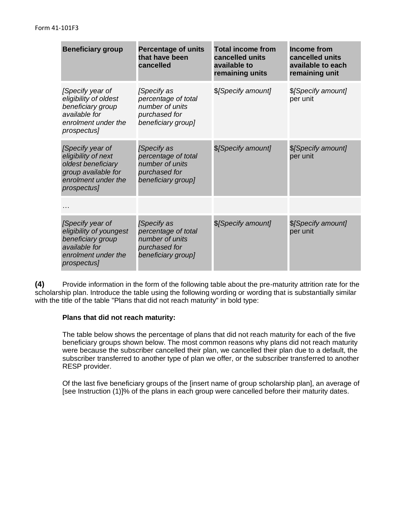| <b>Beneficiary group</b>                                                                                                   | <b>Percentage of units</b><br>that have been<br>cancelled                                          | <b>Total income from</b><br>cancelled units<br>available to<br>remaining units | Income from<br>cancelled units<br>available to each<br>remaining unit |
|----------------------------------------------------------------------------------------------------------------------------|----------------------------------------------------------------------------------------------------|--------------------------------------------------------------------------------|-----------------------------------------------------------------------|
| [Specify year of<br>eligibility of oldest<br>beneficiary group<br>available for<br>enrolment under the<br>prospectus]      | <b>Specify as</b><br>percentage of total<br>number of units<br>purchased for<br>beneficiary group] | \$[Specify amount]                                                             | \$[Specify amount]<br>per unit                                        |
| [Specify year of<br>eligibility of next<br>oldest beneficiary<br>group available for<br>enrolment under the<br>prospectus] | <b>Specify as</b><br>percentage of total<br>number of units<br>purchased for<br>beneficiary group] | \$[Specify amount]                                                             | \$[Specify amount]<br>per unit                                        |
|                                                                                                                            |                                                                                                    |                                                                                |                                                                       |
| [Specify year of<br>eligibility of youngest<br>beneficiary group<br>available for<br>enrolment under the<br>prospectus]    | [Specify as<br>percentage of total<br>number of units<br>purchased for<br>beneficiary group]       | \$[Specify amount]                                                             | \$[Specify amount]<br>per unit                                        |

**(4)** Provide information in the form of the following table about the pre-maturity attrition rate for the scholarship plan. Introduce the table using the following wording or wording that is substantially similar with the title of the table "Plans that did not reach maturity" in bold type:

### **Plans that did not reach maturity:**

The table below shows the percentage of plans that did not reach maturity for each of the five beneficiary groups shown below. The most common reasons why plans did not reach maturity were because the subscriber cancelled their plan, we cancelled their plan due to a default, the subscriber transferred to another type of plan we offer, or the subscriber transferred to another RESP provider.

Of the last five beneficiary groups of the [insert name of group scholarship plan], an average of [see Instruction (1)]% of the plans in each group were cancelled before their maturity dates.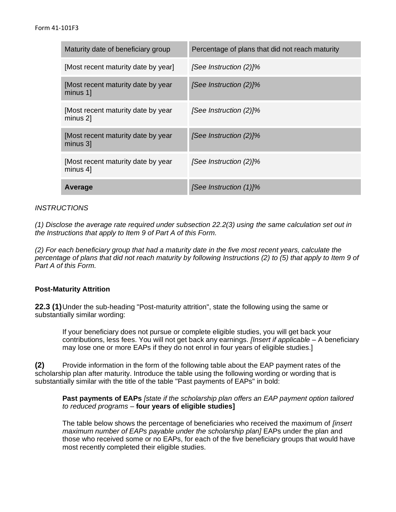| Maturity date of beneficiary group               | Percentage of plans that did not reach maturity |
|--------------------------------------------------|-------------------------------------------------|
| [Most recent maturity date by year]              | [See Instruction (2)]%                          |
| Most recent maturity date by year<br>minus 1]    | [See Instruction (2)]%                          |
| Most recent maturity date by year<br>minus 21    | [See Instruction (2)]%                          |
| Most recent maturity date by year<br>minus 3]    | [See Instruction (2)]%                          |
| Most recent maturity date by year<br>$minus 4$ ] | [See Instruction (2)]%                          |
| <b>Average</b>                                   | [See Instruction (1)]%                          |

## *INSTRUCTIONS*

*(1) Disclose the average rate required under subsection 22.2(3) using the same calculation set out in the Instructions that apply to Item 9 of Part A of this Form.*

*(2) For each beneficiary group that had a maturity date in the five most recent years, calculate the percentage of plans that did not reach maturity by following Instructions (2) to (5) that apply to Item 9 of Part A of this Form.*

## **Post-Maturity Attrition**

**22.3 (1)**Under the sub-heading "Post-maturity attrition", state the following using the same or substantially similar wording:

If your beneficiary does not pursue or complete eligible studies, you will get back your contributions, less fees. You will not get back any earnings. *[Insert if applicable –* A beneficiary may lose one or more EAPs if they do not enrol in four years of eligible studies.]

**(2)** Provide information in the form of the following table about the EAP payment rates of the scholarship plan after maturity. Introduce the table using the following wording or wording that is substantially similar with the title of the table "Past payments of EAPs" in bold:

**Past payments of EAPs** *[state if the scholarship plan offers an EAP payment option tailored to reduced programs –* **four years of eligible studies]**

The table below shows the percentage of beneficiaries who received the maximum of *[insert maximum number of EAPs payable under the scholarship plan]* EAPs under the plan and those who received some or no EAPs, for each of the five beneficiary groups that would have most recently completed their eligible studies.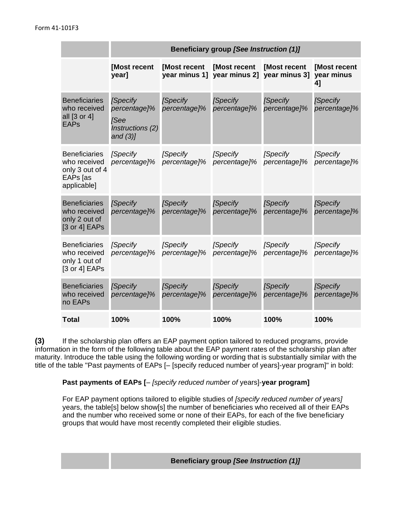|                                                                                    | Beneficiary group [See Instruction (1)]                                   |                                |                                                                 |                                |                                        |  |  |
|------------------------------------------------------------------------------------|---------------------------------------------------------------------------|--------------------------------|-----------------------------------------------------------------|--------------------------------|----------------------------------------|--|--|
|                                                                                    | <b>IMost recent</b><br>year]                                              | <b>IMost recent</b>            | <b>Most recent</b><br>year minus 1] year minus 2] year minus 3] | <b>Most recent</b>             | <b>Most recent</b><br>year minus<br>4] |  |  |
| <b>Beneficiaries</b><br>who received<br>all [3 or 4]<br><b>EAPs</b>                | [Specify<br>percentage]%<br><b>See</b><br>Instructions (2)<br>and $(3)$ ] | [Specify<br>percentage]%       | <b>Specify</b><br>percentage]%                                  | [Specify<br>percentage]%       | [Specify<br>percentage]%               |  |  |
| <b>Beneficiaries</b><br>who received<br>only 3 out of 4<br>EAPs [as<br>applicable] | [Specify<br>percentage]%                                                  | [Specify<br>percentage]%       | [Specify<br>percentage]%                                        | [Specify<br>percentage]%       | [Specify<br>percentage]%               |  |  |
| <b>Beneficiaries</b><br>who received<br>only 2 out of<br>[3 or 4] EAPs             | <b>Specify</b><br>percentage]%                                            | <b>Specify</b><br>percentage]% | <b>Specify</b><br>percentage]%                                  | <b>Specify</b><br>percentage]% | <b>Specify</b><br>percentage]%         |  |  |
| <b>Beneficiaries</b><br>who received<br>only 1 out of<br>[3 or 4] EAPs             | <b>Specify</b><br>percentage]%                                            | <b>Specify</b><br>percentage]% | <b>Specify</b><br>percentage]%                                  | <b>Specify</b><br>percentage]% | <b>Specify</b><br>percentage]%         |  |  |
| <b>Beneficiaries</b><br>who received<br>no EAPs                                    | <b>Specify</b><br>percentage]%                                            | <b>Specify</b><br>percentage]% | <b>Specify</b><br>percentage]%                                  | <b>Specify</b><br>percentage]% | <b>Specify</b><br>percentage]%         |  |  |
| <b>Total</b>                                                                       | 100%                                                                      | 100%                           | 100%                                                            | 100%                           | 100%                                   |  |  |

**(3)** If the scholarship plan offers an EAP payment option tailored to reduced programs, provide information in the form of the following table about the EAP payment rates of the scholarship plan after maturity. Introduce the table using the following wording or wording that is substantially similar with the title of the table "Past payments of EAPs [– [specify reduced number of years]-year program]" in bold:

## **Past payments of EAPs [**– *[specify reduced number of* years]-**year program]**

For EAP payment options tailored to eligible studies of *[specify reduced number of years]*  years, the table[s] below show[s] the number of beneficiaries who received all of their EAPs and the number who received some or none of their EAPs, for each of the five beneficiary groups that would have most recently completed their eligible studies.

|  | Beneficiary group [See Instruction (1)] |  |
|--|-----------------------------------------|--|
|  |                                         |  |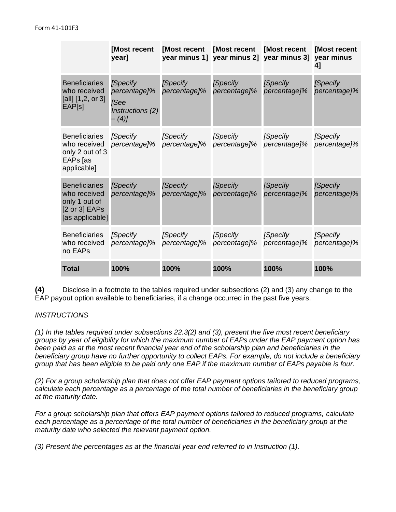|                                                                                                      | [Most recent<br>year]                                                | Most recent                    | Most recent<br>year minus 1] year minus 2] year minus 3] | [Most recent                   | <b>Most recent</b><br>year minus<br>4] |
|------------------------------------------------------------------------------------------------------|----------------------------------------------------------------------|--------------------------------|----------------------------------------------------------|--------------------------------|----------------------------------------|
| <b>Beneficiaries</b><br>who received<br>$[all]$ $[1,2,$ or 3]<br>EAP[s]                              | [Specify<br>percentage]%<br><b>See</b><br>Instructions (2)<br>- (4)] | [Specify<br>percentage]%       | [Specify<br>percentage]%                                 | [Specify<br>percentage]%       | [Specify<br>percentage]%               |
| <b>Beneficiaries</b><br>who received<br>only 2 out of 3<br>EAPs [as<br>applicable]                   | [Specify<br>percentage]%                                             | [Specify<br>percentage]%       | [Specify<br>percentage]%                                 | [Specify]<br>percentage]%      | [Specify<br>percentage]%               |
| <b>Beneficiaries</b><br>who received<br>only 1 out of<br>$[2 \text{ or } 3]$ EAPs<br>[as applicable] | <b>Specify</b><br>percentage]%                                       | <b>Specify</b><br>percentage]% | <b>Specify</b><br>percentage]%                           | <b>Specify</b><br>percentage]% | [Specify<br>percentage]%               |
| <b>Beneficiaries</b><br>who received<br>no EAPs                                                      | <b>Specify</b><br>percentage]%                                       | [Specify<br>percentage]%       | <b>Specify</b><br>percentage]%                           | <b>Specify</b><br>percentage]% | [Specify<br>percentage]%               |
| Total                                                                                                | 100%                                                                 | 100%                           | 100%                                                     | 100%                           | 100%                                   |

**(4)** Disclose in a footnote to the tables required under subsections (2) and (3) any change to the EAP payout option available to beneficiaries, if a change occurred in the past five years.

# *INSTRUCTIONS*

*(1) In the tables required under subsections 22.3(2) and (3), present the five most recent beneficiary groups by year of eligibility for which the maximum number of EAPs under the EAP payment option has been paid as at the most recent financial year end of the scholarship plan and beneficiaries in the beneficiary group have no further opportunity to collect EAPs. For example, do not include a beneficiary group that has been eligible to be paid only one EAP if the maximum number of EAPs payable is four.*

*(2) For a group scholarship plan that does not offer EAP payment options tailored to reduced programs, calculate each percentage as a percentage of the total number of beneficiaries in the beneficiary group at the maturity date.*

*For a group scholarship plan that offers EAP payment options tailored to reduced programs, calculate*  each percentage as a percentage of the total number of beneficiaries in the beneficiary group at the *maturity date who selected the relevant payment option.*

*(3) Present the percentages as at the financial year end referred to in Instruction (1).*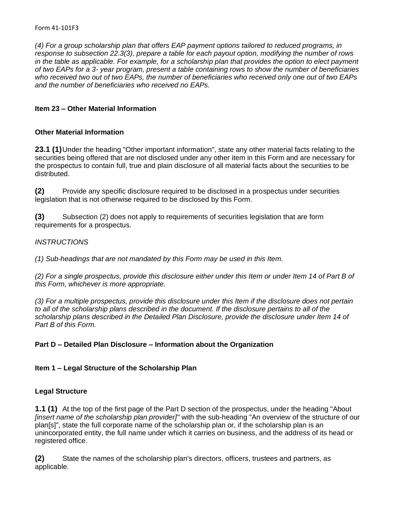*(4) For a group scholarship plan that offers EAP payment options tailored to reduced programs, in response to subsection 22.3(3), prepare a table for each payout option, modifying the number of rows in the table as applicable. For example, for a scholarship plan that provides the option to elect payment of two EAPs for a 3- year program, present a table containing rows to show the number of beneficiaries who received two out of two EAPs, the number of beneficiaries who received only one out of two EAPs and the number of beneficiaries who received no EAPs.*

# **Item 23 – Other Material Information**

# **Other Material Information**

**23.1 (1)**Under the heading "Other important information", state any other material facts relating to the securities being offered that are not disclosed under any other item in this Form and are necessary for the prospectus to contain full, true and plain disclosure of all material facts about the securities to be distributed.

**(2)** Provide any specific disclosure required to be disclosed in a prospectus under securities legislation that is not otherwise required to be disclosed by this Form.

**(3)** Subsection (2) does not apply to requirements of securities legislation that are form requirements for a prospectus.

## *INSTRUCTIONS*

*(1) Sub-headings that are not mandated by this Form may be used in this Item.*

*(2) For a single prospectus, provide this disclosure either under this Item or under Item 14 of Part B of this Form, whichever is more appropriate.*

*(3) For a multiple prospectus, provide this disclosure under this Item if the disclosure does not pertain to all of the scholarship plans described in the document. If the disclosure pertains to all of the scholarship plans described in the Detailed Plan Disclosure, provide the disclosure under Item 14 of Part B of this Form.*

## **Part D – Detailed Plan Disclosure – Information about the Organization**

## **Item 1 – Legal Structure of the Scholarship Plan**

## **Legal Structure**

**1.1 (1)** At the top of the first page of the Part D section of the prospectus, under the heading "About *[insert name of the scholarship plan provider]"* with the sub-heading "An overview of the structure of our plan[s]", state the full corporate name of the scholarship plan or, if the scholarship plan is an unincorporated entity, the full name under which it carries on business, and the address of its head or registered office.

**(2)** State the names of the scholarship plan's directors, officers, trustees and partners, as applicable.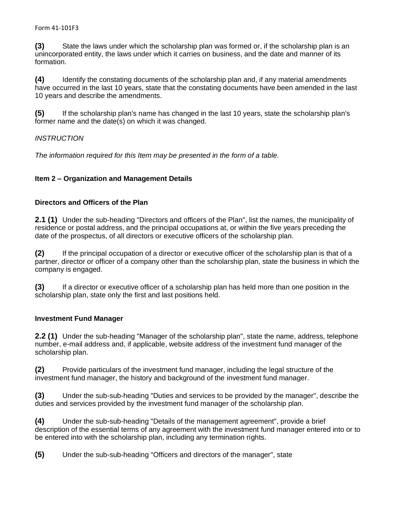#### Form 41-101F3

**(3)** State the laws under which the scholarship plan was formed or, if the scholarship plan is an unincorporated entity, the laws under which it carries on business, and the date and manner of its formation.

**(4)** Identify the constating documents of the scholarship plan and, if any material amendments have occurred in the last 10 years, state that the constating documents have been amended in the last 10 years and describe the amendments.

**(5)** If the scholarship plan's name has changed in the last 10 years, state the scholarship plan's former name and the date(s) on which it was changed.

## *INSTRUCTION*

*The information required for this Item may be presented in the form of a table.*

# **Item 2 – Organization and Management Details**

## **Directors and Officers of the Plan**

**2.1 (1)** Under the sub-heading "Directors and officers of the Plan", list the names, the municipality of residence or postal address, and the principal occupations at, or within the five years preceding the date of the prospectus, of all directors or executive officers of the scholarship plan.

**(2)** If the principal occupation of a director or executive officer of the scholarship plan is that of a partner, director or officer of a company other than the scholarship plan, state the business in which the company is engaged.

**(3)** If a director or executive officer of a scholarship plan has held more than one position in the scholarship plan, state only the first and last positions held.

## **Investment Fund Manager**

**2.2 (1)** Under the sub-heading "Manager of the scholarship plan", state the name, address, telephone number, e-mail address and, if applicable, website address of the investment fund manager of the scholarship plan.

**(2)** Provide particulars of the investment fund manager, including the legal structure of the investment fund manager, the history and background of the investment fund manager.

**(3)** Under the sub-sub-heading "Duties and services to be provided by the manager", describe the duties and services provided by the investment fund manager of the scholarship plan.

**(4)** Under the sub-sub-heading "Details of the management agreement", provide a brief description of the essential terms of any agreement with the investment fund manager entered into or to be entered into with the scholarship plan, including any termination rights.

**(5)** Under the sub-sub-heading "Officers and directors of the manager", state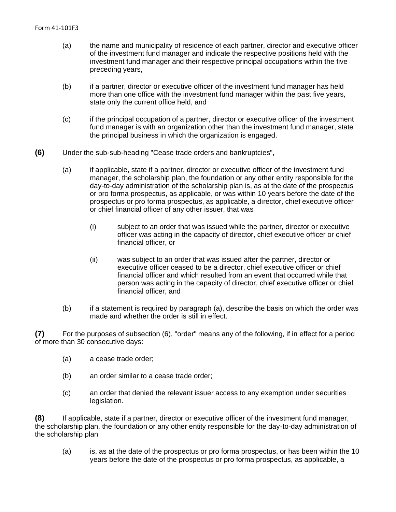- (a) the name and municipality of residence of each partner, director and executive officer of the investment fund manager and indicate the respective positions held with the investment fund manager and their respective principal occupations within the five preceding years,
- (b) if a partner, director or executive officer of the investment fund manager has held more than one office with the investment fund manager within the past five years, state only the current office held, and
- (c) if the principal occupation of a partner, director or executive officer of the investment fund manager is with an organization other than the investment fund manager, state the principal business in which the organization is engaged.
- **(6)** Under the sub-sub-heading "Cease trade orders and bankruptcies",
	- (a) if applicable, state if a partner, director or executive officer of the investment fund manager, the scholarship plan, the foundation or any other entity responsible for the day-to-day administration of the scholarship plan is, as at the date of the prospectus or pro forma prospectus, as applicable, or was within 10 years before the date of the prospectus or pro forma prospectus, as applicable, a director, chief executive officer or chief financial officer of any other issuer, that was
		- (i) subject to an order that was issued while the partner, director or executive officer was acting in the capacity of director, chief executive officer or chief financial officer, or
		- (ii) was subject to an order that was issued after the partner, director or executive officer ceased to be a director, chief executive officer or chief financial officer and which resulted from an event that occurred while that person was acting in the capacity of director, chief executive officer or chief financial officer, and
	- (b) if a statement is required by paragraph (a), describe the basis on which the order was made and whether the order is still in effect.

**(7)** For the purposes of subsection (6), "order" means any of the following, if in effect for a period of more than 30 consecutive days:

- (a) a cease trade order;
- (b) an order similar to a cease trade order;
- (c) an order that denied the relevant issuer access to any exemption under securities legislation.

**(8)** If applicable, state if a partner, director or executive officer of the investment fund manager, the scholarship plan, the foundation or any other entity responsible for the day-to-day administration of the scholarship plan

(a) is, as at the date of the prospectus or pro forma prospectus, or has been within the 10 years before the date of the prospectus or pro forma prospectus, as applicable, a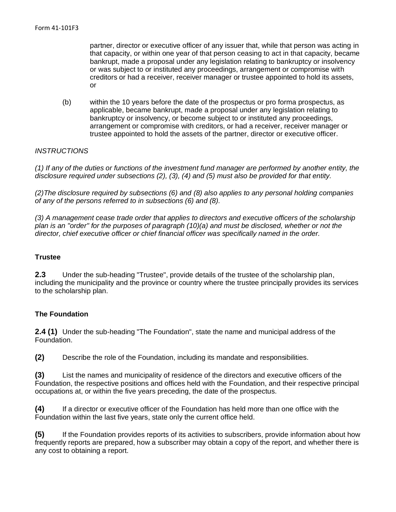partner, director or executive officer of any issuer that, while that person was acting in that capacity, or within one year of that person ceasing to act in that capacity, became bankrupt, made a proposal under any legislation relating to bankruptcy or insolvency or was subject to or instituted any proceedings, arrangement or compromise with creditors or had a receiver, receiver manager or trustee appointed to hold its assets, or

(b) within the 10 years before the date of the prospectus or pro forma prospectus, as applicable, became bankrupt, made a proposal under any legislation relating to bankruptcy or insolvency, or become subject to or instituted any proceedings, arrangement or compromise with creditors, or had a receiver, receiver manager or trustee appointed to hold the assets of the partner, director or executive officer.

### *INSTRUCTIONS*

*(1) If any of the duties or functions of the investment fund manager are performed by another entity, the disclosure required under subsections (2), (3), (4) and (5) must also be provided for that entity.*

*(2)The disclosure required by subsections (6) and (8) also applies to any personal holding companies of any of the persons referred to in subsections (6) and (8).*

*(3) A management cease trade order that applies to directors and executive officers of the scholarship plan is an "order" for the purposes of paragraph (10)(a) and must be disclosed, whether or not the director, chief executive officer or chief financial officer was specifically named in the order.*

#### **Trustee**

**2.3** Under the sub-heading "Trustee", provide details of the trustee of the scholarship plan, including the municipality and the province or country where the trustee principally provides its services to the scholarship plan.

## **The Foundation**

**2.4 (1)** Under the sub-heading "The Foundation", state the name and municipal address of the Foundation.

**(2)** Describe the role of the Foundation, including its mandate and responsibilities.

**(3)** List the names and municipality of residence of the directors and executive officers of the Foundation, the respective positions and offices held with the Foundation, and their respective principal occupations at, or within the five years preceding, the date of the prospectus.

**(4)** If a director or executive officer of the Foundation has held more than one office with the Foundation within the last five years, state only the current office held.

**(5)** If the Foundation provides reports of its activities to subscribers, provide information about how frequently reports are prepared, how a subscriber may obtain a copy of the report, and whether there is any cost to obtaining a report.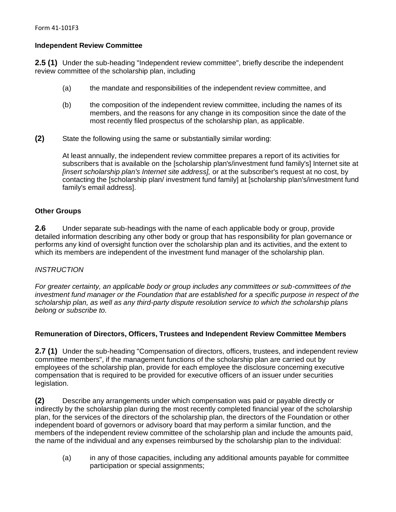### **Independent Review Committee**

**2.5 (1)** Under the sub-heading "Independent review committee", briefly describe the independent review committee of the scholarship plan, including

- (a) the mandate and responsibilities of the independent review committee, and
- (b) the composition of the independent review committee, including the names of its members, and the reasons for any change in its composition since the date of the most recently filed prospectus of the scholarship plan, as applicable.
- **(2)** State the following using the same or substantially similar wording:

At least annually, the independent review committee prepares a report of its activities for subscribers that is available on the [scholarship plan's/investment fund family's] Internet site at *[insert scholarship plan's Internet site address],* or at the subscriber's request at no cost, by contacting the [scholarship plan/ investment fund family] at [scholarship plan's/investment fund family's email address].

### **Other Groups**

**2.6** Under separate sub-headings with the name of each applicable body or group, provide detailed information describing any other body or group that has responsibility for plan governance or performs any kind of oversight function over the scholarship plan and its activities, and the extent to which its members are independent of the investment fund manager of the scholarship plan.

#### *INSTRUCTION*

*For greater certainty, an applicable body or group includes any committees or sub-committees of the investment fund manager or the Foundation that are established for a specific purpose in respect of the scholarship plan, as well as any third-party dispute resolution service to which the scholarship plans belong or subscribe to.*

#### **Remuneration of Directors, Officers, Trustees and Independent Review Committee Members**

**2.7 (1)** Under the sub-heading "Compensation of directors, officers, trustees, and independent review committee members", if the management functions of the scholarship plan are carried out by employees of the scholarship plan, provide for each employee the disclosure concerning executive compensation that is required to be provided for executive officers of an issuer under securities legislation.

**(2)** Describe any arrangements under which compensation was paid or payable directly or indirectly by the scholarship plan during the most recently completed financial year of the scholarship plan, for the services of the directors of the scholarship plan, the directors of the Foundation or other independent board of governors or advisory board that may perform a similar function, and the members of the independent review committee of the scholarship plan and include the amounts paid, the name of the individual and any expenses reimbursed by the scholarship plan to the individual:

(a) in any of those capacities, including any additional amounts payable for committee participation or special assignments;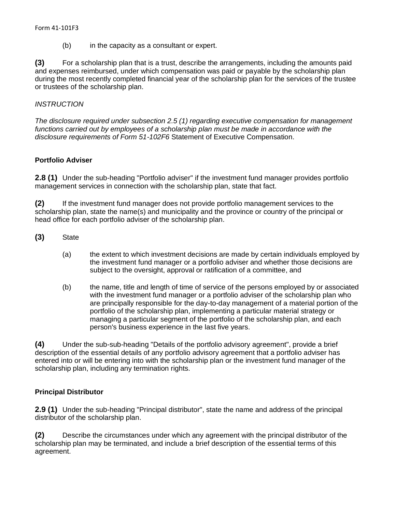(b) in the capacity as a consultant or expert.

**(3)** For a scholarship plan that is a trust, describe the arrangements, including the amounts paid and expenses reimbursed, under which compensation was paid or payable by the scholarship plan during the most recently completed financial year of the scholarship plan for the services of the trustee or trustees of the scholarship plan.

### *INSTRUCTION*

*The disclosure required under subsection 2.5 (1) regarding executive compensation for management functions carried out by employees of a scholarship plan must be made in accordance with the disclosure requirements of Form 51-102F6* Statement of Executive Compensation.

### **Portfolio Adviser**

**2.8 (1)** Under the sub-heading "Portfolio adviser" if the investment fund manager provides portfolio management services in connection with the scholarship plan, state that fact.

**(2)** If the investment fund manager does not provide portfolio management services to the scholarship plan, state the name(s) and municipality and the province or country of the principal or head office for each portfolio adviser of the scholarship plan.

- **(3)** State
	- (a) the extent to which investment decisions are made by certain individuals employed by the investment fund manager or a portfolio adviser and whether those decisions are subject to the oversight, approval or ratification of a committee, and
	- (b) the name, title and length of time of service of the persons employed by or associated with the investment fund manager or a portfolio adviser of the scholarship plan who are principally responsible for the day-to-day management of a material portion of the portfolio of the scholarship plan, implementing a particular material strategy or managing a particular segment of the portfolio of the scholarship plan, and each person's business experience in the last five years.

**(4)** Under the sub-sub-heading "Details of the portfolio advisory agreement", provide a brief description of the essential details of any portfolio advisory agreement that a portfolio adviser has entered into or will be entering into with the scholarship plan or the investment fund manager of the scholarship plan, including any termination rights.

## **Principal Distributor**

**2.9 (1)** Under the sub-heading "Principal distributor", state the name and address of the principal distributor of the scholarship plan.

**(2)** Describe the circumstances under which any agreement with the principal distributor of the scholarship plan may be terminated, and include a brief description of the essential terms of this agreement.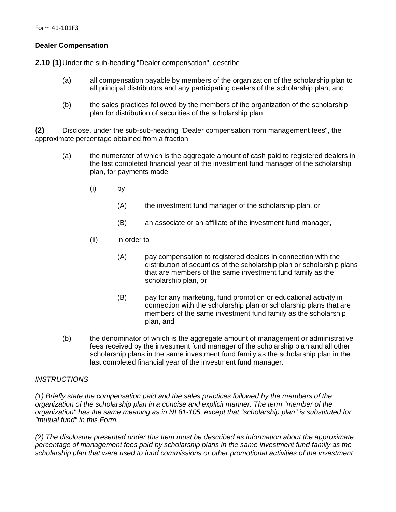### **Dealer Compensation**

**2.10 (1)**Under the sub-heading "Dealer compensation", describe

- (a) all compensation payable by members of the organization of the scholarship plan to all principal distributors and any participating dealers of the scholarship plan, and
- (b) the sales practices followed by the members of the organization of the scholarship plan for distribution of securities of the scholarship plan.

**(2)** Disclose, under the sub-sub-heading "Dealer compensation from management fees", the approximate percentage obtained from a fraction

- (a) the numerator of which is the aggregate amount of cash paid to registered dealers in the last completed financial year of the investment fund manager of the scholarship plan, for payments made
	- (i) by
		- (A) the investment fund manager of the scholarship plan, or
		- (B) an associate or an affiliate of the investment fund manager,
	- (ii) in order to
		- (A) pay compensation to registered dealers in connection with the distribution of securities of the scholarship plan or scholarship plans that are members of the same investment fund family as the scholarship plan, or
		- (B) pay for any marketing, fund promotion or educational activity in connection with the scholarship plan or scholarship plans that are members of the same investment fund family as the scholarship plan, and
- (b) the denominator of which is the aggregate amount of management or administrative fees received by the investment fund manager of the scholarship plan and all other scholarship plans in the same investment fund family as the scholarship plan in the last completed financial year of the investment fund manager.

#### *INSTRUCTIONS*

*(1) Briefly state the compensation paid and the sales practices followed by the members of the organization of the scholarship plan in a concise and explicit manner. The term "member of the organization" has the same meaning as in NI 81-105, except that "scholarship plan" is substituted for "mutual fund" in this Form.*

*(2) The disclosure presented under this Item must be described as information about the approximate percentage of management fees paid by scholarship plans in the same investment fund family as the scholarship plan that were used to fund commissions or other promotional activities of the investment*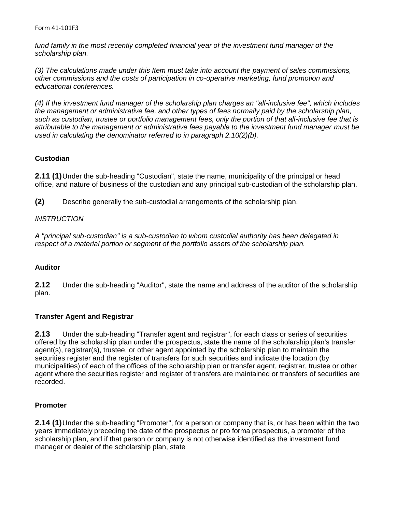*fund family in the most recently completed financial year of the investment fund manager of the scholarship plan.*

*(3) The calculations made under this Item must take into account the payment of sales commissions, other commissions and the costs of participation in co-operative marketing, fund promotion and educational conferences.*

*(4) If the investment fund manager of the scholarship plan charges an "all-inclusive fee", which includes the management or administrative fee, and other types of fees normally paid by the scholarship plan, such as custodian, trustee or portfolio management fees, only the portion of that all-inclusive fee that is attributable to the management or administrative fees payable to the investment fund manager must be used in calculating the denominator referred to in paragraph 2.10(2)(b).*

# **Custodian**

**2.11 (1)**Under the sub-heading "Custodian", state the name, municipality of the principal or head office, and nature of business of the custodian and any principal sub-custodian of the scholarship plan.

**(2)** Describe generally the sub-custodial arrangements of the scholarship plan.

## *INSTRUCTION*

*A "principal sub-custodian" is a sub-custodian to whom custodial authority has been delegated in respect of a material portion or segment of the portfolio assets of the scholarship plan.*

## **Auditor**

**2.12** Under the sub-heading "Auditor", state the name and address of the auditor of the scholarship plan.

## **Transfer Agent and Registrar**

**2.13** Under the sub-heading "Transfer agent and registrar", for each class or series of securities offered by the scholarship plan under the prospectus, state the name of the scholarship plan's transfer agent(s), registrar(s), trustee, or other agent appointed by the scholarship plan to maintain the securities register and the register of transfers for such securities and indicate the location (by municipalities) of each of the offices of the scholarship plan or transfer agent, registrar, trustee or other agent where the securities register and register of transfers are maintained or transfers of securities are recorded.

## **Promoter**

**2.14 (1)**Under the sub-heading "Promoter", for a person or company that is, or has been within the two years immediately preceding the date of the prospectus or pro forma prospectus, a promoter of the scholarship plan, and if that person or company is not otherwise identified as the investment fund manager or dealer of the scholarship plan, state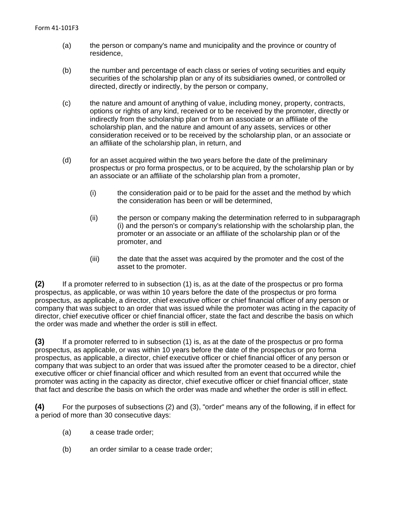- (a) the person or company's name and municipality and the province or country of residence,
- (b) the number and percentage of each class or series of voting securities and equity securities of the scholarship plan or any of its subsidiaries owned, or controlled or directed, directly or indirectly, by the person or company,
- (c) the nature and amount of anything of value, including money, property, contracts, options or rights of any kind, received or to be received by the promoter, directly or indirectly from the scholarship plan or from an associate or an affiliate of the scholarship plan, and the nature and amount of any assets, services or other consideration received or to be received by the scholarship plan, or an associate or an affiliate of the scholarship plan, in return, and
- (d) for an asset acquired within the two years before the date of the preliminary prospectus or pro forma prospectus, or to be acquired, by the scholarship plan or by an associate or an affiliate of the scholarship plan from a promoter,
	- (i) the consideration paid or to be paid for the asset and the method by which the consideration has been or will be determined,
	- (ii) the person or company making the determination referred to in subparagraph (i) and the person's or company's relationship with the scholarship plan, the promoter or an associate or an affiliate of the scholarship plan or of the promoter, and
	- (iii) the date that the asset was acquired by the promoter and the cost of the asset to the promoter.

**(2)** If a promoter referred to in subsection (1) is, as at the date of the prospectus or pro forma prospectus, as applicable, or was within 10 years before the date of the prospectus or pro forma prospectus, as applicable, a director, chief executive officer or chief financial officer of any person or company that was subject to an order that was issued while the promoter was acting in the capacity of director, chief executive officer or chief financial officer, state the fact and describe the basis on which the order was made and whether the order is still in effect.

**(3)** If a promoter referred to in subsection (1) is, as at the date of the prospectus or pro forma prospectus, as applicable, or was within 10 years before the date of the prospectus or pro forma prospectus, as applicable, a director, chief executive officer or chief financial officer of any person or company that was subject to an order that was issued after the promoter ceased to be a director, chief executive officer or chief financial officer and which resulted from an event that occurred while the promoter was acting in the capacity as director, chief executive officer or chief financial officer, state that fact and describe the basis on which the order was made and whether the order is still in effect.

**(4)** For the purposes of subsections (2) and (3), "order" means any of the following, if in effect for a period of more than 30 consecutive days:

- (a) a cease trade order;
- (b) an order similar to a cease trade order;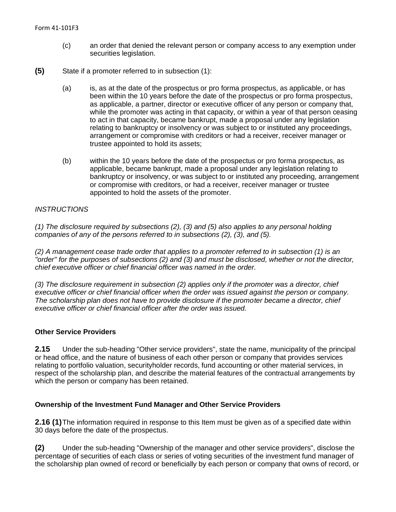- (c) an order that denied the relevant person or company access to any exemption under securities legislation.
- **(5)** State if a promoter referred to in subsection (1):
	- (a) is, as at the date of the prospectus or pro forma prospectus, as applicable, or has been within the 10 years before the date of the prospectus or pro forma prospectus, as applicable, a partner, director or executive officer of any person or company that, while the promoter was acting in that capacity, or within a year of that person ceasing to act in that capacity, became bankrupt, made a proposal under any legislation relating to bankruptcy or insolvency or was subject to or instituted any proceedings, arrangement or compromise with creditors or had a receiver, receiver manager or trustee appointed to hold its assets;
	- (b) within the 10 years before the date of the prospectus or pro forma prospectus, as applicable, became bankrupt, made a proposal under any legislation relating to bankruptcy or insolvency, or was subject to or instituted any proceeding, arrangement or compromise with creditors, or had a receiver, receiver manager or trustee appointed to hold the assets of the promoter.

### *INSTRUCTIONS*

*(1) The disclosure required by subsections (2), (3) and (5) also applies to any personal holding companies of any of the persons referred to in subsections (2), (3), and (5).*

*(2) A management cease trade order that applies to a promoter referred to in subsection (1) is an "order" for the purposes of subsections (2) and (3) and must be disclosed, whether or not the director, chief executive officer or chief financial officer was named in the order.*

*(3) The disclosure requirement in subsection (2) applies only if the promoter was a director, chief executive officer or chief financial officer when the order was issued against the person or company. The scholarship plan does not have to provide disclosure if the promoter became a director, chief executive officer or chief financial officer after the order was issued.*

#### **Other Service Providers**

**2.15** Under the sub-heading "Other service providers", state the name, municipality of the principal or head office, and the nature of business of each other person or company that provides services relating to portfolio valuation, securityholder records, fund accounting or other material services, in respect of the scholarship plan, and describe the material features of the contractual arrangements by which the person or company has been retained.

#### **Ownership of the Investment Fund Manager and Other Service Providers**

**2.16 (1)**The information required in response to this Item must be given as of a specified date within 30 days before the date of the prospectus.

**(2)** Under the sub-heading "Ownership of the manager and other service providers", disclose the percentage of securities of each class or series of voting securities of the investment fund manager of the scholarship plan owned of record or beneficially by each person or company that owns of record, or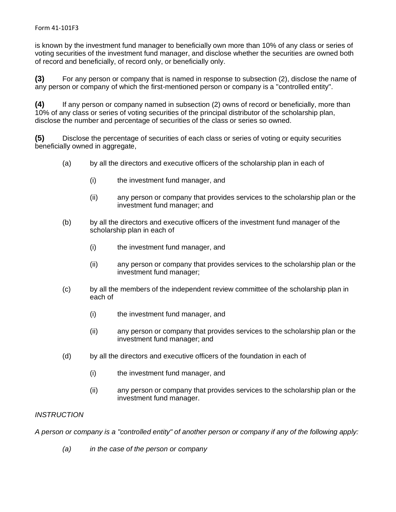is known by the investment fund manager to beneficially own more than 10% of any class or series of voting securities of the investment fund manager, and disclose whether the securities are owned both of record and beneficially, of record only, or beneficially only.

**(3)** For any person or company that is named in response to subsection (2), disclose the name of any person or company of which the first-mentioned person or company is a "controlled entity".

**(4)** If any person or company named in subsection (2) owns of record or beneficially, more than 10% of any class or series of voting securities of the principal distributor of the scholarship plan, disclose the number and percentage of securities of the class or series so owned.

**(5)** Disclose the percentage of securities of each class or series of voting or equity securities beneficially owned in aggregate.

- (a) by all the directors and executive officers of the scholarship plan in each of
	- (i) the investment fund manager, and
	- (ii) any person or company that provides services to the scholarship plan or the investment fund manager; and
- (b) by all the directors and executive officers of the investment fund manager of the scholarship plan in each of
	- (i) the investment fund manager, and
	- (ii) any person or company that provides services to the scholarship plan or the investment fund manager;
- (c) by all the members of the independent review committee of the scholarship plan in each of
	- (i) the investment fund manager, and
	- (ii) any person or company that provides services to the scholarship plan or the investment fund manager; and
- (d) by all the directors and executive officers of the foundation in each of
	- (i) the investment fund manager, and
	- (ii) any person or company that provides services to the scholarship plan or the investment fund manager.

## *INSTRUCTION*

*A person or company is a "controlled entity" of another person or company if any of the following apply:*

*(a) in the case of the person or company*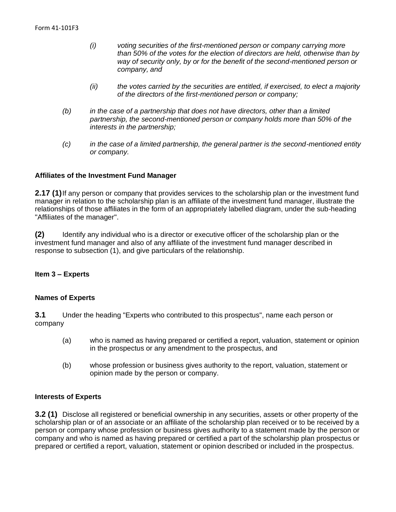- *(i) voting securities of the first-mentioned person or company carrying more than 50% of the votes for the election of directors are held, otherwise than by way of security only, by or for the benefit of the second-mentioned person or company, and*
- *(ii) the votes carried by the securities are entitled, if exercised, to elect a majority of the directors of the first-mentioned person or company;*
- *(b) in the case of a partnership that does not have directors, other than a limited partnership, the second-mentioned person or company holds more than 50% of the interests in the partnership;*
- *(c) in the case of a limited partnership, the general partner is the second-mentioned entity or company.*

### **Affiliates of the Investment Fund Manager**

**2.17 (1)**If any person or company that provides services to the scholarship plan or the investment fund manager in relation to the scholarship plan is an affiliate of the investment fund manager, illustrate the relationships of those affiliates in the form of an appropriately labelled diagram, under the sub-heading "Affiliates of the manager".

**(2)** Identify any individual who is a director or executive officer of the scholarship plan or the investment fund manager and also of any affiliate of the investment fund manager described in response to subsection (1), and give particulars of the relationship.

#### **Item 3 – Experts**

#### **Names of Experts**

**3.1** Under the heading "Experts who contributed to this prospectus", name each person or company

- (a) who is named as having prepared or certified a report, valuation, statement or opinion in the prospectus or any amendment to the prospectus, and
- (b) whose profession or business gives authority to the report, valuation, statement or opinion made by the person or company.

#### **Interests of Experts**

**3.2 (1)** Disclose all registered or beneficial ownership in any securities, assets or other property of the scholarship plan or of an associate or an affiliate of the scholarship plan received or to be received by a person or company whose profession or business gives authority to a statement made by the person or company and who is named as having prepared or certified a part of the scholarship plan prospectus or prepared or certified a report, valuation, statement or opinion described or included in the prospectus.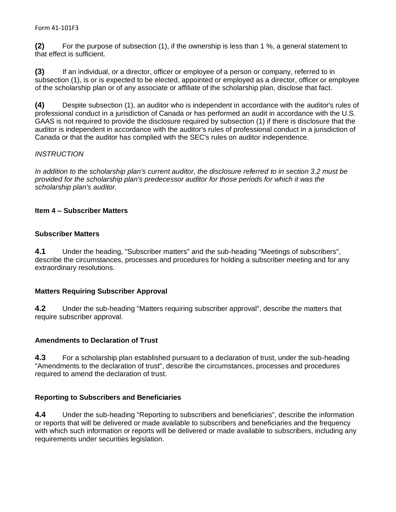#### Form 41-101F3

**(2)** For the purpose of subsection (1), if the ownership is less than 1 %, a general statement to that effect is sufficient.

**(3)** If an individual, or a director, officer or employee of a person or company, referred to in subsection (1), is or is expected to be elected, appointed or employed as a director, officer or employee of the scholarship plan or of any associate or affiliate of the scholarship plan, disclose that fact.

**(4)** Despite subsection (1), an auditor who is independent in accordance with the auditor's rules of professional conduct in a jurisdiction of Canada or has performed an audit in accordance with the U.S. GAAS is not required to provide the disclosure required by subsection (1) if there is disclosure that the auditor is independent in accordance with the auditor's rules of professional conduct in a jurisdiction of Canada or that the auditor has complied with the SEC's rules on auditor independence.

# *INSTRUCTION*

*In addition to the scholarship plan's current auditor, the disclosure referred to in section 3.2 must be provided for the scholarship plan's predecessor auditor for those periods for which it was the scholarship plan's auditor.*

## **Item 4 – Subscriber Matters**

## **Subscriber Matters**

**4.1** Under the heading, "Subscriber matters" and the sub-heading "Meetings of subscribers", describe the circumstances, processes and procedures for holding a subscriber meeting and for any extraordinary resolutions.

## **Matters Requiring Subscriber Approval**

**4.2** Under the sub-heading "Matters requiring subscriber approval", describe the matters that require subscriber approval.

## **Amendments to Declaration of Trust**

**4.3** For a scholarship plan established pursuant to a declaration of trust, under the sub-heading "Amendments to the declaration of trust", describe the circumstances, processes and procedures required to amend the declaration of trust.

## **Reporting to Subscribers and Beneficiaries**

**4.4** Under the sub-heading "Reporting to subscribers and beneficiaries", describe the information or reports that will be delivered or made available to subscribers and beneficiaries and the frequency with which such information or reports will be delivered or made available to subscribers, including any requirements under securities legislation.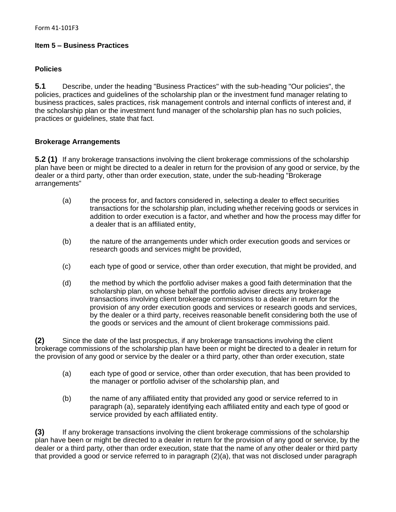## **Item 5 – Business Practices**

## **Policies**

**5.1** Describe, under the heading "Business Practices" with the sub-heading "Our policies", the policies, practices and guidelines of the scholarship plan or the investment fund manager relating to business practices, sales practices, risk management controls and internal conflicts of interest and, if the scholarship plan or the investment fund manager of the scholarship plan has no such policies, practices or guidelines, state that fact.

## **Brokerage Arrangements**

**5.2 (1)** If any brokerage transactions involving the client brokerage commissions of the scholarship plan have been or might be directed to a dealer in return for the provision of any good or service, by the dealer or a third party, other than order execution, state, under the sub-heading "Brokerage arrangements"

- (a) the process for, and factors considered in, selecting a dealer to effect securities transactions for the scholarship plan, including whether receiving goods or services in addition to order execution is a factor, and whether and how the process may differ for a dealer that is an affiliated entity,
- (b) the nature of the arrangements under which order execution goods and services or research goods and services might be provided,
- (c) each type of good or service, other than order execution, that might be provided, and
- (d) the method by which the portfolio adviser makes a good faith determination that the scholarship plan, on whose behalf the portfolio adviser directs any brokerage transactions involving client brokerage commissions to a dealer in return for the provision of any order execution goods and services or research goods and services, by the dealer or a third party, receives reasonable benefit considering both the use of the goods or services and the amount of client brokerage commissions paid.

**(2)** Since the date of the last prospectus, if any brokerage transactions involving the client brokerage commissions of the scholarship plan have been or might be directed to a dealer in return for the provision of any good or service by the dealer or a third party, other than order execution, state

- (a) each type of good or service, other than order execution, that has been provided to the manager or portfolio adviser of the scholarship plan, and
- (b) the name of any affiliated entity that provided any good or service referred to in paragraph (a), separately identifying each affiliated entity and each type of good or service provided by each affiliated entity.

**(3)** If any brokerage transactions involving the client brokerage commissions of the scholarship plan have been or might be directed to a dealer in return for the provision of any good or service, by the dealer or a third party, other than order execution, state that the name of any other dealer or third party that provided a good or service referred to in paragraph (2)(a), that was not disclosed under paragraph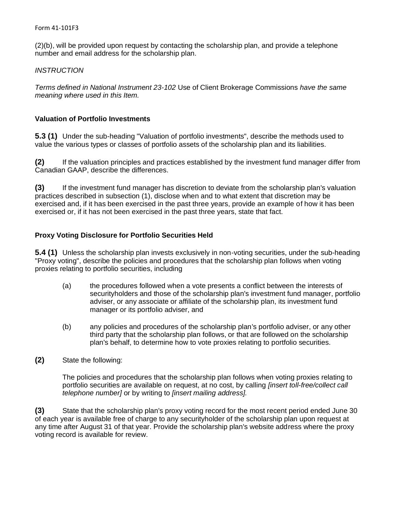(2)(b), will be provided upon request by contacting the scholarship plan, and provide a telephone number and email address for the scholarship plan.

### *INSTRUCTION*

*Terms defined in National Instrument 23-102* Use of Client Brokerage Commissions *have the same meaning where used in this Item.*

### **Valuation of Portfolio Investments**

**5.3 (1)** Under the sub-heading "Valuation of portfolio investments", describe the methods used to value the various types or classes of portfolio assets of the scholarship plan and its liabilities.

**(2)** If the valuation principles and practices established by the investment fund manager differ from Canadian GAAP, describe the differences.

**(3)** If the investment fund manager has discretion to deviate from the scholarship plan's valuation practices described in subsection (1), disclose when and to what extent that discretion may be exercised and, if it has been exercised in the past three years, provide an example of how it has been exercised or, if it has not been exercised in the past three years, state that fact.

### **Proxy Voting Disclosure for Portfolio Securities Held**

**5.4 (1)** Unless the scholarship plan invests exclusively in non-voting securities, under the sub-heading "Proxy voting", describe the policies and procedures that the scholarship plan follows when voting proxies relating to portfolio securities, including

- (a) the procedures followed when a vote presents a conflict between the interests of securityholders and those of the scholarship plan's investment fund manager, portfolio adviser, or any associate or affiliate of the scholarship plan, its investment fund manager or its portfolio adviser, and
- (b) any policies and procedures of the scholarship plan's portfolio adviser, or any other third party that the scholarship plan follows, or that are followed on the scholarship plan's behalf, to determine how to vote proxies relating to portfolio securities.

### **(2)** State the following:

The policies and procedures that the scholarship plan follows when voting proxies relating to portfolio securities are available on request, at no cost, by calling *[insert toll-free/collect call telephone number]* or by writing to *[insert mailing address].*

**(3)** State that the scholarship plan's proxy voting record for the most recent period ended June 30 of each year is available free of charge to any securityholder of the scholarship plan upon request at any time after August 31 of that year. Provide the scholarship plan's website address where the proxy voting record is available for review.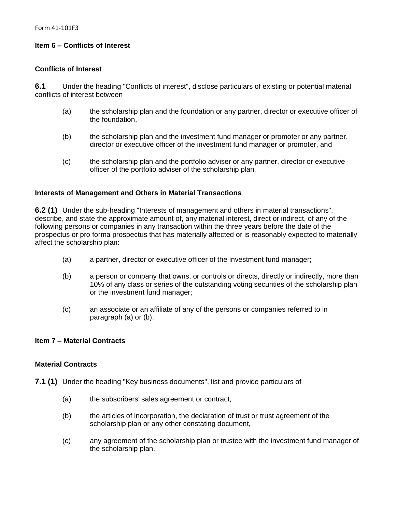## **Item 6 – Conflicts of Interest**

#### **Conflicts of Interest**

**6.1** Under the heading "Conflicts of interest", disclose particulars of existing or potential material conflicts of interest between

- (a) the scholarship plan and the foundation or any partner, director or executive officer of the foundation,
- (b) the scholarship plan and the investment fund manager or promoter or any partner, director or executive officer of the investment fund manager or promoter, and
- (c) the scholarship plan and the portfolio adviser or any partner, director or executive officer of the portfolio adviser of the scholarship plan.

#### **Interests of Management and Others in Material Transactions**

**6.2 (1)** Under the sub-heading "Interests of management and others in material transactions", describe, and state the approximate amount of, any material interest, direct or indirect, of any of the following persons or companies in any transaction within the three years before the date of the prospectus or pro forma prospectus that has materially affected or is reasonably expected to materially affect the scholarship plan:

- (a) a partner, director or executive officer of the investment fund manager;
- (b) a person or company that owns, or controls or directs, directly or indirectly, more than 10% of any class or series of the outstanding voting securities of the scholarship plan or the investment fund manager;
- (c) an associate or an affiliate of any of the persons or companies referred to in paragraph (a) or (b).

#### **Item 7 – Material Contracts**

#### **Material Contracts**

- **7.1 (1)** Under the heading "Key business documents", list and provide particulars of
	- (a) the subscribers' sales agreement or contract,
	- (b) the articles of incorporation, the declaration of trust or trust agreement of the scholarship plan or any other constating document,
	- (c) any agreement of the scholarship plan or trustee with the investment fund manager of the scholarship plan,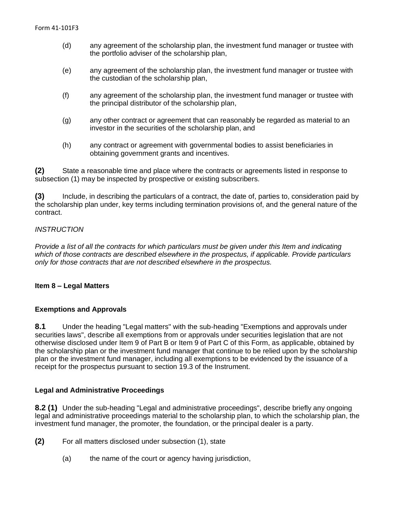- (d) any agreement of the scholarship plan, the investment fund manager or trustee with the portfolio adviser of the scholarship plan,
- (e) any agreement of the scholarship plan, the investment fund manager or trustee with the custodian of the scholarship plan,
- (f) any agreement of the scholarship plan, the investment fund manager or trustee with the principal distributor of the scholarship plan,
- (g) any other contract or agreement that can reasonably be regarded as material to an investor in the securities of the scholarship plan, and
- (h) any contract or agreement with governmental bodies to assist beneficiaries in obtaining government grants and incentives.

**(2)** State a reasonable time and place where the contracts or agreements listed in response to subsection (1) may be inspected by prospective or existing subscribers.

**(3)** Include, in describing the particulars of a contract, the date of, parties to, consideration paid by the scholarship plan under, key terms including termination provisions of, and the general nature of the contract.

## *INSTRUCTION*

*Provide a list of all the contracts for which particulars must be given under this Item and indicating which of those contracts are described elsewhere in the prospectus, if applicable. Provide particulars only for those contracts that are not described elsewhere in the prospectus.*

#### **Item 8 – Legal Matters**

#### **Exemptions and Approvals**

**8.1** Under the heading "Legal matters" with the sub-heading "Exemptions and approvals under securities laws", describe all exemptions from or approvals under securities legislation that are not otherwise disclosed under Item 9 of Part B or Item 9 of Part C of this Form, as applicable, obtained by the scholarship plan or the investment fund manager that continue to be relied upon by the scholarship plan or the investment fund manager, including all exemptions to be evidenced by the issuance of a receipt for the prospectus pursuant to section 19.3 of the Instrument.

#### **Legal and Administrative Proceedings**

**8.2 (1)** Under the sub-heading "Legal and administrative proceedings", describe briefly any ongoing legal and administrative proceedings material to the scholarship plan, to which the scholarship plan, the investment fund manager, the promoter, the foundation, or the principal dealer is a party.

- **(2)** For all matters disclosed under subsection (1), state
	- (a) the name of the court or agency having jurisdiction,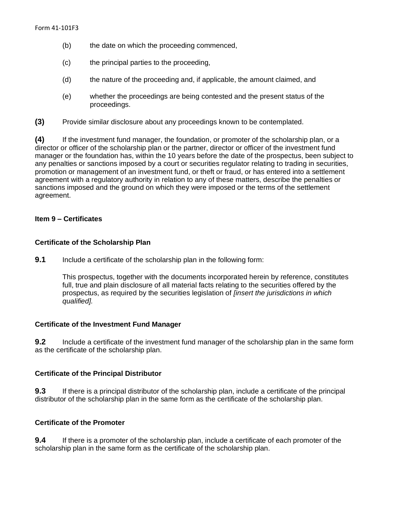- (b) the date on which the proceeding commenced,
- (c) the principal parties to the proceeding,
- (d) the nature of the proceeding and, if applicable, the amount claimed, and
- (e) whether the proceedings are being contested and the present status of the proceedings.
- **(3)** Provide similar disclosure about any proceedings known to be contemplated.

**(4)** If the investment fund manager, the foundation, or promoter of the scholarship plan, or a director or officer of the scholarship plan or the partner, director or officer of the investment fund manager or the foundation has, within the 10 years before the date of the prospectus, been subject to any penalties or sanctions imposed by a court or securities regulator relating to trading in securities, promotion or management of an investment fund, or theft or fraud, or has entered into a settlement agreement with a regulatory authority in relation to any of these matters, describe the penalties or sanctions imposed and the ground on which they were imposed or the terms of the settlement agreement.

#### **Item 9 – Certificates**

### **Certificate of the Scholarship Plan**

**9.1** Include a certificate of the scholarship plan in the following form:

This prospectus, together with the documents incorporated herein by reference, constitutes full, true and plain disclosure of all material facts relating to the securities offered by the prospectus, as required by the securities legislation of *[insert the jurisdictions in which qualified].*

#### **Certificate of the Investment Fund Manager**

**9.2** Include a certificate of the investment fund manager of the scholarship plan in the same form as the certificate of the scholarship plan.

#### **Certificate of the Principal Distributor**

**9.3** If there is a principal distributor of the scholarship plan, include a certificate of the principal distributor of the scholarship plan in the same form as the certificate of the scholarship plan.

## **Certificate of the Promoter**

**9.4** If there is a promoter of the scholarship plan, include a certificate of each promoter of the scholarship plan in the same form as the certificate of the scholarship plan.